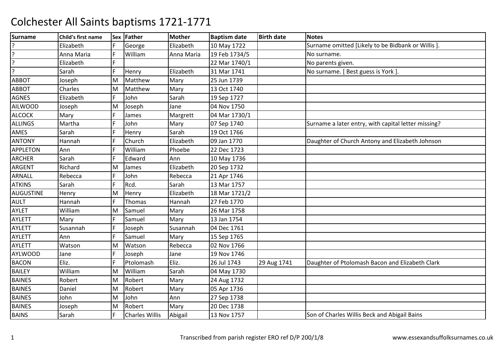| <b>Surname</b>   | Child's first name |    | Sex Father            | <b>Mother</b> | <b>Baptism date</b> | <b>Birth date</b> | <b>Notes</b>                                        |
|------------------|--------------------|----|-----------------------|---------------|---------------------|-------------------|-----------------------------------------------------|
|                  | Elizabeth          | F  | George                | Elizabeth     | 10 May 1722         |                   | Surname omitted [Likely to be Bidbank or Willis].   |
| ç.               | Anna Maria         | F  | William               | Anna Maria    | 19 Feb 1734/5       |                   | No surname.                                         |
| 2                | Elizabeth          |    |                       |               | 22 Mar 1740/1       |                   | No parents given.                                   |
| <sup>2</sup>     | Sarah              | F  | Henry                 | Elizabeth     | 31 Mar 1741         |                   | No surname. [ Best guess is York ].                 |
| <b>ABBOT</b>     | Joseph             | M  | Matthew               | Mary          | 25 Jun 1739         |                   |                                                     |
| <b>ABBOT</b>     | Charles            | M  | Matthew               | Mary          | 13 Oct 1740         |                   |                                                     |
| <b>AGNES</b>     | Elizabeth          | F  | John                  | Sarah         | 19 Sep 1727         |                   |                                                     |
| <b>AILWOOD</b>   | Joseph             | M  | Joseph                | Jane          | 04 Nov 1750         |                   |                                                     |
| <b>ALCOCK</b>    | Mary               | F  | James                 | Margrett      | 04 Mar 1730/1       |                   |                                                     |
| <b>ALLINGS</b>   | Martha             |    | John                  | Mary          | 07 Sep 1740         |                   | Surname a later entry, with capital letter missing? |
| AMES             | Sarah              |    | Henry                 | Sarah         | 19 Oct 1766         |                   |                                                     |
| <b>ANTONY</b>    | Hannah             |    | Church                | Elizabeth     | 09 Jan 1770         |                   | Daughter of Church Antony and Elizabeth Johnson     |
| <b>APPLETON</b>  | Ann                | F. | William               | Phoebe        | 22 Dec 1723         |                   |                                                     |
| <b>ARCHER</b>    | Sarah              |    | Edward                | Ann           | 10 May 1736         |                   |                                                     |
| <b>ARGENT</b>    | Richard            | M  | James                 | Elizabeth     | 20 Sep 1732         |                   |                                                     |
| ARNALL           | Rebecca            |    | John                  | Rebecca       | 21 Apr 1746         |                   |                                                     |
| <b>ATKINS</b>    | Sarah              | F  | Rcd.                  | Sarah         | 13 Mar 1757         |                   |                                                     |
| <b>AUGUSTINE</b> | Henry              | M  | Henry                 | Elizabeth     | 18 Mar 1721/2       |                   |                                                     |
| <b>AULT</b>      | Hannah             |    | Thomas                | Hannah        | 27 Feb 1770         |                   |                                                     |
| AYLET            | William            | M  | Samuel                | Mary          | 26 Mar 1758         |                   |                                                     |
| <b>AYLETT</b>    | Mary               | F  | Samuel                | Mary          | 13 Jan 1754         |                   |                                                     |
| <b>AYLETT</b>    | Susannah           |    | Joseph                | Susannah      | 04 Dec 1761         |                   |                                                     |
| <b>AYLETT</b>    | Ann                |    | Samuel                | Mary          | 15 Sep 1765         |                   |                                                     |
| <b>AYLETT</b>    | Watson             | M  | Watson                | Rebecca       | 02 Nov 1766         |                   |                                                     |
| <b>AYLWOOD</b>   | Jane               |    | Joseph                | Jane          | 19 Nov 1746         |                   |                                                     |
| <b>BACON</b>     | Eliz.              |    | Ptolomash             | Eliz.         | 26 Jul 1743         | 29 Aug 1741       | Daughter of Ptolomash Bacon and Elizabeth Clark     |
| <b>BAILEY</b>    | William            | M  | William               | Sarah         | 04 May 1730         |                   |                                                     |
| <b>BAINES</b>    | Robert             | M  | Robert                | Mary          | 24 Aug 1732         |                   |                                                     |
| <b>BAINES</b>    | Daniel             | M  | Robert                | Mary          | 05 Apr 1736         |                   |                                                     |
| <b>BAINES</b>    | John               | M  | John                  | Ann           | 27 Sep 1738         |                   |                                                     |
| <b>BAINES</b>    | Joseph             | M  | Robert                | Mary          | 20 Dec 1738         |                   |                                                     |
| <b>BAINS</b>     | Sarah              | F  | <b>Charles Willis</b> | Abigail       | 13 Nov 1757         |                   | Son of Charles Willis Beck and Abigail Bains        |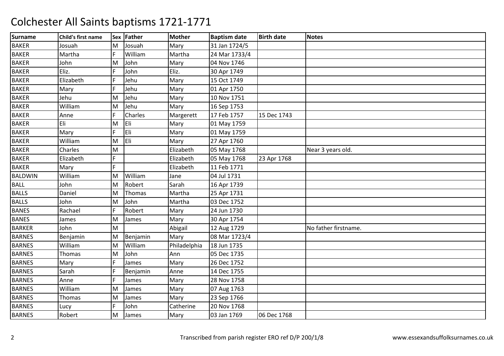| <b>Surname</b> | Child's first name |     | Sex Father | <b>Mother</b> | <b>Baptism date</b> | <b>Birth date</b> | <b>Notes</b>         |
|----------------|--------------------|-----|------------|---------------|---------------------|-------------------|----------------------|
| <b>BAKER</b>   | Josuah             | M   | Josuah     | Mary          | 31 Jan 1724/5       |                   |                      |
| <b>BAKER</b>   | Martha             | F   | William    | Martha        | 24 Mar 1733/4       |                   |                      |
| <b>BAKER</b>   | John               | lм  | John       | Mary          | 04 Nov 1746         |                   |                      |
| <b>BAKER</b>   | Eliz.              |     | John       | Eliz.         | 30 Apr 1749         |                   |                      |
| <b>BAKER</b>   | Elizabeth          | F   | Jehu       | Mary          | 15 Oct 1749         |                   |                      |
| <b>BAKER</b>   | Mary               | F   | Jehu       | Mary          | 01 Apr 1750         |                   |                      |
| <b>BAKER</b>   | Jehu               | M   | Jehu       | Mary          | 10 Nov 1751         |                   |                      |
| <b>BAKER</b>   | William            | M   | Jehu       | Mary          | 16 Sep 1753         |                   |                      |
| <b>BAKER</b>   | Anne               |     | Charles    | Margerett     | 17 Feb 1757         | 15 Dec 1743       |                      |
| <b>BAKER</b>   | Eli                | M   | Eli        | Mary          | 01 May 1759         |                   |                      |
| <b>BAKER</b>   | Mary               | E   | <b>Eli</b> | Mary          | 01 May 1759         |                   |                      |
| <b>BAKER</b>   | William            | M   | Eli        | Mary          | 27 Apr 1760         |                   |                      |
| <b>BAKER</b>   | Charles            | M   |            | Elizabeth     | 05 May 1768         |                   | Near 3 years old.    |
| <b>BAKER</b>   | Elizabeth          | F   |            | Elizabeth     | 05 May 1768         | 23 Apr 1768       |                      |
| <b>BAKER</b>   | Mary               | F   |            | Elizabeth     | 11 Feb 1771         |                   |                      |
| <b>BALDWIN</b> | William            | M   | William    | Jane          | 04 Jul 1731         |                   |                      |
| <b>BALL</b>    | John               | M   | Robert     | Sarah         | 16 Apr 1739         |                   |                      |
| <b>BALLS</b>   | Daniel             | M   | Thomas     | Martha        | 25 Apr 1731         |                   |                      |
| <b>BALLS</b>   | John               | M   | John       | Martha        | 03 Dec 1752         |                   |                      |
| <b>BANES</b>   | Rachael            | F   | Robert     | Mary          | 24 Jun 1730         |                   |                      |
| <b>BANES</b>   | James              | M   | James      | Mary          | 30 Apr 1754         |                   |                      |
| <b>BARKER</b>  | John               | M   |            | Abigail       | 12 Aug 1729         |                   | No father firstname. |
| <b>BARNES</b>  | Benjamin           | M   | Benjamin   | Mary          | 08 Mar 1723/4       |                   |                      |
| <b>BARNES</b>  | William            | M   | William    | Philadelphia  | 18 Jun 1735         |                   |                      |
| <b>BARNES</b>  | Thomas             | M   | John       | Ann           | 05 Dec 1735         |                   |                      |
| <b>BARNES</b>  | Mary               | IF. | James      | Mary          | 26 Dec 1752         |                   |                      |
| <b>BARNES</b>  | Sarah              | F   | Benjamin   | Anne          | 14 Dec 1755         |                   |                      |
| <b>BARNES</b>  | Anne               | F   | James      | Mary          | 28 Nov 1758         |                   |                      |
| <b>BARNES</b>  | William            | M   | James      | Mary          | 07 Aug 1763         |                   |                      |
| <b>BARNES</b>  | <b>Thomas</b>      | M   | James      | Mary          | 23 Sep 1766         |                   |                      |
| <b>BARNES</b>  | Lucy               | F   | John       | Catherine     | 20 Nov 1768         |                   |                      |
| <b>BARNES</b>  | Robert             | M   | James      | Mary          | 03 Jan 1769         | 06 Dec 1768       |                      |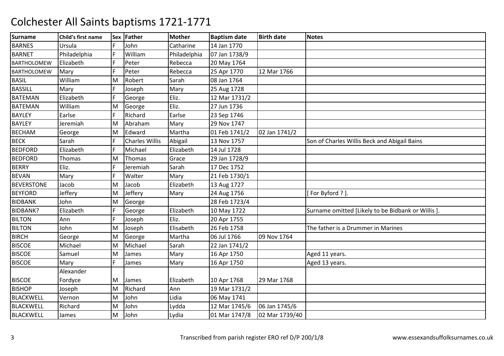| <b>Surname</b>     | Child's first name |     | Sex Father            | <b>Mother</b> | <b>Baptism date</b> | <b>Birth date</b> | <b>Notes</b>                                     |
|--------------------|--------------------|-----|-----------------------|---------------|---------------------|-------------------|--------------------------------------------------|
| <b>BARNES</b>      | Ursula             | IF. | John                  | Catharine     | 14 Jan 1770         |                   |                                                  |
| <b>BARNET</b>      | Philadelphia       | F   | William               | Philadelphia  | 07 Jan 1738/9       |                   |                                                  |
| <b>BARTHOLOMEW</b> | Elizabeth          |     | Peter                 | Rebecca       | 20 May 1764         |                   |                                                  |
| <b>BARTHOLOMEW</b> | Mary               |     | Peter                 | Rebecca       | 25 Apr 1770         | 12 Mar 1766       |                                                  |
| <b>BASIL</b>       | William            | M   | Robert                | Sarah         | 08 Jan 1764         |                   |                                                  |
| <b>BASSILL</b>     | Mary               | F   | Joseph                | Mary          | 25 Aug 1728         |                   |                                                  |
| <b>BATEMAN</b>     | Elizabeth          | F   | George                | Eliz.         | 12 Mar 1731/2       |                   |                                                  |
| <b>BATEMAN</b>     | William            | M   | George                | Eliz.         | 27 Jun 1736         |                   |                                                  |
| <b>BAYLEY</b>      | Earlse             |     | Richard               | Earlse        | 23 Sep 1746         |                   |                                                  |
| <b>BAYLEY</b>      | Jeremiah           | M   | Abraham               | Mary          | 29 Nov 1747         |                   |                                                  |
| <b>BECHAM</b>      | George             | ΙM  | Edward                | Martha        | 01 Feb 1741/2       | 02 Jan 1741/2     |                                                  |
| <b>BECK</b>        | Sarah              |     | <b>Charles Willis</b> | Abigail       | 13 Nov 1757         |                   | Son of Charles Willis Beck and Abigail Bains     |
| <b>BEDFORD</b>     | Elizabeth          | F   | Michael               | Elizabeth     | 14 Jul 1728         |                   |                                                  |
| <b>BEDFORD</b>     | Thomas             | M   | Thomas                | Grace         | 29 Jan 1728/9       |                   |                                                  |
| <b>BERRY</b>       | Eliz.              | F   | Jeremiah              | Sarah         | 17 Dec 1752         |                   |                                                  |
| <b>BEVAN</b>       | Mary               | F   | Walter                | Mary          | 21 Feb 1730/1       |                   |                                                  |
| <b>BEVERSTONE</b>  | Jacob              | M   | Jacob                 | Elizabeth     | 13 Aug 1727         |                   |                                                  |
| <b>BEYFORD</b>     | Jeffery            | M   | Jeffery               | Mary          | 24 Aug 1756         |                   | [For Byford ?].                                  |
| <b>BIDBANK</b>     | John               | M   | George                |               | 28 Feb 1723/4       |                   |                                                  |
| <b>BIDBANK?</b>    | Elizabeth          |     | George                | Elizabeth     | 10 May 1722         |                   | Surname omitted [Likely to be Bidbank or Willis] |
| <b>BILTON</b>      | Ann                | F   | Joseph                | Eliz.         | 20 Apr 1755         |                   |                                                  |
| <b>BILTON</b>      | John               | M   | Joseph                | Elisabeth     | 26 Feb 1758         |                   | The father is a Drummer in Marines               |
| <b>BIRCH</b>       | George             | M   | George                | Martha        | 06 Jul 1766         | 09 Nov 1764       |                                                  |
| <b>BISCOE</b>      | Michael            | M   | Michael               | Sarah         | 22 Jan 1741/2       |                   |                                                  |
| <b>BISCOE</b>      | Samuel             | M   | James                 | Mary          | 16 Apr 1750         |                   | Aged 11 years.                                   |
| <b>BISCOE</b>      | Mary               | IF. | James                 | Mary          | 16 Apr 1750         |                   | Aged 13 years.                                   |
|                    | Alexander          |     |                       |               |                     |                   |                                                  |
| <b>BISCOE</b>      | Fordyce            | M   | James                 | Elizabeth     | 10 Apr 1768         | 29 Mar 1768       |                                                  |
| <b>BISHOP</b>      | Joseph             | M   | Richard               | Ann           | 19 Mar 1731/2       |                   |                                                  |
| <b>BLACKWELL</b>   | Vernon             | M   | John                  | Lidia         | 06 May 1741         |                   |                                                  |
| <b>BLACKWELL</b>   | Richard            | M   | John                  | Lydda         | 12 Mar 1745/6       | 06 Jan 1745/6     |                                                  |
| <b>BLACKWELL</b>   | James              | M   | John                  | Lydia         | 01 Mar 1747/8       | 02 Mar 1739/40    |                                                  |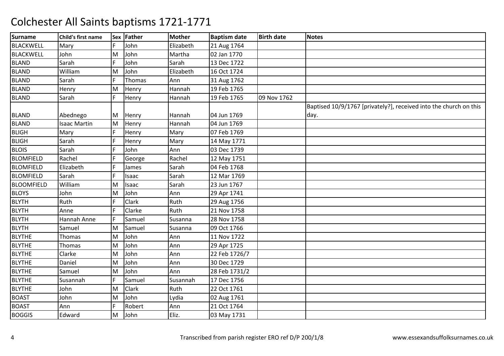| <b>Surname</b>    | Child's first name  |     | Sex Father   | Mother    | <b>Baptism date</b> | <b>Birth date</b> | <b>Notes</b>                                                      |
|-------------------|---------------------|-----|--------------|-----------|---------------------|-------------------|-------------------------------------------------------------------|
| <b>BLACKWELL</b>  | Mary                | F   | John         | Elizabeth | 21 Aug 1764         |                   |                                                                   |
| <b>BLACKWELL</b>  | John                | M   | John         | Martha    | 02 Jan 1770         |                   |                                                                   |
| <b>BLAND</b>      | Sarah               |     | John         | Sarah     | 13 Dec 1722         |                   |                                                                   |
| <b>BLAND</b>      | William             | M   | John         | Elizabeth | 16 Oct 1724         |                   |                                                                   |
| <b>BLAND</b>      | Sarah               | F   | Thomas       | Ann       | 31 Aug 1762         |                   |                                                                   |
| <b>BLAND</b>      | Henry               | M   | Henry        | Hannah    | 19 Feb 1765         |                   |                                                                   |
| <b>BLAND</b>      | Sarah               | lF. | Henry        | Hannah    | 19 Feb 1765         | 09 Nov 1762       |                                                                   |
|                   |                     |     |              |           |                     |                   | Baptised 10/9/1767 [privately?], received into the church on this |
| <b>BLAND</b>      | Abednego            | Iм  | Henry        | Hannah    | 04 Jun 1769         |                   | day.                                                              |
| <b>BLAND</b>      | <b>Isaac Martin</b> | M   | Henry        | Hannah    | 04 Jun 1769         |                   |                                                                   |
| <b>BLIGH</b>      | Mary                | F   | Henry        | Mary      | 07 Feb 1769         |                   |                                                                   |
| <b>BLIGH</b>      | Sarah               | F   | Henry        | Mary      | 14 May 1771         |                   |                                                                   |
| <b>BLOIS</b>      | Sarah               | F   | John         | Ann       | 03 Dec 1739         |                   |                                                                   |
| <b>BLOMFIELD</b>  | Rachel              | F   | George       | Rachel    | 12 May 1751         |                   |                                                                   |
| <b>BLOMFIELD</b>  | Elizabeth           |     | James        | Sarah     | 04 Feb 1768         |                   |                                                                   |
| <b>BLOMFIELD</b>  | Sarah               |     | Isaac        | Sarah     | 12 Mar 1769         |                   |                                                                   |
| <b>BLOOMFIELD</b> | William             | M   | Isaac        | Sarah     | 23 Jun 1767         |                   |                                                                   |
| <b>BLOYS</b>      | John                | M   | John         | Ann       | 29 Apr 1741         |                   |                                                                   |
| <b>BLYTH</b>      | Ruth                |     | <b>Clark</b> | Ruth      | 29 Aug 1756         |                   |                                                                   |
| <b>BLYTH</b>      | Anne                |     | Clarke       | Ruth      | 21 Nov 1758         |                   |                                                                   |
| <b>BLYTH</b>      | Hannah Anne         | F   | Samuel       | Susanna   | 28 Nov 1758         |                   |                                                                   |
| <b>BLYTH</b>      | Samuel              | M   | Samuel       | Susanna   | 09 Oct 1766         |                   |                                                                   |
| <b>BLYTHE</b>     | Thomas              | M   | John         | Ann       | 11 Nov 1722         |                   |                                                                   |
| <b>BLYTHE</b>     | Thomas              | M   | John         | Ann       | 29 Apr 1725         |                   |                                                                   |
| <b>BLYTHE</b>     | Clarke              | M   | John         | Ann       | 22 Feb 1726/7       |                   |                                                                   |
| <b>BLYTHE</b>     | Daniel              | M   | John         | Ann       | 30 Dec 1729         |                   |                                                                   |
| <b>BLYTHE</b>     | Samuel              | M   | John         | Ann       | 28 Feb 1731/2       |                   |                                                                   |
| <b>BLYTHE</b>     | Susannah            | F   | Samuel       | Susannah  | 17 Dec 1756         |                   |                                                                   |
| <b>BLYTHE</b>     | John                | M   | <b>Clark</b> | Ruth      | 22 Oct 1761         |                   |                                                                   |
| <b>BOAST</b>      | John                | M   | John         | Lydia     | 02 Aug 1761         |                   |                                                                   |
| <b>BOAST</b>      | Ann                 | F   | Robert       | Ann       | 21 Oct 1764         |                   |                                                                   |
| <b>BOGGIS</b>     | Edward              | M   | John         | Eliz.     | 03 May 1731         |                   |                                                                   |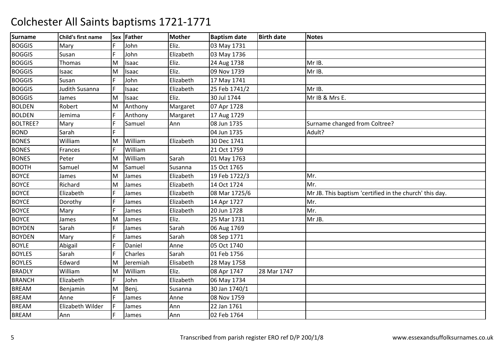| <b>Surname</b>  | Child's first name |     | Sex Father | <b>Mother</b> | <b>Baptism date</b> | <b>Birth date</b> | <b>Notes</b>                                            |
|-----------------|--------------------|-----|------------|---------------|---------------------|-------------------|---------------------------------------------------------|
| <b>BOGGIS</b>   | Mary               | IF. | John       | Eliz.         | 03 May 1731         |                   |                                                         |
| <b>BOGGIS</b>   | Susan              | F   | John       | Elizabeth     | 03 May 1736         |                   |                                                         |
| <b>BOGGIS</b>   | Thomas             | ΙM  | Isaac      | Eliz.         | 24 Aug 1738         |                   | Mr IB.                                                  |
| <b>BOGGIS</b>   | Isaac              | M   | Isaac      | Eliz.         | 09 Nov 1739         |                   | Mr IB.                                                  |
| <b>BOGGIS</b>   | Susan              | F   | John       | Elizabeth     | 17 May 1741         |                   |                                                         |
| <b>BOGGIS</b>   | Judith Susanna     | IF. | Isaac      | Elizabeth     | 25 Feb 1741/2       |                   | Mr IB.                                                  |
| <b>BOGGIS</b>   | James              | M   | Isaac      | Eliz.         | 30 Jul 1744         |                   | Mr IB & Mrs E.                                          |
| <b>BOLDEN</b>   | Robert             | M   | Anthony    | Margaret      | 07 Apr 1728         |                   |                                                         |
| <b>BOLDEN</b>   | Jemima             |     | Anthony    | Margaret      | 17 Aug 1729         |                   |                                                         |
| <b>BOLTREE?</b> | Mary               | F   | Samuel     | Ann           | 08 Jun 1735         |                   | Surname changed from Coltree?                           |
| <b>BOND</b>     | Sarah              |     |            |               | 04 Jun 1735         |                   | Adult?                                                  |
| <b>BONES</b>    | William            | lм  | William    | Elizabeth     | 30 Dec 1741         |                   |                                                         |
| <b>BONES</b>    | Frances            | IF. | William    |               | 21 Oct 1759         |                   |                                                         |
| <b>BONES</b>    | Peter              | M   | William    | Sarah         | 01 May 1763         |                   |                                                         |
| <b>BOOTH</b>    | Samuel             | M   | Samuel     | Susanna       | 15 Oct 1765         |                   |                                                         |
| <b>BOYCE</b>    | James              | M   | James      | Elizabeth     | 19 Feb 1722/3       |                   | Mr.                                                     |
| <b>BOYCE</b>    | Richard            | M   | James      | Elizabeth     | 14 Oct 1724         |                   | Mr.                                                     |
| <b>BOYCE</b>    | Elizabeth          | F   | James      | Elizabeth     | 08 Mar 1725/6       |                   | Mr JB. This baptism 'certified in the church' this day. |
| <b>BOYCE</b>    | Dorothy            |     | James      | Elizabeth     | 14 Apr 1727         |                   | Mr.                                                     |
| <b>BOYCE</b>    | Mary               | F   | James      | Elizabeth     | 20 Jun 1728         |                   | Mr.                                                     |
| <b>BOYCE</b>    | James              | M   | James      | Eliz.         | 25 Mar 1731         |                   | Mr JB.                                                  |
| <b>BOYDEN</b>   | Sarah              | IF. | James      | Sarah         | 06 Aug 1769         |                   |                                                         |
| <b>BOYDEN</b>   | Mary               | F   | James      | Sarah         | 08 Sep 1771         |                   |                                                         |
| <b>BOYLE</b>    | Abigail            | ΙF  | Daniel     | Anne          | 05 Oct 1740         |                   |                                                         |
| <b>BOYLES</b>   | Sarah              |     | Charles    | Sarah         | 01 Feb 1756         |                   |                                                         |
| <b>BOYLES</b>   | Edward             | ΙM  | Jeremiah   | Elisabeth     | 28 May 1758         |                   |                                                         |
| <b>BRADLY</b>   | William            | M   | William    | Eliz.         | 08 Apr 1747         | 28 Mar 1747       |                                                         |
| <b>BRANCH</b>   | Elizabeth          | IF. | John       | Elizabeth     | 06 May 1734         |                   |                                                         |
| <b>BREAM</b>    | Benjamin           | M   | Benj.      | Susanna       | 30 Jan 1740/1       |                   |                                                         |
| <b>BREAM</b>    | Anne               | IF. | James      | Anne          | 08 Nov 1759         |                   |                                                         |
| <b>BREAM</b>    | Elizabeth Wilder   | F.  | James      | Ann           | 22 Jan 1761         |                   |                                                         |
| <b>BREAM</b>    | Ann                |     | James      | Ann           | 02 Feb 1764         |                   |                                                         |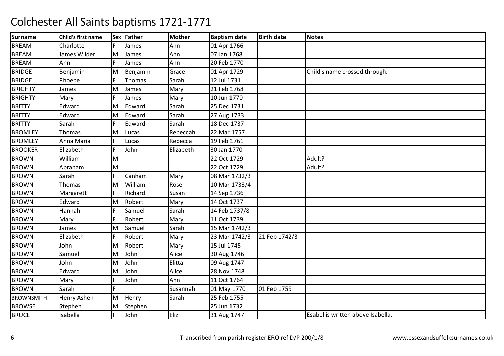| <b>Surname</b>    | Child's first name |     | Sex Father | <b>Mother</b> | <b>Baptism date</b> | <b>Birth date</b> | <b>Notes</b>                      |
|-------------------|--------------------|-----|------------|---------------|---------------------|-------------------|-----------------------------------|
| <b>BREAM</b>      | Charlotte          | F   | James      | Ann           | 01 Apr 1766         |                   |                                   |
| <b>BREAM</b>      | James Wilder       | M   | James      | Ann           | 07 Jan 1768         |                   |                                   |
| <b>BREAM</b>      | Ann                | IF. | James      | Ann           | 20 Feb 1770         |                   |                                   |
| <b>BRIDGE</b>     | Benjamin           | M   | Benjamin   | Grace         | 01 Apr 1729         |                   | Child's name crossed through.     |
| <b>BRIDGE</b>     | Phoebe             | F.  | Thomas     | Sarah         | 12 Jul 1731         |                   |                                   |
| <b>BRIGHTY</b>    | James              | M   | James      | Mary          | 21 Feb 1768         |                   |                                   |
| <b>BRIGHTY</b>    | Mary               | F   | James      | Mary          | 10 Jun 1770         |                   |                                   |
| <b>BRITTY</b>     | Edward             | M   | Edward     | Sarah         | 25 Dec 1731         |                   |                                   |
| <b>BRITTY</b>     | Edward             | M   | Edward     | Sarah         | 27 Aug 1733         |                   |                                   |
| <b>BRITTY</b>     | Sarah              | F   | Edward     | Sarah         | 18 Dec 1737         |                   |                                   |
| <b>BROMLEY</b>    | Thomas             | M   | Lucas      | Rebeccah      | 22 Mar 1757         |                   |                                   |
| <b>BROMLEY</b>    | Anna Maria         | IF. | Lucas      | Rebecca       | 19 Feb 1761         |                   |                                   |
| <b>BROOKER</b>    | Elizabeth          | IF. | John       | Elizabeth     | 30 Jan 1770         |                   |                                   |
| <b>BROWN</b>      | William            | M   |            |               | 22 Oct 1729         |                   | Adult?                            |
| <b>BROWN</b>      | Abraham            | M   |            |               | 22 Oct 1729         |                   | Adult?                            |
| <b>BROWN</b>      | Sarah              | F   | Canham     | Mary          | 08 Mar 1732/3       |                   |                                   |
| <b>BROWN</b>      | Thomas             | M   | William    | Rose          | 10 Mar 1733/4       |                   |                                   |
| <b>BROWN</b>      | Margarett          | IF. | Richard    | Susan         | 14 Sep 1736         |                   |                                   |
| <b>BROWN</b>      | Edward             | M   | Robert     | Mary          | 14 Oct 1737         |                   |                                   |
| <b>BROWN</b>      | Hannah             |     | Samuel     | Sarah         | 14 Feb 1737/8       |                   |                                   |
| <b>BROWN</b>      | Mary               | F   | Robert     | Mary          | 11 Oct 1739         |                   |                                   |
| <b>BROWN</b>      | James              | M   | Samuel     | Sarah         | 15 Mar 1742/3       |                   |                                   |
| <b>BROWN</b>      | Elizabeth          |     | Robert     | Mary          | 23 Mar 1742/3       | 21 Feb 1742/3     |                                   |
| <b>BROWN</b>      | John               | M   | Robert     | Mary          | 15 Jul 1745         |                   |                                   |
| <b>BROWN</b>      | Samuel             | M   | John       | Alice         | 30 Aug 1746         |                   |                                   |
| <b>BROWN</b>      | John               | M   | John       | Elitta        | 09 Aug 1747         |                   |                                   |
| <b>BROWN</b>      | Edward             | M   | John       | Alice         | 28 Nov 1748         |                   |                                   |
| <b>BROWN</b>      | Mary               | IF. | John       | Ann           | 11 Oct 1764         |                   |                                   |
| <b>BROWN</b>      | Sarah              | E   |            | Susannah      | 01 May 1770         | 01 Feb 1759       |                                   |
| <b>BROWNSMITH</b> | Henry Ashen        | M   | Henry      | Sarah         | 25 Feb 1755         |                   |                                   |
| <b>BROWSE</b>     | Stephen            | M   | Stephen    |               | 25 Jun 1732         |                   |                                   |
| <b>BRUCE</b>      | Isabella           | F   | John       | Eliz.         | 31 Aug 1747         |                   | Esabel is written above Isabella. |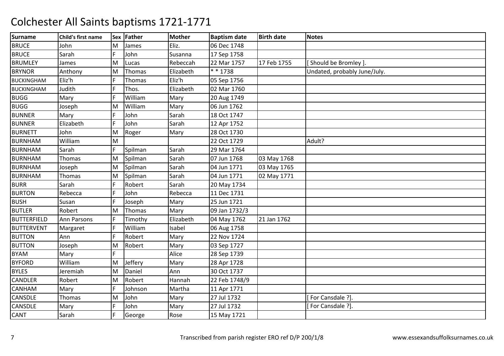| <b>Surname</b>     | Child's first name |    | Sex Father | <b>Mother</b> | <b>Baptism date</b> | <b>Birth date</b> | <b>Notes</b>                 |
|--------------------|--------------------|----|------------|---------------|---------------------|-------------------|------------------------------|
| <b>BRUCE</b>       | John               | M  | James      | Eliz.         | 06 Dec 1748         |                   |                              |
| <b>BRUCE</b>       | Sarah              | F. | John       | Susanna       | 17 Sep 1758         |                   |                              |
| <b>BRUMLEY</b>     | James              | M  | Lucas      | Rebeccah      | 22 Mar 1757         | 17 Feb 1755       | Should be Bromley ]          |
| <b>BRYNOR</b>      | Anthony            | M  | Thomas     | Elizabeth     | $* * 1738$          |                   | Undated, probably June/July. |
| <b>BUCKINGHAM</b>  | Eliz'h             | F  | Thomas     | Eliz'h        | 05 Sep 1756         |                   |                              |
| <b>BUCKINGHAM</b>  | Judith             | F  | Thos.      | Elizabeth     | 02 Mar 1760         |                   |                              |
| <b>BUGG</b>        | Mary               | F  | William    | Mary          | 20 Aug 1749         |                   |                              |
| <b>BUGG</b>        | Joseph             | M  | William    | Mary          | 06 Jun 1762         |                   |                              |
| <b>BUNNER</b>      | Mary               | F. | John       | Sarah         | 18 Oct 1747         |                   |                              |
| <b>BUNNER</b>      | Elizabeth          |    | John       | Sarah         | 12 Apr 1752         |                   |                              |
| <b>BURNETT</b>     | John               | M  | Roger      | Mary          | 28 Oct 1730         |                   |                              |
| <b>BURNHAM</b>     | William            | M  |            |               | 22 Oct 1729         |                   | Adult?                       |
| <b>BURNHAM</b>     | Sarah              | F. | Spilman    | Sarah         | 29 Mar 1764         |                   |                              |
| <b>BURNHAM</b>     | Thomas             | M  | Spilman    | Sarah         | 07 Jun 1768         | 03 May 1768       |                              |
| <b>BURNHAM</b>     | Joseph             | M  | Spilman    | Sarah         | 04 Jun 1771         | 03 May 1765       |                              |
| <b>BURNHAM</b>     | <b>Thomas</b>      | M  | Spilman    | Sarah         | 04 Jun 1771         | 02 May 1771       |                              |
| <b>BURR</b>        | Sarah              | F  | Robert     | Sarah         | 20 May 1734         |                   |                              |
| <b>BURTON</b>      | Rebecca            |    | John       | Rebecca       | 11 Dec 1731         |                   |                              |
| <b>BUSH</b>        | Susan              |    | Joseph     | Mary          | 25 Jun 1721         |                   |                              |
| <b>BUTLER</b>      | Robert             | lм | Thomas     | Mary          | 09 Jan 1732/3       |                   |                              |
| <b>BUTTERFIELD</b> | <b>Ann Parsons</b> | F  | Timothy    | Elizabeth     | 04 May 1762         | 21 Jan 1762       |                              |
| <b>BUTTERVENT</b>  | Margaret           | F  | William    | Isabel        | 06 Aug 1758         |                   |                              |
| <b>BUTTON</b>      | Ann                |    | Robert     | Mary          | 22 Nov 1724         |                   |                              |
| <b>BUTTON</b>      | Joseph             | M  | Robert     | Mary          | 03 Sep 1727         |                   |                              |
| <b>BYAM</b>        | Mary               |    |            | Alice         | 28 Sep 1739         |                   |                              |
| <b>BYFORD</b>      | William            | M  | Jeffery    | Mary          | 28 Apr 1728         |                   |                              |
| <b>BYLES</b>       | Jeremiah           | M  | Daniel     | Ann           | 30 Oct 1737         |                   |                              |
| <b>CANDLER</b>     | Robert             | M  | Robert     | Hannah        | 22 Feb 1748/9       |                   |                              |
| <b>CANHAM</b>      | Mary               | F  | Johnson    | Martha        | 11 Apr 1771         |                   |                              |
| <b>CANSDLE</b>     | Thomas             | M  | John       | Mary          | 27 Jul 1732         |                   | For Cansdale ?].             |
| <b>CANSDLE</b>     | Mary               | F  | John       | Mary          | 27 Jul 1732         |                   | For Cansdale ?].             |
| <b>CANT</b>        | Sarah              | F  | George     | Rose          | 15 May 1721         |                   |                              |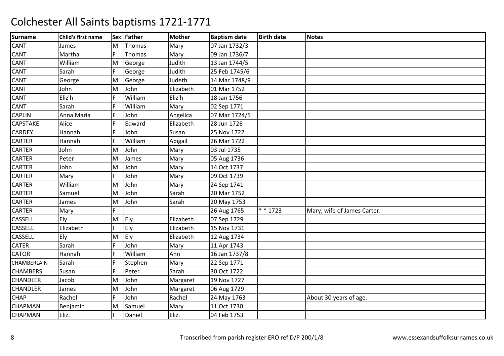| <b>Surname</b>  | Child's first name |     | Sex Father | <b>Mother</b> | <b>Baptism date</b> | <b>Birth date</b> | <b>Notes</b>                |
|-----------------|--------------------|-----|------------|---------------|---------------------|-------------------|-----------------------------|
| CANT            | James              | ΙM  | Thomas     | Mary          | 07 Jan 1732/3       |                   |                             |
| CANT            | Martha             | F   | Thomas     | Mary          | 09 Jan 1736/7       |                   |                             |
| CANT            | William            | M   | George     | Judith        | 13 Jan 1744/5       |                   |                             |
| CANT            | Sarah              | F   | George     | Judith        | 25 Feb 1745/6       |                   |                             |
| <b>CANT</b>     | George             | M   | George     | Judeth        | 14 Mar 1748/9       |                   |                             |
| CANT            | John               | M   | John       | Elizabeth     | 01 Mar 1752         |                   |                             |
| CANT            | Eliz'h             | IF. | William    | Eliz'h        | 18 Jan 1756         |                   |                             |
| CANT            | Sarah              |     | William    | Mary          | 02 Sep 1771         |                   |                             |
| <b>CAPLIN</b>   | Anna Maria         | IF. | John       | Angelica      | 07 Mar 1724/5       |                   |                             |
| <b>CAPSTAKE</b> | Alice              | IF. | Edward     | Elizabeth     | 28 Jun 1726         |                   |                             |
| CARDEY          | Hannah             | IF. | John       | Susan         | 25 Nov 1722         |                   |                             |
| CARTER          | Hannah             | IF. | William    | Abigail       | 26 Mar 1722         |                   |                             |
| CARTER          | John               | lм  | John       | Mary          | 03 Jul 1735         |                   |                             |
| CARTER          | Peter              | M   | James      | Mary          | 05 Aug 1736         |                   |                             |
| <b>CARTER</b>   | John               | M   | John       | Mary          | 14 Oct 1737         |                   |                             |
| CARTER          | Mary               | F   | John       | Mary          | 09 Oct 1739         |                   |                             |
| CARTER          | William            | M   | John       | Mary          | 24 Sep 1741         |                   |                             |
| <b>CARTER</b>   | Samuel             | M   | John       | Sarah         | 20 Mar 1752         |                   |                             |
| <b>CARTER</b>   | James              | M   | John       | Sarah         | 20 May 1753         |                   |                             |
| CARTER          | Mary               |     |            |               | 26 Aug 1765         | $* * 1723$        | Mary, wife of James Carter. |
| CASSELL         | Ely                | M   | Ely        | Elizabeth     | 07 Sep 1729         |                   |                             |
| <b>CASSELL</b>  | Elizabeth          | F.  | Ely        | Elizabeth     | 15 Nov 1731         |                   |                             |
| CASSELL         | Ely                | M   | Ely        | Elizabeth     | 12 Aug 1734         |                   |                             |
| <b>CATER</b>    | Sarah              |     | John       | Mary          | 11 Apr 1743         |                   |                             |
| <b>CATOR</b>    | Hannah             | IF. | William    | Ann           | 16 Jan 1737/8       |                   |                             |
| CHAMBERLAIN     | Sarah              |     | Stephen    | Mary          | 22 Sep 1771         |                   |                             |
| <b>CHAMBERS</b> | Susan              | IF. | Peter      | Sarah         | 30 Oct 1722         |                   |                             |
| <b>CHANDLER</b> | Jacob              | M   | John       | Margaret      | 19 Nov 1727         |                   |                             |
| <b>CHANDLER</b> | James              | M   | John       | Margaret      | 06 Aug 1729         |                   |                             |
| CHAP            | Rachel             | F   | John       | Rachel        | 24 May 1763         |                   | About 30 years of age.      |
| CHAPMAN         | Benjamin           | M   | Samuel     | Mary          | 11 Oct 1730         |                   |                             |
| CHAPMAN         | Eliz.              |     | Daniel     | Eliz.         | 04 Feb 1753         |                   |                             |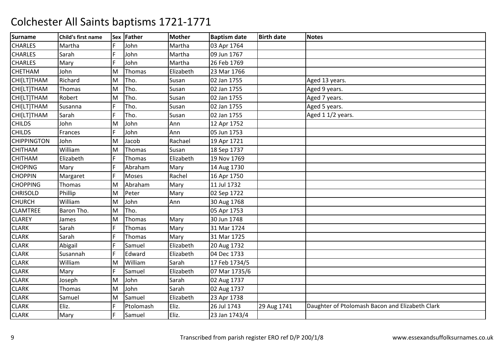| <b>Surname</b>     | Child's first name |   | Sex Father   | <b>Mother</b> | <b>Baptism date</b> | <b>Birth date</b> | <b>Notes</b>                                    |
|--------------------|--------------------|---|--------------|---------------|---------------------|-------------------|-------------------------------------------------|
| <b>CHARLES</b>     | Martha             | F | John         | Martha        | 03 Apr 1764         |                   |                                                 |
| <b>CHARLES</b>     | Sarah              | F | John         | Martha        | 09 Jun 1767         |                   |                                                 |
| <b>CHARLES</b>     | Mary               | F | John         | Martha        | 26 Feb 1769         |                   |                                                 |
| <b>CHETHAM</b>     | John               | M | Thomas       | Elizabeth     | 23 Mar 1766         |                   |                                                 |
| CHI[LT]THAM        | Richard            | M | Tho.         | Susan         | 02 Jan 1755         |                   | Aged 13 years.                                  |
| CHI[LT]THAM        | Thomas             | M | Tho.         | Susan         | 02 Jan 1755         |                   | Aged 9 years.                                   |
| CHI[LT]THAM        | Robert             | M | Tho.         | Susan         | 02 Jan 1755         |                   | Aged 7 years.                                   |
| CHI[LT]THAM        | Susanna            |   | Tho.         | Susan         | 02 Jan 1755         |                   | Aged 5 years.                                   |
| CHI[LT]THAM        | Sarah              | F | Tho.         | Susan         | 02 Jan 1755         |                   | Aged 1 1/2 years.                               |
| <b>CHILDS</b>      | John               | M | John         | Ann           | 12 Apr 1752         |                   |                                                 |
| <b>CHILDS</b>      | Frances            |   | John         | Ann           | 05 Jun 1753         |                   |                                                 |
| <b>CHIPPINGTON</b> | John               | M | Jacob        | Rachael       | 19 Apr 1721         |                   |                                                 |
| <b>CHITHAM</b>     | William            | M | Thomas       | Susan         | 18 Sep 1737         |                   |                                                 |
| <b>CHITHAM</b>     | Elizabeth          | F | Thomas       | Elizabeth     | 19 Nov 1769         |                   |                                                 |
| <b>CHOPING</b>     | Mary               |   | Abraham      | Mary          | 14 Aug 1730         |                   |                                                 |
| <b>CHOPPIN</b>     | Margaret           |   | <b>Moses</b> | Rachel        | 16 Apr 1750         |                   |                                                 |
| <b>CHOPPING</b>    | Thomas             | M | Abraham      | Mary          | 11 Jul 1732         |                   |                                                 |
| <b>CHRISOLD</b>    | Phillip            | M | Peter        | Mary          | 02 Sep 1722         |                   |                                                 |
| <b>CHURCH</b>      | William            | M | John         | Ann           | 30 Aug 1768         |                   |                                                 |
| <b>CLAMTREE</b>    | Baron Tho.         | M | Tho.         |               | 05 Apr 1753         |                   |                                                 |
| <b>CLAREY</b>      | James              | M | Thomas       | Mary          | 30 Jun 1748         |                   |                                                 |
| <b>CLARK</b>       | Sarah              | F | Thomas       | Mary          | 31 Mar 1724         |                   |                                                 |
| <b>CLARK</b>       | Sarah              |   | Thomas       | Mary          | 31 Mar 1725         |                   |                                                 |
| <b>CLARK</b>       | Abigail            | F | Samuel       | Elizabeth     | 20 Aug 1732         |                   |                                                 |
| <b>CLARK</b>       | Susannah           | F | Edward       | Elizabeth     | 04 Dec 1733         |                   |                                                 |
| <b>CLARK</b>       | William            | M | William      | Sarah         | 17 Feb 1734/5       |                   |                                                 |
| <b>CLARK</b>       | Mary               |   | Samuel       | Elizabeth     | 07 Mar 1735/6       |                   |                                                 |
| <b>CLARK</b>       | Joseph             | M | John         | Sarah         | 02 Aug 1737         |                   |                                                 |
| <b>CLARK</b>       | Thomas             | M | John         | Sarah         | 02 Aug 1737         |                   |                                                 |
| <b>CLARK</b>       | Samuel             | M | Samuel       | Elizabeth     | 23 Apr 1738         |                   |                                                 |
| <b>CLARK</b>       | Eliz.              | F | Ptolomash    | Eliz.         | 26 Jul 1743         | 29 Aug 1741       | Daughter of Ptolomash Bacon and Elizabeth Clark |
| <b>CLARK</b>       | Mary               | F | Samuel       | Eliz.         | 23 Jan 1743/4       |                   |                                                 |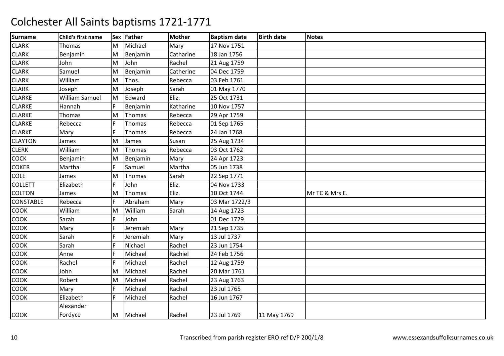| <b>Surname</b>   | Child's first name |     | Sex Father    | <b>Mother</b> | <b>Baptism date</b> | <b>Birth date</b> | <b>Notes</b>   |
|------------------|--------------------|-----|---------------|---------------|---------------------|-------------------|----------------|
| <b>CLARK</b>     | Thomas             | M   | Michael       | Mary          | 17 Nov 1751         |                   |                |
| <b>CLARK</b>     | Benjamin           | M   | Benjamin      | Catharine     | 18 Jan 1756         |                   |                |
| <b>CLARK</b>     | John               | M   | John          | Rachel        | 21 Aug 1759         |                   |                |
| <b>CLARK</b>     | Samuel             | M   | Benjamin      | Catherine     | 04 Dec 1759         |                   |                |
| <b>CLARK</b>     | William            | M   | Thos.         | Rebecca       | 03 Feb 1761         |                   |                |
| <b>CLARK</b>     | Joseph             | M   | Joseph        | Sarah         | 01 May 1770         |                   |                |
| <b>CLARKE</b>    | William Samuel     | M   | Edward        | Eliz.         | 25 Oct 1731         |                   |                |
| <b>CLARKE</b>    | Hannah             |     | Benjamin      | Katharine     | 10 Nov 1757         |                   |                |
| <b>CLARKE</b>    | <b>Thomas</b>      | M   | <b>Thomas</b> | Rebecca       | 29 Apr 1759         |                   |                |
| <b>CLARKE</b>    | Rebecca            |     | Thomas        | Rebecca       | 01 Sep 1765         |                   |                |
| <b>CLARKE</b>    | Mary               |     | Thomas        | Rebecca       | 24 Jan 1768         |                   |                |
| <b>CLAYTON</b>   | James              | M   | James         | Susan         | 25 Aug 1734         |                   |                |
| <b>CLERK</b>     | William            | M   | Thomas        | Rebecca       | 03 Oct 1762         |                   |                |
| COCK             | Benjamin           | M   | Benjamin      | Mary          | 24 Apr 1723         |                   |                |
| <b>COKER</b>     | Martha             |     | Samuel        | Martha        | 05 Jun 1738         |                   |                |
| <b>COLE</b>      | James              | M   | Thomas        | Sarah         | 22 Sep 1771         |                   |                |
| <b>COLLETT</b>   | Elizabeth          | F   | John          | Eliz.         | 04 Nov 1733         |                   |                |
| <b>COLTON</b>    | James              | M   | <b>Thomas</b> | Eliz.         | 10 Oct 1744         |                   | Mr TC & Mrs E. |
| <b>CONSTABLE</b> | Rebecca            |     | Abraham       | Mary          | 03 Mar 1722/3       |                   |                |
| <b>COOK</b>      | William            | M   | William       | Sarah         | 14 Aug 1723         |                   |                |
| COOK             | Sarah              | F   | John          |               | 01 Dec 1729         |                   |                |
| COOK             | Mary               |     | Jeremiah      | Mary          | 21 Sep 1735         |                   |                |
| COOK             | Sarah              |     | Jeremiah      | Mary          | 13 Jul 1737         |                   |                |
| <b>COOK</b>      | Sarah              | IF. | Nichael       | Rachel        | 23 Jun 1754         |                   |                |
| COOK             | Anne               |     | Michael       | Rachiel       | 24 Feb 1756         |                   |                |
| COOK             | Rachel             |     | Michael       | Rachel        | 12 Aug 1759         |                   |                |
| COOK             | John               | M   | Michael       | Rachel        | 20 Mar 1761         |                   |                |
| COOK             | Robert             | M   | Michael       | Rachel        | 23 Aug 1763         |                   |                |
| <b>COOK</b>      | Mary               | F   | Michael       | Rachel        | 23 Jul 1765         |                   |                |
| COOK             | Elizabeth          | F   | Michael       | Rachel        | 16 Jun 1767         |                   |                |
|                  | Alexander          |     |               |               |                     |                   |                |
| <b>COOK</b>      | Fordyce            |     | M Michael     | Rachel        | 23 Jul 1769         | 11 May 1769       |                |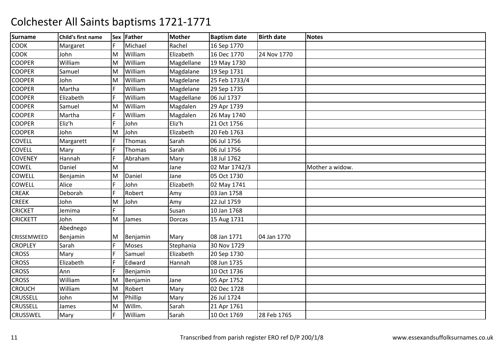| <b>Surname</b>  | Child's first name |     | Sex Father   | <b>Mother</b> | <b>Baptism date</b> | <b>Birth date</b> | <b>Notes</b>    |
|-----------------|--------------------|-----|--------------|---------------|---------------------|-------------------|-----------------|
| <b>COOK</b>     | Margaret           | F   | Michael      | Rachel        | 16 Sep 1770         |                   |                 |
| COOK            | John               | M   | William      | Elizabeth     | 16 Dec 1770         | 24 Nov 1770       |                 |
| <b>COOPER</b>   | William            | M   | William      | Magdellane    | 19 May 1730         |                   |                 |
| <b>COOPER</b>   | Samuel             | M   | William      | Magdalane     | 19 Sep 1731         |                   |                 |
| <b>COOPER</b>   | John               | M   | William      | Magdelane     | 25 Feb 1733/4       |                   |                 |
| <b>COOPER</b>   | Martha             | F   | William      | Magdelane     | 29 Sep 1735         |                   |                 |
| <b>COOPER</b>   | Elizabeth          | F   | William      | Magdellane    | 06 Jul 1737         |                   |                 |
| <b>COOPER</b>   | Samuel             | M   | William      | Magdalen      | 29 Apr 1739         |                   |                 |
| <b>COOPER</b>   | Martha             | IF. | William      | Magdalen      | 26 May 1740         |                   |                 |
| <b>COOPER</b>   | Eliz'h             | F   | John         | Eliz'h        | 21 Oct 1756         |                   |                 |
| <b>COOPER</b>   | John               | ΙM  | John         | Elizabeth     | 20 Feb 1763         |                   |                 |
| COVELL          | Margarett          |     | Thomas       | Sarah         | 06 Jul 1756         |                   |                 |
| <b>COVELL</b>   | Mary               | IF. | Thomas       | Sarah         | 06 Jul 1756         |                   |                 |
| <b>COVENEY</b>  | Hannah             | F   | Abraham      | Mary          | 18 Jul 1762         |                   |                 |
| COWEL           | Daniel             | lм  |              | Jane          | 02 Mar 1742/3       |                   | Mother a widow. |
| COWELL          | Benjamin           | M   | Daniel       | Jane          | 05 Oct 1730         |                   |                 |
| COWELL          | Alice              | F   | John         | Elizabeth     | 02 May 1741         |                   |                 |
| <b>CREAK</b>    | Deborah            | F   | Robert       | Amy           | 03 Jan 1758         |                   |                 |
| <b>CREEK</b>    | John               | M   | John         | Amy           | 22 Jul 1759         |                   |                 |
| <b>CRICKET</b>  | Jemima             |     |              | Susan         | 10 Jan 1768         |                   |                 |
| <b>CRICKETT</b> | John               | M   | James        | Dorcas        | 15 Aug 1731         |                   |                 |
|                 | Abednego           |     |              |               |                     |                   |                 |
| CRISSEMWEED     | Benjamin           | M   | Benjamin     | Mary          | 08 Jan 1771         | 04 Jan 1770       |                 |
| <b>CROPLEY</b>  | Sarah              | F   | <b>Moses</b> | Stephania     | 30 Nov 1729         |                   |                 |
| <b>CROSS</b>    | Mary               | F   | Samuel       | Elizabeth     | 20 Sep 1730         |                   |                 |
| <b>CROSS</b>    | Elizabeth          | F   | Edward       | Hannah        | 08 Jun 1735         |                   |                 |
| <b>CROSS</b>    | Ann                |     | Benjamin     |               | 10 Oct 1736         |                   |                 |
| <b>CROSS</b>    | William            | M   | Benjamin     | Jane          | 05 Apr 1752         |                   |                 |
| <b>CROUCH</b>   | William            | M   | Robert       | Mary          | 02 Dec 1728         |                   |                 |
| <b>CRUSSELL</b> | John               | M   | Phillip      | Mary          | 26 Jul 1724         |                   |                 |
| <b>CRUSSELL</b> | James              | M   | Willm.       | Sarah         | 21 Apr 1761         |                   |                 |
| <b>CRUSSWEL</b> | Mary               | IF. | William      | Sarah         | 10 Oct 1769         | 28 Feb 1765       |                 |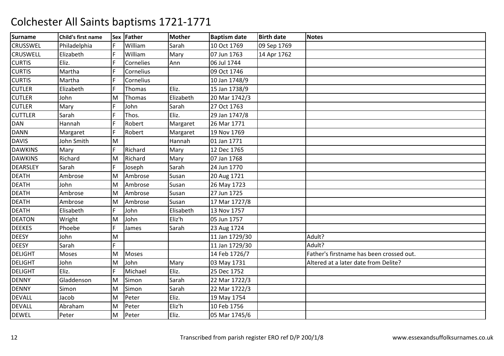| <b>Surname</b>  | Child's first name |     | Sex Father   | <b>Mother</b> | <b>Baptism date</b> | <b>Birth date</b> | <b>Notes</b>                             |
|-----------------|--------------------|-----|--------------|---------------|---------------------|-------------------|------------------------------------------|
| <b>CRUSSWEL</b> | Philadelphia       | F   | William      | Sarah         | 10 Oct 1769         | 09 Sep 1769       |                                          |
| <b>CRUSWELL</b> | Elizabeth          | IF. | William      | Mary          | 07 Jun 1763         | 14 Apr 1762       |                                          |
| <b>CURTIS</b>   | Eliz.              | IF  | Cornelies    | Ann           | 06 Jul 1744         |                   |                                          |
| <b>CURTIS</b>   | Martha             | F   | Cornelius    |               | 09 Oct 1746         |                   |                                          |
| <b>CURTIS</b>   | Martha             | IF. | Cornelius    |               | 10 Jan 1748/9       |                   |                                          |
| <b>CUTLER</b>   | Elizabeth          | IF. | Thomas       | Eliz.         | 15 Jan 1738/9       |                   |                                          |
| <b>CUTLER</b>   | John               | M   | Thomas       | Elizabeth     | 20 Mar 1742/3       |                   |                                          |
| <b>CUTLER</b>   | Mary               |     | John         | Sarah         | 27 Oct 1763         |                   |                                          |
| <b>CUTTLER</b>  | Sarah              | IF. | Thos.        | Eliz.         | 29 Jan 1747/8       |                   |                                          |
| <b>DAN</b>      | Hannah             | F   | Robert       | Margaret      | 26 Mar 1771         |                   |                                          |
| <b>DANN</b>     | Margaret           |     | Robert       | Margaret      | 19 Nov 1769         |                   |                                          |
| <b>DAVIS</b>    | John Smith         | M   |              | Hannah        | 01 Jan 1771         |                   |                                          |
| <b>DAWKINS</b>  | Mary               | F   | Richard      | Mary          | 12 Dec 1765         |                   |                                          |
| <b>DAWKINS</b>  | Richard            | M   | Richard      | Mary          | 07 Jan 1768         |                   |                                          |
| <b>DEARSLEY</b> | Sarah              | F   | Joseph       | Sarah         | 24 Jun 1770         |                   |                                          |
| <b>DEATH</b>    | Ambrose            | lм  | Ambrose      | Susan         | 20 Aug 1721         |                   |                                          |
| <b>DEATH</b>    | John               | M   | Ambrose      | Susan         | 26 May 1723         |                   |                                          |
| <b>DEATH</b>    | Ambrose            | M   | Ambrose      | Susan         | 27 Jun 1725         |                   |                                          |
| <b>DEATH</b>    | Ambrose            | M   | Ambrose      | Susan         | 17 Mar 1727/8       |                   |                                          |
| <b>DEATH</b>    | Elisabeth          | F   | John         | Elisabeth     | 13 Nov 1757         |                   |                                          |
| <b>DEATON</b>   | Wright             | M   | John         | Eliz'h        | 05 Jun 1757         |                   |                                          |
| <b>DEEKES</b>   | Phoebe             | IF. | James        | Sarah         | 23 Aug 1724         |                   |                                          |
| <b>DEESY</b>    | John               | M   |              |               | 11 Jan 1729/30      |                   | Adult?                                   |
| <b>DEESY</b>    | Sarah              |     |              |               | 11 Jan 1729/30      |                   | Adult?                                   |
| <b>DELIGHT</b>  | Moses              | M   | <b>Moses</b> |               | 14 Feb 1726/7       |                   | Father's firstname has been crossed out. |
| <b>DELIGHT</b>  | John               | ΙM  | John         | Mary          | 03 May 1731         |                   | Altered at a later date from Delite?     |
| <b>DELIGHT</b>  | Eliz.              | F   | Michael      | Eliz.         | 25 Dec 1752         |                   |                                          |
| <b>DENNY</b>    | Gladdenson         | M   | Simon        | Sarah         | 22 Mar 1722/3       |                   |                                          |
| <b>DENNY</b>    | Simon              | M   | Simon        | Sarah         | 22 Mar 1722/3       |                   |                                          |
| <b>DEVALL</b>   | Jacob              | M   | Peter        | Eliz.         | 19 May 1754         |                   |                                          |
| <b>DEVALL</b>   | Abraham            | M   | Peter        | Eliz'h        | 10 Feb 1756         |                   |                                          |
| <b>DEWEL</b>    | Peter              | M   | Peter        | Eliz.         | 05 Mar 1745/6       |                   |                                          |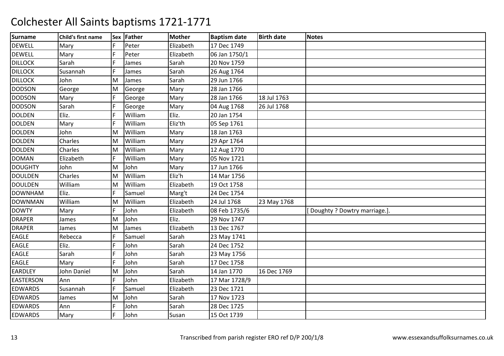| <b>Surname</b>   | Child's first name |     | Sex Father | Mother    | <b>Baptism date</b> | <b>Birth date</b> | <b>Notes</b>                 |
|------------------|--------------------|-----|------------|-----------|---------------------|-------------------|------------------------------|
| <b>DEWELL</b>    | Mary               | IF. | Peter      | Elizabeth | 17 Dec 1749         |                   |                              |
| <b>DEWELL</b>    | Mary               | F   | Peter      | Elizabeth | 06 Jan 1750/1       |                   |                              |
| <b>DILLOCK</b>   | Sarah              |     | James      | Sarah     | 20 Nov 1759         |                   |                              |
| <b>DILLOCK</b>   | Susannah           | F   | James      | Sarah     | 26 Aug 1764         |                   |                              |
| <b>DILLOCK</b>   | John               | M   | James      | Sarah     | 29 Jun 1766         |                   |                              |
| <b>DODSON</b>    | George             | M   | George     | Mary      | 28 Jan 1766         |                   |                              |
| <b>DODSON</b>    | Mary               | F   | George     | Mary      | 28 Jan 1766         | 18 Jul 1763       |                              |
| <b>DODSON</b>    | Sarah              |     | George     | Mary      | 04 Aug 1768         | 26 Jul 1768       |                              |
| <b>DOLDEN</b>    | Eliz.              | F   | William    | Eliz.     | 20 Jan 1754         |                   |                              |
| <b>DOLDEN</b>    | Mary               |     | William    | Eliz'th   | 05 Sep 1761         |                   |                              |
| <b>DOLDEN</b>    | John               | M   | William    | Mary      | 18 Jan 1763         |                   |                              |
| <b>DOLDEN</b>    | Charles            | M   | William    | Mary      | 29 Apr 1764         |                   |                              |
| <b>DOLDEN</b>    | Charles            | M   | William    | Mary      | 12 Aug 1770         |                   |                              |
| <b>DOMAN</b>     | Elizabeth          | F   | William    | Mary      | 05 Nov 1721         |                   |                              |
| <b>DOUGHTY</b>   | John               | M   | John       | Mary      | 17 Jun 1766         |                   |                              |
| <b>DOULDEN</b>   | Charles            | M   | William    | Eliz'h    | 14 Mar 1756         |                   |                              |
| <b>DOULDEN</b>   | William            | M   | William    | Elizabeth | 19 Oct 1758         |                   |                              |
| <b>DOWNHAM</b>   | Eliz.              | F   | Samuel     | Marg't    | 24 Dec 1754         |                   |                              |
| <b>DOWNMAN</b>   | William            | M   | William    | Elizabeth | 24 Jul 1768         | 23 May 1768       |                              |
| <b>DOWTY</b>     | Mary               | F   | John       | Elizabeth | 08 Feb 1735/6       |                   | Doughty ? Dowtry marriage.]. |
| <b>DRAPER</b>    | James              | M   | John       | Eliz.     | 29 Nov 1747         |                   |                              |
| <b>DRAPER</b>    | James              | M   | James      | Elizabeth | 13 Dec 1767         |                   |                              |
| <b>EAGLE</b>     | Rebecca            |     | Samuel     | Sarah     | 23 May 1741         |                   |                              |
| EAGLE            | Eliz.              | F   | John       | Sarah     | 24 Dec 1752         |                   |                              |
| EAGLE            | Sarah              | E   | John       | Sarah     | 23 May 1756         |                   |                              |
| <b>EAGLE</b>     | Mary               |     | John       | Sarah     | 17 Dec 1758         |                   |                              |
| EARDLEY          | John Daniel        | M   | John       | Sarah     | 14 Jan 1770         | 16 Dec 1769       |                              |
| <b>EASTERSON</b> | Ann                | IF. | John       | Elizabeth | 17 Mar 1728/9       |                   |                              |
| <b>EDWARDS</b>   | Susannah           | F   | Samuel     | Elizabeth | 23 Dec 1721         |                   |                              |
| <b>EDWARDS</b>   | James              | M   | John       | Sarah     | 17 Nov 1723         |                   |                              |
| <b>EDWARDS</b>   | Ann                |     | John       | Sarah     | 28 Dec 1725         |                   |                              |
| <b>EDWARDS</b>   | Mary               | IF. | John       | Susan     | 15 Oct 1739         |                   |                              |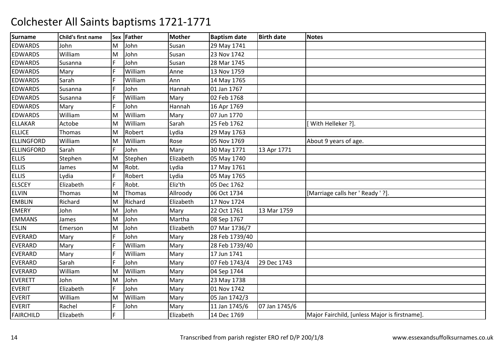| <b>Surname</b>    | Child's first name |     | Sex Father | <b>Mother</b> | <b>Baptism date</b> | <b>Birth date</b> | <b>Notes</b>                                  |
|-------------------|--------------------|-----|------------|---------------|---------------------|-------------------|-----------------------------------------------|
| <b>EDWARDS</b>    | John               | M   | John       | Susan         | 29 May 1741         |                   |                                               |
| <b>EDWARDS</b>    | William            | M   | John       | Susan         | 23 Nov 1742         |                   |                                               |
| <b>EDWARDS</b>    | Susanna            |     | John       | Susan         | 28 Mar 1745         |                   |                                               |
| <b>EDWARDS</b>    | Mary               |     | William    | Anne          | 13 Nov 1759         |                   |                                               |
| <b>EDWARDS</b>    | Sarah              | IF. | William    | Ann           | 14 May 1765         |                   |                                               |
| <b>EDWARDS</b>    | Susanna            | F   | John       | Hannah        | 01 Jan 1767         |                   |                                               |
| <b>EDWARDS</b>    | Susanna            | IF  | William    | Mary          | 02 Feb 1768         |                   |                                               |
| <b>EDWARDS</b>    | Mary               | F   | John       | Hannah        | 16 Apr 1769         |                   |                                               |
| <b>EDWARDS</b>    | William            | M   | William    | Mary          | 07 Jun 1770         |                   |                                               |
| <b>ELLAKAR</b>    | Actobe             | M   | William    | Sarah         | 25 Feb 1762         |                   | With Helleker ?].                             |
| <b>ELLICE</b>     | Thomas             | M   | Robert     | Lydia         | 29 May 1763         |                   |                                               |
| <b>ELLINGFORD</b> | William            | M   | William    | Rose          | 05 Nov 1769         |                   | About 9 years of age.                         |
| <b>ELLINGFORD</b> | Sarah              | IF. | John       | Mary          | 30 May 1771         | 13 Apr 1771       |                                               |
| <b>ELLIS</b>      | Stephen            | M   | Stephen    | Elizabeth     | 05 May 1740         |                   |                                               |
| <b>ELLIS</b>      | James              | M   | Robt.      | Lydia         | 17 May 1761         |                   |                                               |
| <b>ELLIS</b>      | Lydia              |     | Robert     | Lydia         | 05 May 1765         |                   |                                               |
| <b>ELSCEY</b>     | Elizabeth          | IF. | Robt.      | Eliz'th       | 05 Dec 1762         |                   |                                               |
| <b>ELVIN</b>      | Thomas             | M   | Thomas     | Allroody      | 06 Oct 1734         |                   | [Marriage calls her ' Ready ' ?].             |
| <b>EMBLIN</b>     | Richard            | M   | Richard    | Elizabeth     | 17 Nov 1724         |                   |                                               |
| <b>EMERY</b>      | John               | M   | John       | Mary          | 22 Oct 1761         | 13 Mar 1759       |                                               |
| <b>EMMANS</b>     | James              | M   | John       | Martha        | 08 Sep 1767         |                   |                                               |
| <b>ESLIN</b>      | Emerson            | M   | John       | Elizabeth     | 07 Mar 1736/7       |                   |                                               |
| <b>EVERARD</b>    | Mary               |     | John       | Mary          | 28 Feb 1739/40      |                   |                                               |
| EVERARD           | Mary               |     | William    | Mary          | 28 Feb 1739/40      |                   |                                               |
| <b>EVERARD</b>    | Mary               | IF. | William    | Mary          | 17 Jun 1741         |                   |                                               |
| <b>EVERARD</b>    | Sarah              |     | John       | Mary          | 07 Feb 1743/4       | 29 Dec 1743       |                                               |
| <b>EVERARD</b>    | William            | M   | William    | Mary          | 04 Sep 1744         |                   |                                               |
| <b>EVERETT</b>    | John               | M   | John       | Mary          | 23 May 1738         |                   |                                               |
| <b>EVERIT</b>     | Elizabeth          | IF. | John       | Mary          | 01 Nov 1742         |                   |                                               |
| <b>EVERIT</b>     | William            | M   | William    | Mary          | 05 Jan 1742/3       |                   |                                               |
| <b>EVERIT</b>     | Rachel             | F   | John       | Mary          | 11 Jan 1745/6       | 07 Jan 1745/6     |                                               |
| <b>FAIRCHILD</b>  | Elizabeth          |     |            | Elizabeth     | 14 Dec 1769         |                   | Major Fairchild, [unless Major is firstname]. |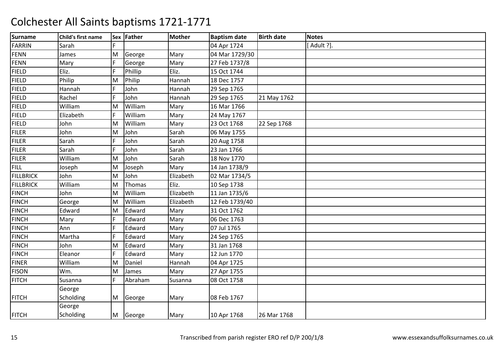| <b>Surname</b>   | Child's first name |     | Sex Father | Mother    | <b>Baptism date</b> | <b>Birth date</b> | <b>Notes</b> |
|------------------|--------------------|-----|------------|-----------|---------------------|-------------------|--------------|
| <b>FARRIN</b>    | Sarah              | F   |            |           | 04 Apr 1724         |                   | [Adult ?].   |
| <b>FENN</b>      | James              | M   | George     | Mary      | 04 Mar 1729/30      |                   |              |
| <b>FENN</b>      | Mary               | F   | George     | Mary      | 27 Feb 1737/8       |                   |              |
| <b>FIELD</b>     | Eliz.              | F   | Phillip    | Eliz.     | 15 Oct 1744         |                   |              |
| <b>FIELD</b>     | Philip             | M   | Philip     | Hannah    | 18 Dec 1757         |                   |              |
| <b>FIELD</b>     | Hannah             | lF. | John       | Hannah    | 29 Sep 1765         |                   |              |
| <b>FIELD</b>     | Rachel             | lF  | John       | Hannah    | 29 Sep 1765         | 21 May 1762       |              |
| <b>FIELD</b>     | William            | M   | William    | Mary      | 16 Mar 1766         |                   |              |
| <b>FIELD</b>     | Elizabeth          | F   | William    | Mary      | 24 May 1767         |                   |              |
| <b>FIELD</b>     | John               | M   | William    | Mary      | 23 Oct 1768         | 22 Sep 1768       |              |
| <b>FILER</b>     | John               | M   | John       | Sarah     | 06 May 1755         |                   |              |
| <b>FILER</b>     | Sarah              | F   | John       | Sarah     | 20 Aug 1758         |                   |              |
| <b>FILER</b>     | Sarah              | F   | John       | Sarah     | 23 Jan 1766         |                   |              |
| <b>FILER</b>     | William            | M   | John       | Sarah     | 18 Nov 1770         |                   |              |
| <b>FILL</b>      | Joseph             | M   | Joseph     | Mary      | 14 Jan 1738/9       |                   |              |
| <b>FILLBRICK</b> | John               | M   | John       | Elizabeth | 02 Mar 1734/5       |                   |              |
| <b>FILLBRICK</b> | William            | M   | Thomas     | Eliz.     | 10 Sep 1738         |                   |              |
| <b>FINCH</b>     | John               | M   | William    | Elizabeth | 11 Jan 1735/6       |                   |              |
| <b>FINCH</b>     | George             | M   | William    | Elizabeth | 12 Feb 1739/40      |                   |              |
| <b>FINCH</b>     | Edward             | M   | Edward     | Mary      | 31 Oct 1762         |                   |              |
| <b>FINCH</b>     | Mary               | F   | Edward     | Mary      | 06 Dec 1763         |                   |              |
| <b>FINCH</b>     | Ann                |     | Edward     | Mary      | 07 Jul 1765         |                   |              |
| <b>FINCH</b>     | Martha             | F   | Edward     | Mary      | 24 Sep 1765         |                   |              |
| <b>FINCH</b>     | John               | M   | Edward     | Mary      | 31 Jan 1768         |                   |              |
| <b>FINCH</b>     | Eleanor            | F   | Edward     | Mary      | 12 Jun 1770         |                   |              |
| <b>FINER</b>     | William            | M   | Daniel     | Hannah    | 04 Apr 1725         |                   |              |
| <b>FISON</b>     | Wm.                | M   | James      | Mary      | 27 Apr 1755         |                   |              |
| <b>FITCH</b>     | Susanna            | IF. | Abraham    | Susanna   | 08 Oct 1758         |                   |              |
|                  | George             |     |            |           |                     |                   |              |
| <b>FITCH</b>     | Scholding          | M   | George     | Mary      | 08 Feb 1767         |                   |              |
|                  | George             |     |            |           |                     |                   |              |
| <b>FITCH</b>     | Scholding          |     | M George   | Mary      | 10 Apr 1768         | 26 Mar 1768       |              |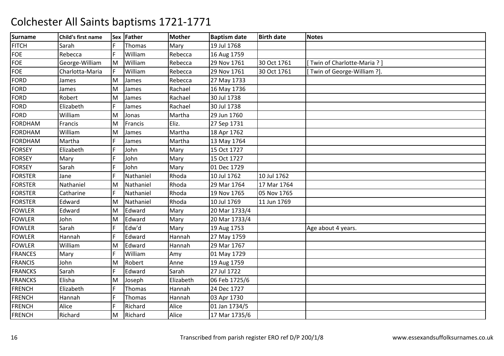| <b>Surname</b> | Child's first name |     | Sex Father | <b>Mother</b> | <b>Baptism date</b> | <b>Birth date</b> | <b>Notes</b>               |
|----------------|--------------------|-----|------------|---------------|---------------------|-------------------|----------------------------|
| <b>FITCH</b>   | Sarah              | IF. | Thomas     | Mary          | 19 Jul 1768         |                   |                            |
| <b>FOE</b>     | Rebecca            | IF. | William    | Rebecca       | 16 Aug 1759         |                   |                            |
| <b>FOE</b>     | George-William     | M   | William    | Rebecca       | 29 Nov 1761         | 30 Oct 1761       | Twin of Charlotte-Maria?]  |
| <b>FOE</b>     | Charlotta-Maria    |     | William    | Rebecca       | 29 Nov 1761         | 30 Oct 1761       | Twin of George-William ?]. |
| FORD           | James              | ΙM  | James      | Rebecca       | 27 May 1733         |                   |                            |
| <b>FORD</b>    | James              | M   | James      | Rachael       | 16 May 1736         |                   |                            |
| <b>FORD</b>    | Robert             | M   | James      | Rachael       | 30 Jul 1738         |                   |                            |
| <b>FORD</b>    | Elizabeth          |     | James      | Rachael       | 30 Jul 1738         |                   |                            |
| <b>FORD</b>    | William            | M   | Jonas      | Martha        | 29 Jun 1760         |                   |                            |
| <b>FORDHAM</b> | Francis            | M   | Francis    | Eliz.         | 27 Sep 1731         |                   |                            |
| <b>FORDHAM</b> | William            | M   | James      | Martha        | 18 Apr 1762         |                   |                            |
| <b>FORDHAM</b> | Martha             |     | James      | Martha        | 13 May 1764         |                   |                            |
| <b>FORSEY</b>  | Elizabeth          |     | John       | Mary          | 15 Oct 1727         |                   |                            |
| <b>FORSEY</b>  | Mary               | F   | John       | Mary          | 15 Oct 1727         |                   |                            |
| <b>FORSEY</b>  | Sarah              |     | John       | Mary          | 01 Dec 1729         |                   |                            |
| <b>FORSTER</b> | Jane               |     | Nathaniel  | Rhoda         | 10 Jul 1762         | 10 Jul 1762       |                            |
| <b>FORSTER</b> | Nathaniel          | M   | Nathaniel  | Rhoda         | 29 Mar 1764         | 17 Mar 1764       |                            |
| <b>FORSTER</b> | Catharine          | F   | Nathaniel  | Rhoda         | 19 Nov 1765         | 05 Nov 1765       |                            |
| <b>FORSTER</b> | Edward             | M   | Nathaniel  | Rhoda         | 10 Jul 1769         | 11 Jun 1769       |                            |
| <b>FOWLER</b>  | Edward             | M   | Edward     | Mary          | 20 Mar 1733/4       |                   |                            |
| <b>FOWLER</b>  | John               | M   | Edward     | Mary          | 20 Mar 1733/4       |                   |                            |
| <b>FOWLER</b>  | Sarah              | F   | Edw'd      | Mary          | 19 Aug 1753         |                   | Age about 4 years.         |
| <b>FOWLER</b>  | Hannah             | F   | Edward     | Hannah        | 27 May 1759         |                   |                            |
| <b>FOWLER</b>  | William            | ΙM  | Edward     | Hannah        | 29 Mar 1767         |                   |                            |
| <b>FRANCES</b> | Mary               |     | William    | Amy           | 01 May 1729         |                   |                            |
| <b>FRANCIS</b> | John               | M   | Robert     | Anne          | 19 Aug 1759         |                   |                            |
| <b>FRANCKS</b> | Sarah              | F   | Edward     | Sarah         | 27 Jul 1722         |                   |                            |
| <b>FRANCKS</b> | Elisha             | M   | Joseph     | Elizabeth     | 06 Feb 1725/6       |                   |                            |
| <b>FRENCH</b>  | Elizabeth          |     | Thomas     | Hannah        | 24 Dec 1727         |                   |                            |
| <b>FRENCH</b>  | Hannah             | IF. | Thomas     | Hannah        | 03 Apr 1730         |                   |                            |
| <b>FRENCH</b>  | Alice              | F   | Richard    | Alice         | 01 Jan 1734/5       |                   |                            |
| <b>FRENCH</b>  | Richard            | M   | Richard    | Alice         | 17 Mar 1735/6       |                   |                            |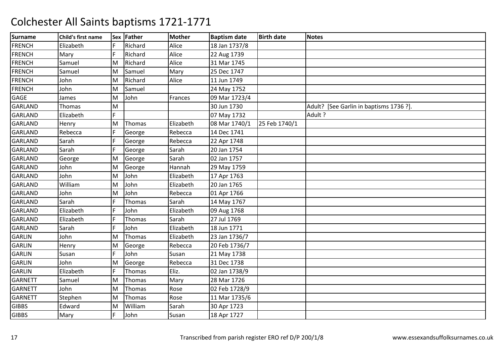| <b>Surname</b> | Child's first name |    | Sex Father    | <b>Mother</b> | <b>Baptism date</b> | <b>Birth date</b> | <b>Notes</b>                            |
|----------------|--------------------|----|---------------|---------------|---------------------|-------------------|-----------------------------------------|
| <b>FRENCH</b>  | Elizabeth          | F  | Richard       | Alice         | 18 Jan 1737/8       |                   |                                         |
| <b>FRENCH</b>  | Mary               | F  | Richard       | Alice         | 22 Aug 1739         |                   |                                         |
| <b>FRENCH</b>  | Samuel             | M  | Richard       | Alice         | 31 Mar 1745         |                   |                                         |
| <b>FRENCH</b>  | Samuel             | M  | Samuel        | Mary          | 25 Dec 1747         |                   |                                         |
| <b>FRENCH</b>  | John               | M  | Richard       | Alice         | 11 Jun 1749         |                   |                                         |
| <b>FRENCH</b>  | John               | M  | Samuel        |               | 24 May 1752         |                   |                                         |
| <b>GAGE</b>    | James              | M  | John          | Frances       | 09 Mar 1723/4       |                   |                                         |
| <b>GARLAND</b> | Thomas             | M  |               |               | 30 Jun 1730         |                   | Adult? [See Garlin in baptisms 1736 ?]. |
| <b>GARLAND</b> | Elizabeth          | F. |               |               | 07 May 1732         |                   | Adult ?                                 |
| <b>GARLAND</b> | Henry              | M  | Thomas        | Elizabeth     | 08 Mar 1740/1       | 25 Feb 1740/1     |                                         |
| <b>GARLAND</b> | Rebecca            |    | George        | Rebecca       | 14 Dec 1741         |                   |                                         |
| GARLAND        | Sarah              | F  | George        | Rebecca       | 22 Apr 1748         |                   |                                         |
| <b>GARLAND</b> | Sarah              | F  | George        | Sarah         | 20 Jan 1754         |                   |                                         |
| <b>GARLAND</b> | George             | M  | George        | Sarah         | 02 Jan 1757         |                   |                                         |
| <b>GARLAND</b> | John               | M  | George        | Hannah        | 29 May 1759         |                   |                                         |
| GARLAND        | John               | M  | John          | Elizabeth     | 17 Apr 1763         |                   |                                         |
| <b>GARLAND</b> | William            | M  | John          | Elizabeth     | 20 Jan 1765         |                   |                                         |
| <b>GARLAND</b> | John               | M  | John          | Rebecca       | 01 Apr 1766         |                   |                                         |
| <b>GARLAND</b> | Sarah              |    | Thomas        | Sarah         | 14 May 1767         |                   |                                         |
| <b>GARLAND</b> | Elizabeth          | F  | John          | Elizabeth     | 09 Aug 1768         |                   |                                         |
| <b>GARLAND</b> | Elizabeth          | F  | Thomas        | Sarah         | 27 Jul 1769         |                   |                                         |
| <b>GARLAND</b> | Sarah              | F  | John          | Elizabeth     | 18 Jun 1771         |                   |                                         |
| <b>GARLIN</b>  | John               | M  | Thomas        | Elizabeth     | 23 Jan 1736/7       |                   |                                         |
| <b>GARLIN</b>  | Henry              | M  | George        | Rebecca       | 20 Feb 1736/7       |                   |                                         |
| <b>GARLIN</b>  | Susan              | F  | John          | Susan         | 21 May 1738         |                   |                                         |
| <b>GARLIN</b>  | John               | M  | George        | Rebecca       | 31 Dec 1738         |                   |                                         |
| <b>GARLIN</b>  | Elizabeth          | F  | <b>Thomas</b> | Eliz.         | 02 Jan 1738/9       |                   |                                         |
| <b>GARNETT</b> | Samuel             | M  | Thomas        | Mary          | 28 Mar 1726         |                   |                                         |
| <b>GARNETT</b> | John               | M  | Thomas        | Rose          | 02 Feb 1728/9       |                   |                                         |
| <b>GARNETT</b> | Stephen            | M  | Thomas        | Rose          | 11 Mar 1735/6       |                   |                                         |
| <b>GIBBS</b>   | Edward             | M  | William       | Sarah         | 30 Apr 1723         |                   |                                         |
| <b>GIBBS</b>   | Mary               | F  | John          | Susan         | 18 Apr 1727         |                   |                                         |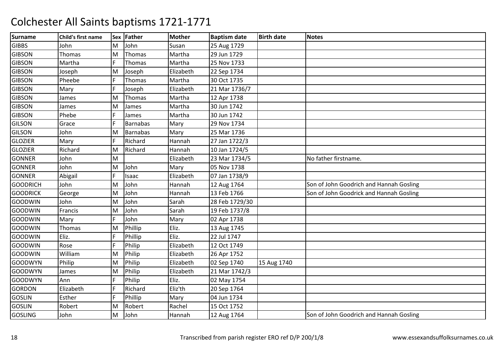| <b>Surname</b>  | Child's first name |     | Sex Father      | <b>Mother</b> | <b>Baptism date</b> | <b>Birth date</b> | <b>Notes</b>                            |
|-----------------|--------------------|-----|-----------------|---------------|---------------------|-------------------|-----------------------------------------|
| <b>GIBBS</b>    | John               | M   | John            | Susan         | 25 Aug 1729         |                   |                                         |
| <b>GIBSON</b>   | Thomas             | M   | Thomas          | Martha        | 29 Jun 1729         |                   |                                         |
| <b>GIBSON</b>   | Martha             |     | Thomas          | Martha        | 25 Nov 1733         |                   |                                         |
| <b>GIBSON</b>   | Joseph             | M   | Joseph          | Elizabeth     | 22 Sep 1734         |                   |                                         |
| <b>GIBSON</b>   | Pheebe             | IF. | Thomas          | Martha        | 30 Oct 1735         |                   |                                         |
| <b>GIBSON</b>   | Mary               | F   | Joseph          | Elizabeth     | 21 Mar 1736/7       |                   |                                         |
| <b>GIBSON</b>   | James              | M   | Thomas          | Martha        | 12 Apr 1738         |                   |                                         |
| <b>GIBSON</b>   | James              | M   | James           | Martha        | 30 Jun 1742         |                   |                                         |
| <b>GIBSON</b>   | Phebe              |     | James           | Martha        | 30 Jun 1742         |                   |                                         |
| <b>GILSON</b>   | Grace              | F   | <b>Barnabas</b> | Mary          | 29 Nov 1734         |                   |                                         |
| <b>GILSON</b>   | John               | M   | <b>Barnabas</b> | Mary          | 25 Mar 1736         |                   |                                         |
| <b>GLOZIER</b>  | Mary               |     | Richard         | Hannah        | 27 Jan 1722/3       |                   |                                         |
| <b>GLOZIER</b>  | Richard            | M   | Richard         | Hannah        | 10 Jan 1724/5       |                   |                                         |
| <b>GONNER</b>   | John               | M   |                 | Elizabeth     | 23 Mar 1734/5       |                   | No father firstname.                    |
| <b>GONNER</b>   | John               | M   | John            | Mary          | 05 Nov 1738         |                   |                                         |
| <b>GONNER</b>   | Abigail            | F   | Isaac           | Elizabeth     | 07 Jan 1738/9       |                   |                                         |
| <b>GOODRICH</b> | John               | M   | John            | Hannah        | 12 Aug 1764         |                   | Son of John Goodrich and Hannah Gosling |
| <b>GOODRICK</b> | George             | lм  | John            | Hannah        | 13 Feb 1766         |                   | Son of John Goodrick and Hannah Gosling |
| <b>GOODWIN</b>  | John               | M   | John            | Sarah         | 28 Feb 1729/30      |                   |                                         |
| <b>GOODWIN</b>  | Francis            | M   | John            | Sarah         | 19 Feb 1737/8       |                   |                                         |
| <b>GOODWIN</b>  | Mary               | F   | John            | Mary          | 02 Apr 1738         |                   |                                         |
| <b>GOODWIN</b>  | Thomas             | M   | Phillip         | Eliz.         | 13 Aug 1745         |                   |                                         |
| <b>GOODWIN</b>  | Eliz.              | F   | Phillip         | Eliz.         | 22 Jul 1747         |                   |                                         |
| <b>GOODWIN</b>  | Rose               | F   | Philip          | Elizabeth     | 12 Oct 1749         |                   |                                         |
| <b>GOODWIN</b>  | William            | M   | Philip          | Elizabeth     | 26 Apr 1752         |                   |                                         |
| <b>GOODWYN</b>  | Philip             | M   | Philip          | Elizabeth     | 02 Sep 1740         | 15 Aug 1740       |                                         |
| <b>GOODWYN</b>  | James              | M   | Philip          | Elizabeth     | 21 Mar 1742/3       |                   |                                         |
| <b>GOODWYN</b>  | Ann                | IF. | Philip          | Eliz.         | 02 May 1754         |                   |                                         |
| <b>GORDON</b>   | Elizabeth          |     | Richard         | Eliz'th       | 20 Sep 1764         |                   |                                         |
| <b>GOSLIN</b>   | Esther             | F   | Phillip         | Mary          | 04 Jun 1734         |                   |                                         |
| <b>GOSLIN</b>   | Robert             | M   | Robert          | Rachel        | 15 Oct 1752         |                   |                                         |
| <b>GOSLING</b>  | John               | M   | John            | Hannah        | 12 Aug 1764         |                   | Son of John Goodrich and Hannah Gosling |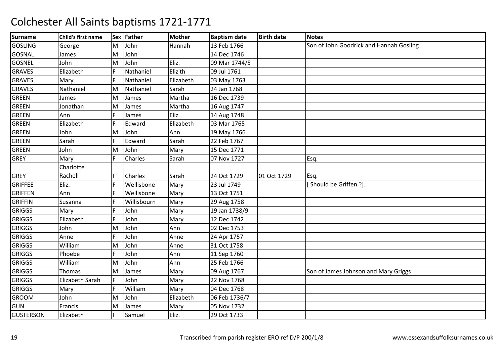| <b>Surname</b>   | Child's first name |    | Sex Father  | <b>Mother</b> | <b>Baptism date</b> | <b>Birth date</b> | <b>Notes</b>                            |
|------------------|--------------------|----|-------------|---------------|---------------------|-------------------|-----------------------------------------|
| <b>GOSLING</b>   | George             | M  | John        | Hannah        | 13 Feb 1766         |                   | Son of John Goodrick and Hannah Gosling |
| GOSNAL           | James              | M  | John        |               | 14 Dec 1746         |                   |                                         |
| <b>GOSNEL</b>    | John               | M  | John        | Eliz.         | 09 Mar 1744/5       |                   |                                         |
| <b>GRAVES</b>    | Elizabeth          |    | Nathaniel   | Eliz'th       | 09 Jul 1761         |                   |                                         |
| <b>GRAVES</b>    | Mary               | F. | Nathaniel   | Elizabeth     | 03 May 1763         |                   |                                         |
| <b>GRAVES</b>    | Nathaniel          | M  | Nathaniel   | Sarah         | 24 Jan 1768         |                   |                                         |
| <b>GREEN</b>     | James              | M  | James       | Martha        | 16 Dec 1739         |                   |                                         |
| GREEN            | Jonathan           | M  | James       | Martha        | 16 Aug 1747         |                   |                                         |
| <b>GREEN</b>     | Ann                | F. | James       | Eliz.         | 14 Aug 1748         |                   |                                         |
| <b>GREEN</b>     | Elizabeth          | F. | Edward      | Elizabeth     | 03 Mar 1765         |                   |                                         |
| <b>GREEN</b>     | John               | M  | John        | Ann           | 19 May 1766         |                   |                                         |
| <b>GREEN</b>     | Sarah              |    | Edward      | Sarah         | 22 Feb 1767         |                   |                                         |
| <b>GREEN</b>     | John               | M  | John        | Mary          | 15 Dec 1771         |                   |                                         |
| <b>GREY</b>      | Mary               | F. | Charles     | Sarah         | 07 Nov 1727         |                   | Esq.                                    |
|                  | Charlotte          |    |             |               |                     |                   |                                         |
| <b>GREY</b>      | Rachell            | F  | Charles     | Sarah         | 24 Oct 1729         | 01 Oct 1729       | Esq.                                    |
| <b>GRIFFEE</b>   | Eliz.              | F  | Wellisbone  | Mary          | 23 Jul 1749         |                   | [Should be Griffen ?].                  |
| <b>GRIFFEN</b>   | Ann                | F  | Wellisbone  | Mary          | 13 Oct 1751         |                   |                                         |
| <b>GRIFFIN</b>   | Susanna            | E  | Willisbourn | Mary          | 29 Aug 1758         |                   |                                         |
| <b>GRIGGS</b>    | Mary               | F. | John        | Mary          | 19 Jan 1738/9       |                   |                                         |
| <b>GRIGGS</b>    | Elizabeth          | F  | John        | Mary          | 12 Dec 1742         |                   |                                         |
| <b>GRIGGS</b>    | John               | M  | John        | Ann           | 02 Dec 1753         |                   |                                         |
| <b>GRIGGS</b>    | Anne               | F  | John        | Anne          | 24 Apr 1757         |                   |                                         |
| <b>GRIGGS</b>    | William            | M  | John        | Anne          | 31 Oct 1758         |                   |                                         |
| <b>GRIGGS</b>    | Phoebe             | E  | John        | Ann           | 11 Sep 1760         |                   |                                         |
| <b>GRIGGS</b>    | William            | M  | John        | Ann           | 25 Feb 1766         |                   |                                         |
| <b>GRIGGS</b>    | Thomas             | M  | James       | Mary          | 09 Aug 1767         |                   | Son of James Johnson and Mary Griggs    |
| <b>GRIGGS</b>    | Elizabeth Sarah    | F  | John        | Mary          | 22 Nov 1768         |                   |                                         |
| <b>GRIGGS</b>    | Mary               | F  | William     | Mary          | 04 Dec 1768         |                   |                                         |
| <b>GROOM</b>     | John               | M  | John        | Elizabeth     | 06 Feb 1736/7       |                   |                                         |
| <b>GUN</b>       | Francis            | M  | James       | Mary          | 05 Nov 1732         |                   |                                         |
| <b>GUSTERSON</b> | Elizabeth          |    | Samuel      | Eliz.         | 29 Oct 1733         |                   |                                         |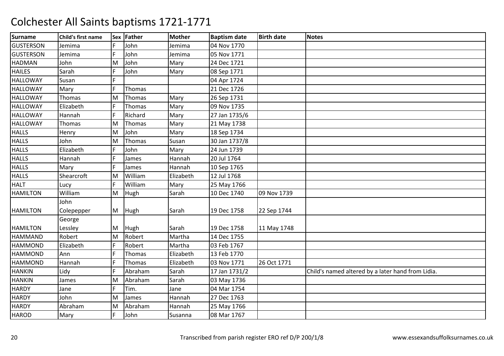| <b>Surname</b>   | Child's first name |    | Sex Father | <b>Mother</b> | <b>Baptism date</b> | <b>Birth date</b> | <b>Notes</b>                                      |
|------------------|--------------------|----|------------|---------------|---------------------|-------------------|---------------------------------------------------|
| <b>GUSTERSON</b> | Jemima             | F  | John       | Jemima        | 04 Nov 1770         |                   |                                                   |
| <b>GUSTERSON</b> | Jemima             | F  | John       | Jemima        | 05 Nov 1771         |                   |                                                   |
| <b>HADMAN</b>    | John               | M  | John       | Mary          | 24 Dec 1721         |                   |                                                   |
| <b>HAILES</b>    | Sarah              | F  | John       | Mary          | 08 Sep 1771         |                   |                                                   |
| <b>HALLOWAY</b>  | Susan              | F  |            |               | 04 Apr 1724         |                   |                                                   |
| <b>HALLOWAY</b>  | Mary               | F  | Thomas     |               | 21 Dec 1726         |                   |                                                   |
| <b>HALLOWAY</b>  | Thomas             | M  | Thomas     | Mary          | 26 Sep 1731         |                   |                                                   |
| <b>HALLOWAY</b>  | Elizabeth          | F. | Thomas     | Mary          | 09 Nov 1735         |                   |                                                   |
| <b>HALLOWAY</b>  | Hannah             | F  | Richard    | Mary          | 27 Jan 1735/6       |                   |                                                   |
| <b>HALLOWAY</b>  | Thomas             | M  | Thomas     | Mary          | 21 May 1738         |                   |                                                   |
| <b>HALLS</b>     | Henry              | M  | John       | Mary          | 18 Sep 1734         |                   |                                                   |
| <b>HALLS</b>     | John               | M  | Thomas     | Susan         | 30 Jan 1737/8       |                   |                                                   |
| <b>HALLS</b>     | Elizabeth          | F  | John       | Mary          | 24 Jun 1739         |                   |                                                   |
| <b>HALLS</b>     | Hannah             | F  | James      | Hannah        | 20 Jul 1764         |                   |                                                   |
| <b>HALLS</b>     | Mary               | F  | James      | Hannah        | 10 Sep 1765         |                   |                                                   |
| <b>HALLS</b>     | Shearcroft         | M  | William    | Elizabeth     | 12 Jul 1768         |                   |                                                   |
| <b>HALT</b>      | Lucy               | F  | William    | Mary          | 25 May 1766         |                   |                                                   |
| <b>HAMILTON</b>  | William            | M  | Hugh       | Sarah         | 10 Dec 1740         | 09 Nov 1739       |                                                   |
|                  | John               |    |            |               |                     |                   |                                                   |
| <b>HAMILTON</b>  | Colepepper         | M  | Hugh       | Sarah         | 19 Dec 1758         | 22 Sep 1744       |                                                   |
|                  | George             |    |            |               |                     |                   |                                                   |
| <b>HAMILTON</b>  | Lessley            | M  | Hugh       | Sarah         | 19 Dec 1758         | 11 May 1748       |                                                   |
| <b>HAMMAND</b>   | Robert             | M  | Robert     | Martha        | 14 Dec 1755         |                   |                                                   |
| <b>HAMMOND</b>   | Elizabeth          |    | Robert     | Martha        | 03 Feb 1767         |                   |                                                   |
| <b>HAMMOND</b>   | Ann                |    | Thomas     | Elizabeth     | 13 Feb 1770         |                   |                                                   |
| <b>HAMMOND</b>   | Hannah             |    | Thomas     | Elizabeth     | 03 Nov 1771         | 26 Oct 1771       |                                                   |
| <b>HANKIN</b>    | Lidy               |    | Abraham    | Sarah         | 17 Jan 1731/2       |                   | Child's named altered by a later hand from Lidia. |
| <b>HANKIN</b>    | James              | M  | Abraham    | Sarah         | 03 May 1736         |                   |                                                   |
| <b>HARDY</b>     | Jane               | F  | Tim.       | Jane          | 04 Mar 1754         |                   |                                                   |
| <b>HARDY</b>     | John               | M  | James      | Hannah        | 27 Dec 1763         |                   |                                                   |
| <b>HARDY</b>     | Abraham            | M  | Abraham    | Hannah        | 25 May 1766         |                   |                                                   |
| <b>HAROD</b>     | Mary               |    | John       | Susanna       | 08 Mar 1767         |                   |                                                   |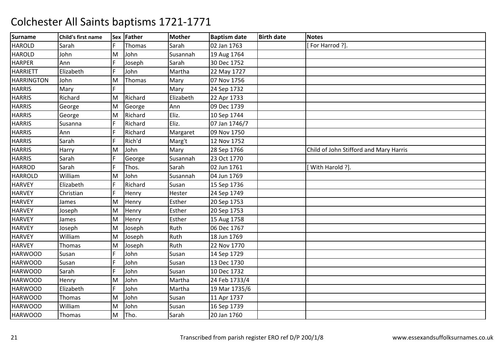| <b>Surname</b>    | Child's first name |    | Sex Father | <b>Mother</b> | <b>Baptism date</b> | <b>Birth date</b> | <b>Notes</b>                           |
|-------------------|--------------------|----|------------|---------------|---------------------|-------------------|----------------------------------------|
| <b>HAROLD</b>     | Sarah              | F  | Thomas     | Sarah         | 02 Jan 1763         |                   | For Harrod ?].                         |
| <b>HAROLD</b>     | John               | M  | John       | Susannah      | 19 Aug 1764         |                   |                                        |
| <b>HARPER</b>     | Ann                | F. | Joseph     | Sarah         | 30 Dec 1752         |                   |                                        |
| <b>HARRIETT</b>   | Elizabeth          |    | John       | Martha        | 22 May 1727         |                   |                                        |
| <b>HARRINGTON</b> | John               | M  | Thomas     | Mary          | 07 Nov 1756         |                   |                                        |
| <b>HARRIS</b>     | Mary               | F. |            | Mary          | 24 Sep 1732         |                   |                                        |
| <b>HARRIS</b>     | Richard            | M  | Richard    | Elizabeth     | 22 Apr 1733         |                   |                                        |
| <b>HARRIS</b>     | George             | M  | George     | Ann           | 09 Dec 1739         |                   |                                        |
| <b>HARRIS</b>     | George             | M  | Richard    | Eliz.         | 10 Sep 1744         |                   |                                        |
| <b>HARRIS</b>     | Susanna            | F. | Richard    | Eliz.         | 07 Jan 1746/7       |                   |                                        |
| <b>HARRIS</b>     | Ann                |    | Richard    | Margaret      | 09 Nov 1750         |                   |                                        |
| <b>HARRIS</b>     | Sarah              |    | Rich'd     | Marg't        | 12 Nov 1752         |                   |                                        |
| <b>HARRIS</b>     | Harry              | M  | John       | Mary          | 28 Sep 1766         |                   | Child of John Stifford and Mary Harris |
| <b>HARRIS</b>     | Sarah              | F. | George     | Susannah      | 23 Oct 1770         |                   |                                        |
| <b>HARROD</b>     | Sarah              | F  | Thos.      | Sarah         | 02 Jun 1761         |                   | With Harold ?].                        |
| <b>HARROLD</b>    | William            | M  | John       | Susannah      | 04 Jun 1769         |                   |                                        |
| <b>HARVEY</b>     | Elizabeth          | F. | Richard    | Susan         | 15 Sep 1736         |                   |                                        |
| <b>HARVEY</b>     | Christian          | F  | Henry      | Hester        | 24 Sep 1749         |                   |                                        |
| <b>HARVEY</b>     | James              | M  | Henry      | Esther        | 20 Sep 1753         |                   |                                        |
| <b>HARVEY</b>     | Joseph             | M  | Henry      | Esther        | 20 Sep 1753         |                   |                                        |
| <b>HARVEY</b>     | James              | M  | Henry      | Esther        | 15 Aug 1758         |                   |                                        |
| <b>HARVEY</b>     | Joseph             | M  | Joseph     | Ruth          | 06 Dec 1767         |                   |                                        |
| <b>HARVEY</b>     | William            | M  | Joseph     | Ruth          | 18 Jun 1769         |                   |                                        |
| <b>HARVEY</b>     | Thomas             | M  | Joseph     | Ruth          | 22 Nov 1770         |                   |                                        |
| <b>HARWOOD</b>    | Susan              |    | John       | Susan         | 14 Sep 1729         |                   |                                        |
| <b>HARWOOD</b>    | Susan              | F  | John       | Susan         | 13 Dec 1730         |                   |                                        |
| <b>HARWOOD</b>    | Sarah              | F. | John       | Susan         | 10 Dec 1732         |                   |                                        |
| <b>HARWOOD</b>    | Henry              | M  | John       | Martha        | 24 Feb 1733/4       |                   |                                        |
| <b>HARWOOD</b>    | Elizabeth          |    | John       | Martha        | 19 Mar 1735/6       |                   |                                        |
| <b>HARWOOD</b>    | Thomas             | M  | John       | Susan         | 11 Apr 1737         |                   |                                        |
| <b>HARWOOD</b>    | William            | M  | John       | Susan         | 16 Sep 1739         |                   |                                        |
| <b>HARWOOD</b>    | Thomas             | M  | Tho.       | Sarah         | 20 Jan 1760         |                   |                                        |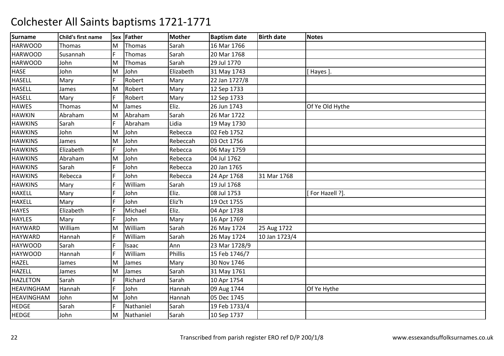| <b>Surname</b>    | Child's first name |    | Sex Father | <b>Mother</b> | <b>Baptism date</b> | <b>Birth date</b> | <b>Notes</b>    |
|-------------------|--------------------|----|------------|---------------|---------------------|-------------------|-----------------|
| <b>HARWOOD</b>    | Thomas             | M  | Thomas     | Sarah         | 16 Mar 1766         |                   |                 |
| <b>HARWOOD</b>    | Susannah           | F  | Thomas     | Sarah         | 20 Mar 1768         |                   |                 |
| <b>HARWOOD</b>    | John               | M  | Thomas     | Sarah         | 29 Jul 1770         |                   |                 |
| <b>HASE</b>       | John               | M  | John       | Elizabeth     | 31 May 1743         |                   | [ Hayes ].      |
| <b>HASELL</b>     | Mary               | F  | Robert     | Mary          | 22 Jan 1727/8       |                   |                 |
| <b>HASELL</b>     | James              | M  | Robert     | Mary          | 12 Sep 1733         |                   |                 |
| <b>HASELL</b>     | Mary               | F  | Robert     | Mary          | 12 Sep 1733         |                   |                 |
| <b>HAWES</b>      | Thomas             | M  | James      | Eliz.         | 26 Jun 1743         |                   | Of Ye Old Hythe |
| <b>HAWKIN</b>     | Abraham            | M  | Abraham    | Sarah         | 26 Mar 1722         |                   |                 |
| <b>HAWKINS</b>    | Sarah              | F. | Abraham    | Lidia         | 19 May 1730         |                   |                 |
| <b>HAWKINS</b>    | John               | M  | John       | Rebecca       | 02 Feb 1752         |                   |                 |
| <b>HAWKINS</b>    | James              | M  | John       | Rebeccah      | 03 Oct 1756         |                   |                 |
| <b>HAWKINS</b>    | Elizabeth          |    | John       | Rebecca       | 06 May 1759         |                   |                 |
| <b>HAWKINS</b>    | Abraham            | M  | John       | Rebecca       | 04 Jul 1762         |                   |                 |
| <b>HAWKINS</b>    | Sarah              | F  | John       | Rebecca       | 20 Jan 1765         |                   |                 |
| <b>HAWKINS</b>    | Rebecca            |    | John       | Rebecca       | 24 Apr 1768         | 31 Mar 1768       |                 |
| <b>HAWKINS</b>    | Mary               |    | William    | Sarah         | 19 Jul 1768         |                   |                 |
| <b>HAXELL</b>     | Mary               |    | John       | Eliz.         | 08 Jul 1753         |                   | [For Hazell ?]. |
| <b>HAXELL</b>     | Mary               |    | John       | Eliz'h        | 19 Oct 1755         |                   |                 |
| <b>HAYES</b>      | Elizabeth          |    | Michael    | Eliz.         | 04 Apr 1738         |                   |                 |
| <b>HAYLES</b>     | Mary               | F. | John       | Mary          | 16 Apr 1769         |                   |                 |
| <b>HAYWARD</b>    | William            | M  | William    | Sarah         | 26 May 1724         | 25 Aug 1722       |                 |
| <b>HAYWARD</b>    | Hannah             | F  | William    | Sarah         | 26 May 1724         | 10 Jan 1723/4     |                 |
| <b>HAYWOOD</b>    | Sarah              | F  | Isaac      | Ann           | 23 Mar 1728/9       |                   |                 |
| <b>HAYWOOD</b>    | Hannah             | F  | William    | Phillis       | 15 Feb 1746/7       |                   |                 |
| <b>HAZEL</b>      | James              | M  | James      | Mary          | 30 Nov 1746         |                   |                 |
| <b>HAZELL</b>     | James              | M  | James      | Sarah         | 31 May 1761         |                   |                 |
| <b>HAZLETON</b>   | Sarah              | F  | Richard    | Sarah         | 10 Apr 1754         |                   |                 |
| <b>HEAVINGHAM</b> | Hannah             |    | John       | Hannah        | 09 Aug 1744         |                   | Of Ye Hythe     |
| <b>HEAVINGHAM</b> | John               | M  | John       | Hannah        | 05 Dec 1745         |                   |                 |
| <b>HEDGE</b>      | Sarah              | F  | Nathaniel  | Sarah         | 19 Feb 1733/4       |                   |                 |
| <b>HEDGE</b>      | John               | lм | Nathaniel  | Sarah         | 10 Sep 1737         |                   |                 |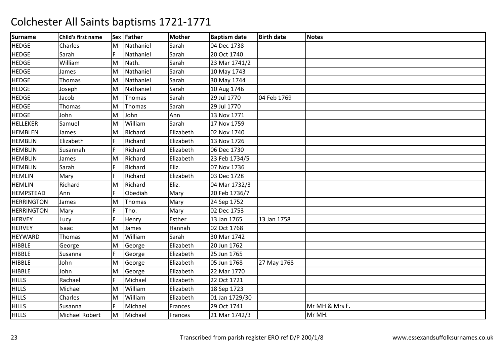| <b>Surname</b>    | Child's first name |     | Sex Father | Mother    | <b>Baptism date</b> | <b>Birth date</b> | <b>Notes</b>   |
|-------------------|--------------------|-----|------------|-----------|---------------------|-------------------|----------------|
| <b>HEDGE</b>      | Charles            | M   | Nathaniel  | Sarah     | 04 Dec 1738         |                   |                |
| <b>HEDGE</b>      | Sarah              | IF. | Nathaniel  | Sarah     | 20 Oct 1740         |                   |                |
| <b>HEDGE</b>      | William            | lм  | Nath.      | Sarah     | 23 Mar 1741/2       |                   |                |
| <b>HEDGE</b>      | James              | M   | Nathaniel  | Sarah     | 10 May 1743         |                   |                |
| <b>HEDGE</b>      | Thomas             | M   | Nathaniel  | Sarah     | 30 May 1744         |                   |                |
| <b>HEDGE</b>      | Joseph             | M   | Nathaniel  | Sarah     | 10 Aug 1746         |                   |                |
| <b>HEDGE</b>      | Jacob              | M   | Thomas     | Sarah     | 29 Jul 1770         | 04 Feb 1769       |                |
| <b>HEDGE</b>      | Thomas             | M   | Thomas     | Sarah     | 29 Jul 1770         |                   |                |
| <b>HEDGE</b>      | John               | M   | John       | Ann       | 13 Nov 1771         |                   |                |
| <b>HELLEKER</b>   | Samuel             | M   | William    | Sarah     | 17 Nov 1759         |                   |                |
| <b>HEMBLEN</b>    | James              | M   | Richard    | Elizabeth | 02 Nov 1740         |                   |                |
| <b>HEMBLIN</b>    | Elizabeth          |     | Richard    | Elizabeth | 13 Nov 1726         |                   |                |
| <b>HEMBLIN</b>    | Susannah           |     | Richard    | Elizabeth | 06 Dec 1730         |                   |                |
| <b>HEMBLIN</b>    | James              | M   | Richard    | Elizabeth | 23 Feb 1734/5       |                   |                |
| <b>HEMBLIN</b>    | Sarah              | F   | Richard    | Eliz.     | 07 Nov 1736         |                   |                |
| <b>HEMLIN</b>     | Mary               | F   | Richard    | Elizabeth | 03 Dec 1728         |                   |                |
| <b>HEMLIN</b>     | Richard            | M   | Richard    | Eliz.     | 04 Mar 1732/3       |                   |                |
| <b>HEMPSTEAD</b>  | Ann                | F   | Obediah    | Mary      | 20 Feb 1736/7       |                   |                |
| <b>HERRINGTON</b> | James              | M   | Thomas     | Mary      | 24 Sep 1752         |                   |                |
| <b>HERRINGTON</b> | Mary               | F   | Tho.       | Mary      | 02 Dec 1753         |                   |                |
| <b>HERVEY</b>     | Lucy               |     | Henry      | Esther    | 13 Jan 1765         | 13 Jan 1758       |                |
| <b>HERVEY</b>     | Isaac              | M   | James      | Hannah    | 02 Oct 1768         |                   |                |
| HEYWARD           | Thomas             | M   | William    | Sarah     | 30 Mar 1742         |                   |                |
| <b>HIBBLE</b>     | George             | M   | George     | Elizabeth | 20 Jun 1762         |                   |                |
| <b>HIBBLE</b>     | Susanna            |     | George     | Elizabeth | 25 Jun 1765         |                   |                |
| <b>HIBBLE</b>     | John               | M   | George     | Elizabeth | 05 Jun 1768         | 27 May 1768       |                |
| <b>HIBBLE</b>     | John               | M   | George     | Elizabeth | 22 Mar 1770         |                   |                |
| <b>HILLS</b>      | Rachael            | IF. | Michael    | Elizabeth | 22 Oct 1721         |                   |                |
| <b>HILLS</b>      | Michael            | M   | William    | Elizabeth | 18 Sep 1723         |                   |                |
| <b>HILLS</b>      | Charles            | M   | William    | Elizabeth | 01 Jan 1729/30      |                   |                |
| <b>HILLS</b>      | Susanna            | F   | Michael    | Frances   | 29 Oct 1741         |                   | Mr MH & Mrs F. |
| <b>HILLS</b>      | Michael Robert     | M   | Michael    | Frances   | 21 Mar 1742/3       |                   | Mr MH.         |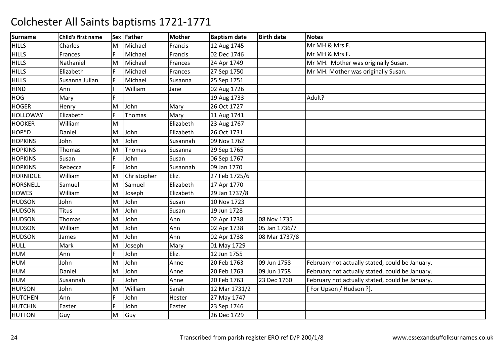| <b>Surname</b>  | Child's first name |     | Sex Father  | Mother    | <b>Baptism date</b> | <b>Birth date</b> | <b>Notes</b>                                    |
|-----------------|--------------------|-----|-------------|-----------|---------------------|-------------------|-------------------------------------------------|
| <b>HILLS</b>    | Charles            | M   | Michael     | Francis   | 12 Aug 1745         |                   | Mr MH & Mrs F.                                  |
| <b>HILLS</b>    | Frances            | F   | Michael     | Francis   | 02 Dec 1746         |                   | Mr MH & Mrs F.                                  |
| <b>HILLS</b>    | Nathaniel          | İΜ  | Michael     | Frances   | 24 Apr 1749         |                   | Mr MH. Mother was originally Susan.             |
| <b>HILLS</b>    | Elizabeth          |     | Michael     | Frances   | 27 Sep 1750         |                   | Mr MH. Mother was originally Susan.             |
| <b>HILLS</b>    | Susanna Julian     | IF. | Michael     | Susanna   | 25 Sep 1751         |                   |                                                 |
| <b>HIND</b>     | Ann                | F   | William     | Jane      | 02 Aug 1726         |                   |                                                 |
| <b>HOG</b>      | Mary               | F   |             |           | 19 Aug 1733         |                   | Adult?                                          |
| <b>HOGER</b>    | Henry              | M   | John        | Mary      | 26 Oct 1727         |                   |                                                 |
| <b>HOLLOWAY</b> | Elizabeth          | F   | Thomas      | Mary      | 11 Aug 1741         |                   |                                                 |
| <b>HOOKER</b>   | William            | M   |             | Elizabeth | 23 Aug 1767         |                   |                                                 |
| HOP*D           | Daniel             | M   | John        | Elizabeth | 26 Oct 1731         |                   |                                                 |
| <b>HOPKINS</b>  | John               | M   | John        | Susannah  | 09 Nov 1762         |                   |                                                 |
| <b>HOPKINS</b>  | Thomas             | M   | Thomas      | Susanna   | 29 Sep 1765         |                   |                                                 |
| <b>HOPKINS</b>  | Susan              | F   | John        | Susan     | 06 Sep 1767         |                   |                                                 |
| <b>HOPKINS</b>  | Rebecca            | F   | John        | Susannah  | 09 Jan 1770         |                   |                                                 |
| <b>HORNIDGE</b> | William            | M   | Christopher | Eliz.     | 27 Feb 1725/6       |                   |                                                 |
| <b>HORSNELL</b> | Samuel             | M   | Samuel      | Elizabeth | 17 Apr 1770         |                   |                                                 |
| <b>HOWES</b>    | William            | M   | Joseph      | Elizabeth | 29 Jan 1737/8       |                   |                                                 |
| <b>HUDSON</b>   | John               | M   | John        | Susan     | 10 Nov 1723         |                   |                                                 |
| <b>HUDSON</b>   | <b>Titus</b>       | M   | John        | Susan     | 19 Jun 1728         |                   |                                                 |
| <b>HUDSON</b>   | Thomas             | M   | John        | Ann       | 02 Apr 1738         | 08 Nov 1735       |                                                 |
| <b>HUDSON</b>   | William            | M   | John        | Ann       | 02 Apr 1738         | 05 Jan 1736/7     |                                                 |
| <b>HUDSON</b>   | James              | M   | John        | Ann       | 02 Apr 1738         | 08 Mar 1737/8     |                                                 |
| <b>HULL</b>     | Mark               | M   | Joseph      | Mary      | 01 May 1729         |                   |                                                 |
| HUM             | Ann                | F   | John        | Eliz.     | 12 Jun 1755         |                   |                                                 |
| HUM             | John               | M   | John        | Anne      | 20 Feb 1763         | 09 Jun 1758       | February not actually stated, could be January. |
| HUM             | Daniel             | M   | John        | Anne      | 20 Feb 1763         | 09 Jun 1758       | February not actually stated, could be January. |
| <b>HUM</b>      | Susannah           | F   | John        | Anne      | 20 Feb 1763         | 23 Dec 1760       | February not actually stated, could be January. |
| <b>HUPSON</b>   | John               | M   | William     | Sarah     | 12 Mar 1731/2       |                   | For Upson / Hudson ?].                          |
| <b>HUTCHEN</b>  | Ann                | F   | John        | Hester    | 27 May 1747         |                   |                                                 |
| <b>HUTCHIN</b>  | Easter             | F   | John        | Easter    | 23 Sep 1746         |                   |                                                 |
| <b>HUTTON</b>   | Guy                | M   | Guy         |           | 26 Dec 1729         |                   |                                                 |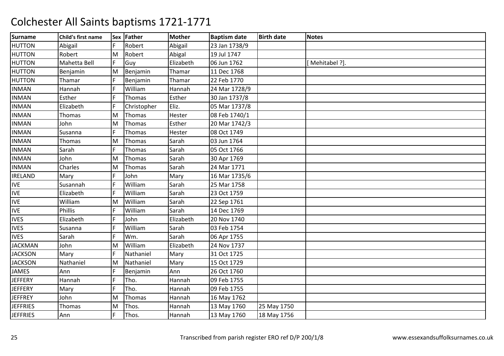| <b>Surname</b>  | Child's first name |     | Sex Father  | <b>Mother</b> | <b>Baptism date</b> | <b>Birth date</b> | <b>Notes</b>   |
|-----------------|--------------------|-----|-------------|---------------|---------------------|-------------------|----------------|
| <b>HUTTON</b>   | Abigail            | IF. | Robert      | Abigail       | 23 Jan 1738/9       |                   |                |
| <b>HUTTON</b>   | Robert             | M   | Robert      | Abigal        | 19 Jul 1747         |                   |                |
| <b>HUTTON</b>   | Mahetta Bell       | F   | Guy         | Elizabeth     | 06 Jun 1762         |                   | [Mehitabel ?]. |
| <b>HUTTON</b>   | Benjamin           | M   | Benjamin    | Thamar        | 11 Dec 1768         |                   |                |
| <b>HUTTON</b>   | Thamar             | F   | Benjamin    | Thamar        | 22 Feb 1770         |                   |                |
| <b>INMAN</b>    | Hannah             | F   | William     | Hannah        | 24 Mar 1728/9       |                   |                |
| <b>INMAN</b>    | Esther             |     | Thomas      | Esther        | 30 Jan 1737/8       |                   |                |
| <b>INMAN</b>    | Elizabeth          |     | Christopher | Eliz.         | 05 Mar 1737/8       |                   |                |
| <b>INMAN</b>    | Thomas             | M   | Thomas      | Hester        | 08 Feb 1740/1       |                   |                |
| <b>INMAN</b>    | John               | M   | Thomas      | Esther        | 20 Mar 1742/3       |                   |                |
| <b>INMAN</b>    | Susanna            |     | Thomas      | Hester        | 08 Oct 1749         |                   |                |
| <b>INMAN</b>    | Thomas             | ΙM  | Thomas      | Sarah         | 03 Jun 1764         |                   |                |
| <b>INMAN</b>    | Sarah              | F   | Thomas      | Sarah         | 05 Oct 1766         |                   |                |
| <b>INMAN</b>    | John               | M   | Thomas      | Sarah         | 30 Apr 1769         |                   |                |
| <b>INMAN</b>    | Charles            | ΙM  | Thomas      | Sarah         | 24 Mar 1771         |                   |                |
| <b>IRELAND</b>  | Mary               |     | John        | Mary          | 16 Mar 1735/6       |                   |                |
| <b>IVE</b>      | Susannah           | F   | William     | Sarah         | 25 Mar 1758         |                   |                |
| <b>IVE</b>      | Elizabeth          |     | William     | Sarah         | 23 Oct 1759         |                   |                |
| <b>IVE</b>      | William            | M   | William     | Sarah         | 22 Sep 1761         |                   |                |
| <b>IVE</b>      | <b>Phillis</b>     | IF. | William     | Sarah         | 14 Dec 1769         |                   |                |
| <b>IVES</b>     | Elizabeth          | IF. | John        | Elizabeth     | 20 Nov 1740         |                   |                |
| <b>IVES</b>     | Susanna            |     | William     | Sarah         | 03 Feb 1754         |                   |                |
| <b>IVES</b>     | Sarah              |     | Wm.         | Sarah         | 06 Apr 1755         |                   |                |
| <b>JACKMAN</b>  | John               | M   | William     | Elizabeth     | 24 Nov 1737         |                   |                |
| <b>JACKSON</b>  | Mary               | E   | Nathaniel   | Mary          | 31 Oct 1725         |                   |                |
| <b>JACKSON</b>  | Nathaniel          | M   | Nathaniel   | Mary          | 15 Oct 1729         |                   |                |
| JAMES           | Ann                |     | Benjamin    | Ann           | 26 Oct 1760         |                   |                |
| <b>JEFFERY</b>  | Hannah             | IF. | Tho.        | Hannah        | 09 Feb 1755         |                   |                |
| <b>JEFFERY</b>  | Mary               | F   | Tho.        | Hannah        | 09 Feb 1755         |                   |                |
| <b>JEFFREY</b>  | John               | M   | Thomas      | Hannah        | 16 May 1762         |                   |                |
| <b>JEFFRIES</b> | <b>Thomas</b>      | M   | Thos.       | Hannah        | 13 May 1760         | 25 May 1750       |                |
| <b>JEFFRIES</b> | Ann                | IF. | Thos.       | Hannah        | 13 May 1760         | 18 May 1756       |                |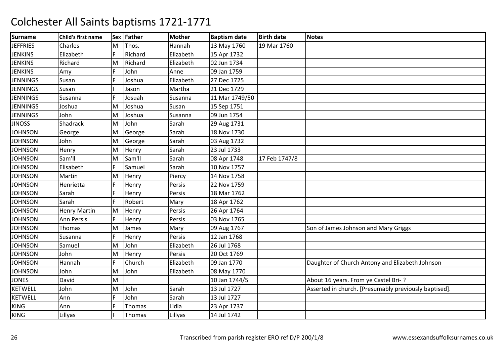| <b>Surname</b>  | Child's first name |     | Sex Father | <b>Mother</b> | <b>Baptism date</b> | <b>Birth date</b> | <b>Notes</b>                                          |
|-----------------|--------------------|-----|------------|---------------|---------------------|-------------------|-------------------------------------------------------|
| <b>JEFFRIES</b> | Charles            | M   | Thos.      | Hannah        | 13 May 1760         | 19 Mar 1760       |                                                       |
| <b>JENKINS</b>  | Elizabeth          | F   | Richard    | Elizabeth     | 15 Apr 1732         |                   |                                                       |
| <b>JENKINS</b>  | Richard            | M   | Richard    | Elizabeth     | 02 Jun 1734         |                   |                                                       |
| <b>JENKINS</b>  | Amy                |     | John       | Anne          | 09 Jan 1759         |                   |                                                       |
| <b>JENNINGS</b> | Susan              | IF. | Joshua     | Elizabeth     | 27 Dec 1725         |                   |                                                       |
| <b>JENNINGS</b> | Susan              | F   | Jason      | Martha        | 21 Dec 1729         |                   |                                                       |
| <b>JENNINGS</b> | Susanna            | F   | Josuah     | Susanna       | 11 Mar 1749/50      |                   |                                                       |
| <b>JENNINGS</b> | Joshua             | M   | Joshua     | Susan         | 15 Sep 1751         |                   |                                                       |
| <b>JENNINGS</b> | John               | M   | Joshua     | Susanna       | 09 Jun 1754         |                   |                                                       |
| <b>JINOSS</b>   | Shadrack           | M   | John       | Sarah         | 29 Aug 1731         |                   |                                                       |
| <b>JOHNSON</b>  | George             | M   | George     | Sarah         | 18 Nov 1730         |                   |                                                       |
| <b>JOHNSON</b>  | John               | M   | George     | Sarah         | 03 Aug 1732         |                   |                                                       |
| <b>JOHNSON</b>  | Henry              | M   | Henry      | Sarah         | 23 Jul 1733         |                   |                                                       |
| <b>JOHNSON</b>  | Sam'll             | M   | Sam'll     | Sarah         | 08 Apr 1748         | 17 Feb 1747/8     |                                                       |
| <b>JOHNSON</b>  | Elisabeth          | F   | Samuel     | Sarah         | 10 Nov 1757         |                   |                                                       |
| <b>JOHNSON</b>  | Martin             | M   | Henry      | Piercy        | 14 Nov 1758         |                   |                                                       |
| <b>JOHNSON</b>  | Henrietta          | IF. | Henry      | Persis        | 22 Nov 1759         |                   |                                                       |
| <b>JOHNSON</b>  | Sarah              | F   | Henry      | Persis        | 18 Mar 1762         |                   |                                                       |
| <b>JOHNSON</b>  | Sarah              | IF. | Robert     | Mary          | 18 Apr 1762         |                   |                                                       |
| <b>JOHNSON</b>  | Henry Martin       | M   | Henry      | Persis        | 26 Apr 1764         |                   |                                                       |
| <b>JOHNSON</b>  | <b>Ann Persis</b>  | F   | Henry      | Persis        | 03 Nov 1765         |                   |                                                       |
| <b>JOHNSON</b>  | Thomas             | M   | James      | Mary          | 09 Aug 1767         |                   | Son of James Johnson and Mary Griggs                  |
| <b>JOHNSON</b>  | Susanna            | F   | Henry      | Persis        | 12 Jan 1768         |                   |                                                       |
| <b>JOHNSON</b>  | Samuel             | M   | John       | Elizabeth     | 26 Jul 1768         |                   |                                                       |
| <b>JOHNSON</b>  | John               | M   | Henry      | Persis        | 20 Oct 1769         |                   |                                                       |
| <b>JOHNSON</b>  | Hannah             | F   | Church     | Elizabeth     | 09 Jan 1770         |                   | Daughter of Church Antony and Elizabeth Johnson       |
| <b>JOHNSON</b>  | John               | M   | John       | Elizabeth     | 08 May 1770         |                   |                                                       |
| <b>JONES</b>    | David              | M   |            |               | 10 Jan 1744/5       |                   | About 16 years. From ye Castel Bri-?                  |
| <b>KETWELL</b>  | John               | M   | John       | Sarah         | 13 Jul 1727         |                   | Asserted in church. [Presumably previously baptised]. |
| <b>KETWELL</b>  | Ann                | F   | John       | Sarah         | 13 Jul 1727         |                   |                                                       |
| <b>KING</b>     | Ann                |     | Thomas     | Lidia         | 23 Apr 1737         |                   |                                                       |
| <b>KING</b>     | Lillyas            |     | Thomas     | Lillyas       | 14 Jul 1742         |                   |                                                       |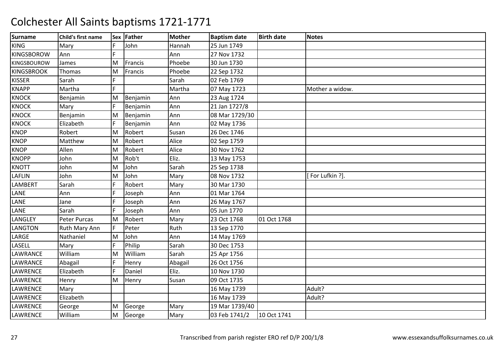| <b>Surname</b>     | Child's first name |    | Sex Father | <b>Mother</b> | <b>Baptism date</b> | <b>Birth date</b> | <b>Notes</b>    |
|--------------------|--------------------|----|------------|---------------|---------------------|-------------------|-----------------|
| <b>KING</b>        | Mary               | F  | John       | Hannah        | 25 Jun 1749         |                   |                 |
| <b>KINGSBOROW</b>  | Ann                |    |            | Ann           | 27 Nov 1732         |                   |                 |
| <b>KINGSBOUROW</b> | James              | M  | Francis    | Phoebe        | 30 Jun 1730         |                   |                 |
| <b>KINGSBROOK</b>  | Thomas             | M  | Francis    | Phoebe        | 22 Sep 1732         |                   |                 |
| <b>KISSER</b>      | Sarah              | F  |            | Sarah         | 02 Feb 1769         |                   |                 |
| <b>KNAPP</b>       | Martha             | F. |            | Martha        | 07 May 1723         |                   | Mother a widow. |
| <b>KNOCK</b>       | Benjamin           | M  | Benjamin   | Ann           | 23 Aug 1724         |                   |                 |
| <b>KNOCK</b>       | Mary               | F  | Benjamin   | Ann           | 21 Jan 1727/8       |                   |                 |
| <b>KNOCK</b>       | Benjamin           | M  | Benjamin   | Ann           | 08 Mar 1729/30      |                   |                 |
| <b>KNOCK</b>       | Elizabeth          | F  | Benjamin   | Ann           | 02 May 1736         |                   |                 |
| <b>KNOP</b>        | Robert             | M  | Robert     | Susan         | 26 Dec 1746         |                   |                 |
| <b>KNOP</b>        | Matthew            | M  | Robert     | Alice         | 02 Sep 1759         |                   |                 |
| <b>KNOP</b>        | Allen              | M  | Robert     | Alice         | 30 Nov 1762         |                   |                 |
| <b>KNOPP</b>       | John               | M  | Rob't      | Eliz.         | 13 May 1753         |                   |                 |
| <b>KNOTT</b>       | John               | M  | John       | Sarah         | 25 Sep 1738         |                   |                 |
| <b>LAFLIN</b>      | John               | M  | John       | Mary          | 08 Nov 1732         |                   | [For Lufkin ?]. |
| LAMBERT            | Sarah              |    | Robert     | Mary          | 30 Mar 1730         |                   |                 |
| LANE               | Ann                | F. | Joseph     | Ann           | 01 Mar 1764         |                   |                 |
| LANE               | Jane               |    | Joseph     | Ann           | 26 May 1767         |                   |                 |
| LANE               | Sarah              |    | Joseph     | Ann           | 05 Jun 1770         |                   |                 |
| LANGLEY            | Peter Purcas       | M  | Robert     | Mary          | 23 Oct 1768         | 01 Oct 1768       |                 |
| <b>LANGTON</b>     | Ruth Mary Ann      | F  | Peter      | Ruth          | 13 Sep 1770         |                   |                 |
| LARGE              | Nathaniel          | M  | John       | Ann           | 14 May 1769         |                   |                 |
| LASELL             | Mary               | F  | Philip     | Sarah         | 30 Dec 1753         |                   |                 |
| LAWRANCE           | William            | M  | William    | Sarah         | 25 Apr 1756         |                   |                 |
| LAWRANCE           | Abagail            | F  | Henry      | Abagail       | 26 Oct 1756         |                   |                 |
| <b>LAWRENCE</b>    | Elizabeth          | F  | Daniel     | Eliz.         | 10 Nov 1730         |                   |                 |
| <b>LAWRENCE</b>    | Henry              | M  | Henry      | Susan         | 09 Oct 1735         |                   |                 |
| LAWRENCE           | Mary               |    |            |               | 16 May 1739         |                   | Adult?          |
| <b>LAWRENCE</b>    | Elizabeth          |    |            |               | 16 May 1739         |                   | Adult?          |
| <b>LAWRENCE</b>    | George             | M  | George     | Mary          | 19 Mar 1739/40      |                   |                 |
| <b>LAWRENCE</b>    | William            | M  | George     | Mary          | 03 Feb 1741/2       | 10 Oct 1741       |                 |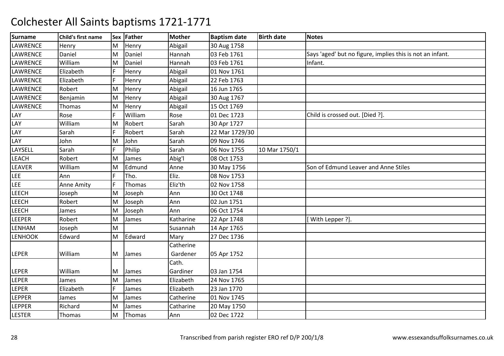| <b>Surname</b> | Child's first name |     | Sex Father | <b>Mother</b> | <b>Baptism date</b> | <b>Birth date</b> | <b>Notes</b>                                              |
|----------------|--------------------|-----|------------|---------------|---------------------|-------------------|-----------------------------------------------------------|
| LAWRENCE       | Henry              | M   | Henry      | Abigail       | 30 Aug 1758         |                   |                                                           |
| LAWRENCE       | Daniel             | M   | Daniel     | Hannah        | 03 Feb 1761         |                   | Says 'aged' but no figure, implies this is not an infant. |
| LAWRENCE       | William            | M   | Daniel     | Hannah        | 03 Feb 1761         |                   | Infant.                                                   |
| LAWRENCE       | Elizabeth          |     | Henry      | Abigail       | 01 Nov 1761         |                   |                                                           |
| LAWRENCE       | Elizabeth          | IF. | Henry      | Abigail       | 22 Feb 1763         |                   |                                                           |
| LAWRENCE       | Robert             | M   | Henry      | Abigail       | 16 Jun 1765         |                   |                                                           |
| LAWRENCE       | Benjamin           | M   | Henry      | Abigail       | 30 Aug 1767         |                   |                                                           |
| LAWRENCE       | <b>Thomas</b>      | M   | Henry      | Abigail       | 15 Oct 1769         |                   |                                                           |
| LAY            | Rose               |     | William    | Rose          | 01 Dec 1723         |                   | Child is crossed out. [Died ?].                           |
| LAY            | William            | M   | Robert     | Sarah         | 30 Apr 1727         |                   |                                                           |
| LAY            | Sarah              | F   | Robert     | Sarah         | 22 Mar 1729/30      |                   |                                                           |
| LAY            | John               | M   | John       | Sarah         | 09 Nov 1746         |                   |                                                           |
| LAYSELL        | Sarah              | F   | Philip     | Sarah         | 06 Nov 1755         | 10 Mar 1750/1     |                                                           |
| <b>LEACH</b>   | Robert             | M   | James      | Abig'l        | 08 Oct 1753         |                   |                                                           |
| <b>LEAVER</b>  | William            | M   | Edmund     | Anne          | 30 May 1756         |                   | Son of Edmund Leaver and Anne Stiles                      |
| <b>LEE</b>     | Ann                |     | Tho.       | Eliz.         | 08 Nov 1753         |                   |                                                           |
| <b>LEE</b>     | Anne Amity         | F   | Thomas     | Eliz'th       | 02 Nov 1758         |                   |                                                           |
| <b>LEECH</b>   | Joseph             | M   | Joseph     | Ann           | 30 Oct 1748         |                   |                                                           |
| <b>LEECH</b>   | Robert             | M   | Joseph     | Ann           | 02 Jun 1751         |                   |                                                           |
| <b>LEECH</b>   | James              | M   | Joseph     | Ann           | 06 Oct 1754         |                   |                                                           |
| LEEPER         | Robert             | M   | James      | Katharine     | 22 Apr 1748         |                   | With Lepper ?].                                           |
| LENHAM         | Joseph             | M   |            | Susannah      | 14 Apr 1765         |                   |                                                           |
| <b>LENHOOK</b> | Edward             | M   | Edward     | Mary          | 27 Dec 1736         |                   |                                                           |
|                |                    |     |            | Catherine     |                     |                   |                                                           |
| <b>LEPER</b>   | William            | M   | James      | Gardener      | 05 Apr 1752         |                   |                                                           |
|                |                    |     |            | Cath.         |                     |                   |                                                           |
| LEPER          | William            | M   | James      | Gardiner      | 03 Jan 1754         |                   |                                                           |
| <b>LEPER</b>   | James              | M   | James      | Elizabeth     | 24 Nov 1765         |                   |                                                           |
| LEPER          | Elizabeth          |     | James      | Elizabeth     | 23 Jan 1770         |                   |                                                           |
| LEPPER         | James              | M   | James      | Catherine     | 01 Nov 1745         |                   |                                                           |
| LEPPER         | Richard            | M   | James      | Catharine     | 20 May 1750         |                   |                                                           |
| <b>LESTER</b>  | <b>Thomas</b>      | M   | Thomas     | Ann           | 02 Dec 1722         |                   |                                                           |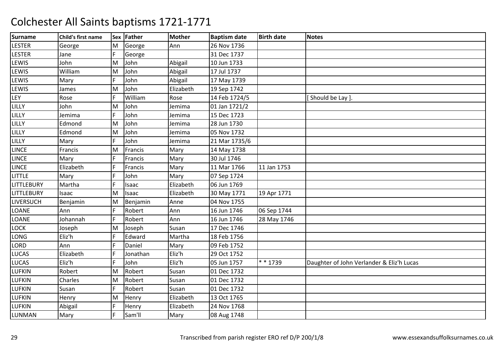| <b>Surname</b>    | Child's first name |     | Sex Father | <b>Mother</b> | <b>Baptism date</b> | <b>Birth date</b> | <b>Notes</b>                              |
|-------------------|--------------------|-----|------------|---------------|---------------------|-------------------|-------------------------------------------|
| <b>LESTER</b>     | George             | M   | George     | Ann           | 26 Nov 1736         |                   |                                           |
| <b>LESTER</b>     | Jane               | F   | George     |               | 31 Dec 1737         |                   |                                           |
| LEWIS             | John               | M   | John       | Abigail       | 10 Jun 1733         |                   |                                           |
| LEWIS             | William            | M   | John       | Abigail       | 17 Jul 1737         |                   |                                           |
| LEWIS             | Mary               | IF. | John       | Abigail       | 17 May 1739         |                   |                                           |
| LEWIS             | James              | M   | John       | Elizabeth     | 19 Sep 1742         |                   |                                           |
| LEY               | Rose               | F   | William    | Rose          | 14 Feb 1724/5       |                   | [Should be Lay].                          |
| LILLY             | John               | M   | John       | Jemima        | 01 Jan 1721/2       |                   |                                           |
| LILLY             | Jemima             | F   | John       | Jemima        | 15 Dec 1723         |                   |                                           |
| LILLY             | Edmond             | M   | John       | Jemima        | 28 Jun 1730         |                   |                                           |
| LILLY             | Edmond             | M   | John       | Jemima        | 05 Nov 1732         |                   |                                           |
| LILLY             | Mary               | F   | John       | Jemima        | 21 Mar 1735/6       |                   |                                           |
| <b>LINCE</b>      | Francis            | M   | Francis    | Mary          | 14 May 1738         |                   |                                           |
| <b>LINCE</b>      | Mary               | F   | Francis    | Mary          | 30 Jul 1746         |                   |                                           |
| <b>LINCE</b>      | Elizabeth          | IF. | Francis    | Mary          | 11 Mar 1766         | 11 Jan 1753       |                                           |
| <b>LITTLE</b>     | Mary               | F   | John       | Mary          | 07 Sep 1724         |                   |                                           |
| <b>LITTLEBURY</b> | Martha             | IF. | Isaac      | Elizabeth     | 06 Jun 1769         |                   |                                           |
| <b>LITTLEBURY</b> | Isaac              | M   | Isaac      | Elizabeth     | 30 May 1771         | 19 Apr 1771       |                                           |
| LIVERSUCH         | Benjamin           | M   | Benjamin   | Anne          | 04 Nov 1755         |                   |                                           |
| LOANE             | Ann                | IF. | Robert     | Ann           | 16 Jun 1746         | 06 Sep 1744       |                                           |
| LOANE             | Johannah           | IF. | Robert     | Ann           | 16 Jun 1746         | 28 May 1746       |                                           |
| <b>LOCK</b>       | Joseph             | M   | Joseph     | Susan         | 17 Dec 1746         |                   |                                           |
| LONG              | Eliz'h             | F   | Edward     | Martha        | 18 Feb 1756         |                   |                                           |
| LORD              | Ann                | F   | Daniel     | Mary          | 09 Feb 1752         |                   |                                           |
| LUCAS             | Elizabeth          | IF. | Jonathan   | Eliz'h        | 29 Oct 1752         |                   |                                           |
| LUCAS             | Eliz'h             | F   | John       | Eliz'h        | 05 Jun 1757         | * * 1739          | Daughter of John Verlander & Eliz'h Lucas |
| LUFKIN            | Robert             | M   | Robert     | Susan         | 01 Dec 1732         |                   |                                           |
| LUFKIN            | Charles            | M   | Robert     | Susan         | 01 Dec 1732         |                   |                                           |
| LUFKIN            | Susan              | F.  | Robert     | Susan         | 01 Dec 1732         |                   |                                           |
| LUFKIN            | Henry              | M   | Henry      | Elizabeth     | 13 Oct 1765         |                   |                                           |
| LUFKIN            | Abigail            | F   | Henry      | Elizabeth     | 24 Nov 1768         |                   |                                           |
| LUNMAN            | Mary               | F   | Sam'll     | Mary          | 08 Aug 1748         |                   |                                           |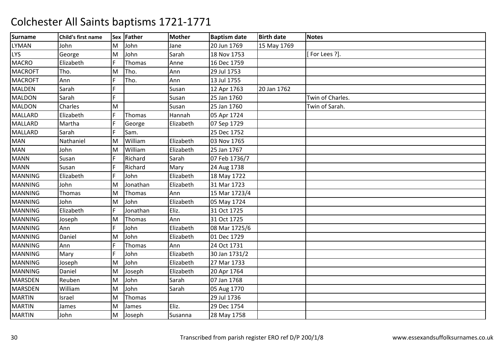| <b>Surname</b> | Child's first name |    | Sex Father    | <b>Mother</b> | <b>Baptism date</b> | <b>Birth date</b> | <b>Notes</b>     |
|----------------|--------------------|----|---------------|---------------|---------------------|-------------------|------------------|
| <b>LYMAN</b>   | John               | M  | John          | Jane          | 20 Jun 1769         | 15 May 1769       |                  |
| <b>LYS</b>     | George             | M  | John          | Sarah         | 18 Nov 1753         |                   | [For Lees ?].    |
| <b>MACRO</b>   | Elizabeth          | F  | <b>Thomas</b> | Anne          | 16 Dec 1759         |                   |                  |
| <b>MACROFT</b> | Tho.               | M  | Tho.          | Ann           | 29 Jul 1753         |                   |                  |
| <b>MACROFT</b> | Ann                | F  | Tho.          | Ann           | 13 Jul 1755         |                   |                  |
| <b>MALDEN</b>  | Sarah              |    |               | Susan         | 12 Apr 1763         | 20 Jan 1762       |                  |
| <b>MALDON</b>  | Sarah              | F  |               | Susan         | 25 Jan 1760         |                   | Twin of Charles. |
| <b>MALDON</b>  | Charles            | M  |               | Susan         | 25 Jan 1760         |                   | Twin of Sarah.   |
| <b>MALLARD</b> | Elizabeth          | F  | Thomas        | Hannah        | 05 Apr 1724         |                   |                  |
| <b>MALLARD</b> | Martha             | F. | George        | Elizabeth     | 07 Sep 1729         |                   |                  |
| <b>MALLARD</b> | Sarah              |    | Sam.          |               | 25 Dec 1752         |                   |                  |
| <b>MAN</b>     | Nathaniel          | M  | William       | Elizabeth     | 03 Nov 1765         |                   |                  |
| <b>MAN</b>     | John               | M  | William       | Elizabeth     | 25 Jan 1767         |                   |                  |
| <b>MANN</b>    | Susan              | F. | Richard       | Sarah         | 07 Feb 1736/7       |                   |                  |
| <b>MANN</b>    | Susan              | F  | Richard       | Mary          | 24 Aug 1738         |                   |                  |
| <b>MANNING</b> | Elizabeth          | F. | John          | Elizabeth     | 18 May 1722         |                   |                  |
| <b>MANNING</b> | John               | M  | Jonathan      | Elizabeth     | 31 Mar 1723         |                   |                  |
| <b>MANNING</b> | Thomas             | M  | Thomas        | Ann           | 15 Mar 1723/4       |                   |                  |
| <b>MANNING</b> | John               | M  | John          | Elizabeth     | 05 May 1724         |                   |                  |
| <b>MANNING</b> | Elizabeth          |    | Jonathan      | Eliz.         | 31 Oct 1725         |                   |                  |
| <b>MANNING</b> | Joseph             | M  | Thomas        | Ann           | 31 Oct 1725         |                   |                  |
| <b>MANNING</b> | Ann                | F  | John          | Elizabeth     | 08 Mar 1725/6       |                   |                  |
| <b>MANNING</b> | Daniel             | M  | John          | Elizabeth     | 01 Dec 1729         |                   |                  |
| <b>MANNING</b> | Ann                | F  | <b>Thomas</b> | Ann           | 24 Oct 1731         |                   |                  |
| <b>MANNING</b> | Mary               |    | John          | Elizabeth     | 30 Jan 1731/2       |                   |                  |
| <b>MANNING</b> | Joseph             | M  | John          | Elizabeth     | 27 Mar 1733         |                   |                  |
| <b>MANNING</b> | Daniel             | M  | Joseph        | Elizabeth     | 20 Apr 1764         |                   |                  |
| <b>MARSDEN</b> | Reuben             | M  | John          | Sarah         | 07 Jan 1768         |                   |                  |
| <b>MARSDEN</b> | William            | M  | John          | Sarah         | 05 Aug 1770         |                   |                  |
| <b>MARTIN</b>  | Israel             | M  | Thomas        |               | 29 Jul 1736         |                   |                  |
| <b>MARTIN</b>  | James              | M  | James         | Eliz.         | 29 Dec 1754         |                   |                  |
| <b>MARTIN</b>  | John               | M  | Joseph        | Susanna       | 28 May 1758         |                   |                  |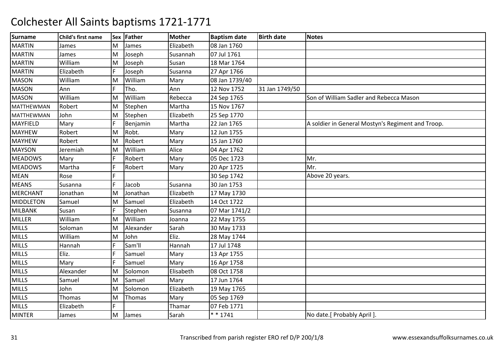| <b>Surname</b>    | Child's first name |    | Sex Father | Mother    | <b>Baptism date</b> | <b>Birth date</b> | <b>Notes</b>                                      |
|-------------------|--------------------|----|------------|-----------|---------------------|-------------------|---------------------------------------------------|
| <b>MARTIN</b>     | James              | M  | James      | Elizabeth | 08 Jan 1760         |                   |                                                   |
| <b>MARTIN</b>     | James              | M  | Joseph     | Susannah  | 07 Jul 1761         |                   |                                                   |
| <b>MARTIN</b>     | William            | M  | Joseph     | Susan     | 18 Mar 1764         |                   |                                                   |
| <b>MARTIN</b>     | Elizabeth          |    | Joseph     | Susanna   | 27 Apr 1766         |                   |                                                   |
| <b>MASON</b>      | William            | M  | William    | Mary      | 08 Jan 1739/40      |                   |                                                   |
| <b>MASON</b>      | Ann                | F  | Tho.       | Ann       | 12 Nov 1752         | 31 Jan 1749/50    |                                                   |
| <b>MASON</b>      | William            | M  | William    | Rebecca   | 24 Sep 1765         |                   | Son of William Sadler and Rebecca Mason           |
| <b>MATTHEWMAN</b> | Robert             | M  | Stephen    | Martha    | 15 Nov 1767         |                   |                                                   |
| MATTHEWMAN        | John               | M  | Stephen    | Elizabeth | 25 Sep 1770         |                   |                                                   |
| <b>MAYFIELD</b>   | Mary               | F  | Benjamin   | Martha    | 22 Jan 1765         |                   | A soldier in General Mostyn's Regiment and Troop. |
| <b>MAYHEW</b>     | Robert             | M  | Robt.      | Mary      | 12 Jun 1755         |                   |                                                   |
| <b>MAYHEW</b>     | Robert             | M  | Robert     | Mary      | 15 Jan 1760         |                   |                                                   |
| <b>MAYSON</b>     | Jeremiah           | ΙM | William    | Alice     | 04 Apr 1762         |                   |                                                   |
| <b>MEADOWS</b>    | Mary               | F  | Robert     | Mary      | 05 Dec 1723         |                   | Mr.                                               |
| <b>MEADOWS</b>    | Martha             |    | Robert     | Mary      | 20 Apr 1725         |                   | Mr.                                               |
| <b>MEAN</b>       | Rose               |    |            |           | 30 Sep 1742         |                   | Above 20 years.                                   |
| <b>MEANS</b>      | Susanna            | F  | Jacob      | Susanna   | 30 Jan 1753         |                   |                                                   |
| <b>MERCHANT</b>   | Jonathan           | M  | Jonathan   | Elizabeth | 17 May 1730         |                   |                                                   |
| <b>MIDDLETON</b>  | Samuel             | M  | Samuel     | Elizabeth | 14 Oct 1722         |                   |                                                   |
| <b>MILBANK</b>    | Susan              |    | Stephen    | Susanna   | 07 Mar 1741/2       |                   |                                                   |
| <b>MILLER</b>     | William            | M  | William    | Joanna    | 22 May 1755         |                   |                                                   |
| <b>MILLS</b>      | Soloman            | M  | Alexander  | Sarah     | 30 May 1733         |                   |                                                   |
| <b>MILLS</b>      | William            | M  | John       | Eliz.     | 28 May 1744         |                   |                                                   |
| <b>MILLS</b>      | Hannah             |    | Sam'll     | Hannah    | 17 Jul 1748         |                   |                                                   |
| <b>MILLS</b>      | Eliz.              |    | Samuel     | Mary      | 13 Apr 1755         |                   |                                                   |
| <b>MILLS</b>      | Mary               | F  | Samuel     | Mary      | 16 Apr 1758         |                   |                                                   |
| <b>MILLS</b>      | Alexander          | M  | Solomon    | Elisabeth | 08 Oct 1758         |                   |                                                   |
| <b>MILLS</b>      | Samuel             | M  | Samuel     | Mary      | 17 Jun 1764         |                   |                                                   |
| <b>MILLS</b>      | John               | M  | Solomon    | Elizabeth | 19 May 1765         |                   |                                                   |
| <b>MILLS</b>      | Thomas             | M  | Thomas     | Mary      | 05 Sep 1769         |                   |                                                   |
| <b>MILLS</b>      | Elizabeth          | F  |            | Thamar    | 07 Feb 1771         |                   |                                                   |
| <b>MINTER</b>     | James              | M  | James      | Sarah     | $* * 1741$          |                   | No date.[ Probably April ].                       |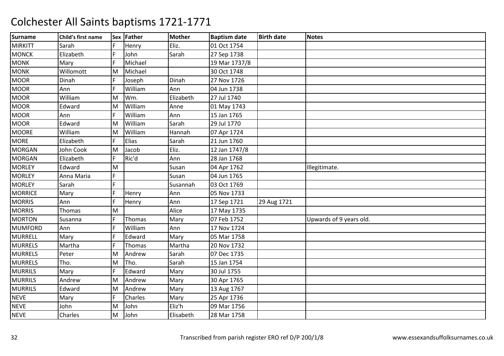| <b>Surname</b> | Child's first name |     | Sex Father | <b>Mother</b> | <b>Baptism date</b> | <b>Birth date</b> | <b>Notes</b>            |
|----------------|--------------------|-----|------------|---------------|---------------------|-------------------|-------------------------|
| <b>MIRKITT</b> | Sarah              | IF. | Henry      | Eliz.         | 01 Oct 1754         |                   |                         |
| <b>MONCK</b>   | Elizabeth          | IF. | John       | Sarah         | 27 Sep 1738         |                   |                         |
| <b>MONK</b>    | Mary               |     | Michael    |               | 19 Mar 1737/8       |                   |                         |
| <b>MONK</b>    | Willomott          | M   | Michael    |               | 30 Oct 1748         |                   |                         |
| <b>MOOR</b>    | Dinah              | IF. | Joseph     | Dinah         | 27 Nov 1726         |                   |                         |
| <b>MOOR</b>    | Ann                | F   | William    | Ann           | 04 Jun 1738         |                   |                         |
| <b>MOOR</b>    | William            | M   | Wm.        | Elizabeth     | 27 Jul 1740         |                   |                         |
| <b>MOOR</b>    | Edward             | M   | William    | Anne          | 01 May 1743         |                   |                         |
| <b>MOOR</b>    | Ann                |     | William    | Ann           | 15 Jan 1765         |                   |                         |
| <b>MOOR</b>    | Edward             | M   | William    | Sarah         | 29 Jul 1770         |                   |                         |
| <b>MOORE</b>   | William            | M   | William    | Hannah        | 07 Apr 1724         |                   |                         |
| <b>MORE</b>    | Elizabeth          |     | Elias      | Sarah         | 21 Jun 1760         |                   |                         |
| <b>MORGAN</b>  | John Cook          | M   | Jacob      | Eliz.         | 12 Jan 1747/8       |                   |                         |
| <b>MORGAN</b>  | Elizabeth          | IF. | Ric'd      | Ann           | 28 Jan 1768         |                   |                         |
| <b>MORLEY</b>  | Edward             | M   |            | Susan         | 04 Apr 1762         |                   | Illegitimate.           |
| <b>MORLEY</b>  | Anna Maria         |     |            | Susan         | 04 Jun 1765         |                   |                         |
| <b>MORLEY</b>  | Sarah              | F   |            | Susannah      | 03 Oct 1769         |                   |                         |
| <b>MORRICE</b> | Mary               | IF. | Henry      | Ann           | 05 Nov 1733         |                   |                         |
| <b>MORRIS</b>  | Ann                | F   | Henry      | Ann           | 17 Sep 1721         | 29 Aug 1721       |                         |
| <b>MORRIS</b>  | Thomas             | M   |            | Alice         | 17 May 1735         |                   |                         |
| <b>MORTON</b>  | Susanna            | F   | Thomas     | Mary          | 07 Feb 1752         |                   | Upwards of 9 years old. |
| <b>MUMFORD</b> | Ann                | IF. | William    | Ann           | 17 Nov 1724         |                   |                         |
| <b>MURRELL</b> | Mary               | F   | Edward     | Mary          | 05 Mar 1758         |                   |                         |
| <b>MURRELS</b> | Martha             | F   | Thomas     | Martha        | 20 Nov 1732         |                   |                         |
| <b>MURRELS</b> | Peter              | M   | Andrew     | Sarah         | 07 Dec 1735         |                   |                         |
| <b>MURRELS</b> | Tho.               | M   | Tho.       | Sarah         | 15 Jan 1754         |                   |                         |
| <b>MURRILS</b> | Mary               | F   | Edward     | Mary          | 30 Jul 1755         |                   |                         |
| <b>MURRILS</b> | Andrew             | M   | Andrew     | Mary          | 30 Apr 1765         |                   |                         |
| <b>MURRILS</b> | Edward             | M   | Andrew     | Mary          | 13 Aug 1767         |                   |                         |
| <b>NEVE</b>    | Mary               | F   | Charles    | Mary          | 25 Apr 1736         |                   |                         |
| <b>NEVE</b>    | John               | M   | John       | Eliz'h        | 09 Mar 1756         |                   |                         |
| <b>NEVE</b>    | Charles            | M   | John       | Elisabeth     | 28 Mar 1758         |                   |                         |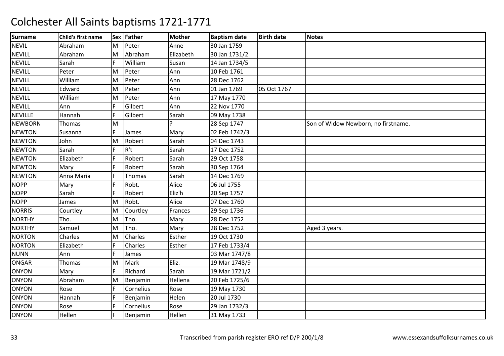| <b>Surname</b> | Child's first name |    | Sex Father | <b>Mother</b> | <b>Baptism date</b> | <b>Birth date</b> | <b>Notes</b>                        |
|----------------|--------------------|----|------------|---------------|---------------------|-------------------|-------------------------------------|
| <b>NEVIL</b>   | Abraham            | M  | Peter      | Anne          | 30 Jan 1759         |                   |                                     |
| <b>NEVILL</b>  | Abraham            | M  | Abraham    | Elizabeth     | 30 Jan 1731/2       |                   |                                     |
| <b>NEVILL</b>  | Sarah              |    | William    | Susan         | 14 Jan 1734/5       |                   |                                     |
| <b>NEVILL</b>  | Peter              | M  | Peter      | Ann           | 10 Feb 1761         |                   |                                     |
| <b>NEVILL</b>  | William            | M  | Peter      | Ann           | 28 Dec 1762         |                   |                                     |
| <b>NEVILL</b>  | Edward             | M  | Peter      | Ann           | 01 Jan 1769         | 05 Oct 1767       |                                     |
| <b>NEVILL</b>  | William            | M  | Peter      | Ann           | 17 May 1770         |                   |                                     |
| <b>NEVILL</b>  | Ann                |    | Gilbert    | Ann           | 22 Nov 1770         |                   |                                     |
| <b>NEVILLE</b> | Hannah             | F  | Gilbert    | Sarah         | 09 May 1738         |                   |                                     |
| <b>NEWBORN</b> | Thomas             | M  |            |               | 28 Sep 1747         |                   | Son of Widow Newborn, no firstname. |
| <b>NEWTON</b>  | Susanna            | F  | James      | Mary          | 02 Feb 1742/3       |                   |                                     |
| <b>NEWTON</b>  | John               | M  | Robert     | Sarah         | 04 Dec 1743         |                   |                                     |
| <b>NEWTON</b>  | Sarah              | F. | R't        | Sarah         | 17 Dec 1752         |                   |                                     |
| <b>NEWTON</b>  | Elizabeth          | F. | Robert     | Sarah         | 29 Oct 1758         |                   |                                     |
| <b>NEWTON</b>  | Mary               | F  | Robert     | Sarah         | 30 Sep 1764         |                   |                                     |
| <b>NEWTON</b>  | Anna Maria         |    | Thomas     | Sarah         | 14 Dec 1769         |                   |                                     |
| <b>NOPP</b>    | Mary               | F. | Robt.      | Alice         | 06 Jul 1755         |                   |                                     |
| <b>NOPP</b>    | Sarah              | F. | Robert     | Eliz'h        | 20 Sep 1757         |                   |                                     |
| <b>NOPP</b>    | James              | lм | Robt.      | Alice         | 07 Dec 1760         |                   |                                     |
| <b>NORRIS</b>  | Courtley           | M  | Courtley   | Frances       | 29 Sep 1736         |                   |                                     |
| <b>NORTHY</b>  | Tho.               | M  | Tho.       | Mary          | 28 Dec 1752         |                   |                                     |
| <b>NORTHY</b>  | Samuel             | M  | Tho.       | Mary          | 28 Dec 1752         |                   | Aged 3 years.                       |
| <b>NORTON</b>  | Charles            | M  | Charles    | Esther        | 19 Oct 1730         |                   |                                     |
| <b>NORTON</b>  | Elizabeth          |    | Charles    | Esther        | 17 Feb 1733/4       |                   |                                     |
| <b>NUNN</b>    | Ann                | F. | James      |               | 03 Mar 1747/8       |                   |                                     |
| <b>ONGAR</b>   | Thomas             | M  | Mark       | Eliz.         | 19 Mar 1748/9       |                   |                                     |
| <b>ONYON</b>   | Mary               |    | Richard    | Sarah         | 19 Mar 1721/2       |                   |                                     |
| <b>ONYON</b>   | Abraham            | M  | Benjamin   | Hellena       | 20 Feb 1725/6       |                   |                                     |
| <b>ONYON</b>   | Rose               | F  | Cornelius  | Rose          | 19 May 1730         |                   |                                     |
| <b>ONYON</b>   | Hannah             | F. | Benjamin   | Helen         | 20 Jul 1730         |                   |                                     |
| <b>ONYON</b>   | Rose               | F. | Cornelius  | Rose          | 29 Jan 1732/3       |                   |                                     |
| <b>ONYON</b>   | Hellen             |    | Benjamin   | Hellen        | 31 May 1733         |                   |                                     |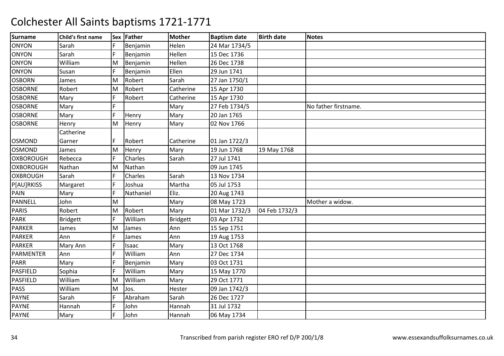| <b>Surname</b>   | Child's first name |    | Sex Father | <b>Mother</b> | <b>Baptism date</b> | <b>Birth date</b> | <b>Notes</b>         |
|------------------|--------------------|----|------------|---------------|---------------------|-------------------|----------------------|
| <b>ONYON</b>     | Sarah              | F  | Benjamin   | Helen         | 24 Mar 1734/5       |                   |                      |
| <b>ONYON</b>     | Sarah              | F  | Benjamin   | Hellen        | 15 Dec 1736         |                   |                      |
| <b>ONYON</b>     | William            | M  | Benjamin   | Hellen        | 26 Dec 1738         |                   |                      |
| <b>ONYON</b>     | Susan              | F  | Benjamin   | Ellen         | 29 Jun 1741         |                   |                      |
| <b>OSBORN</b>    | James              | M  | Robert     | Sarah         | 27 Jan 1750/1       |                   |                      |
| <b>OSBORNE</b>   | Robert             | M  | Robert     | Catherine     | 15 Apr 1730         |                   |                      |
| <b>OSBORNE</b>   | Mary               | F  | Robert     | Catherine     | 15 Apr 1730         |                   |                      |
| <b>OSBORNE</b>   | Mary               |    |            | Mary          | 27 Feb 1734/5       |                   | No father firstname. |
| <b>OSBORNE</b>   | Mary               | F  | Henry      | Mary          | 20 Jan 1765         |                   |                      |
| <b>OSBORNE</b>   | Henry              | M  | Henry      | Mary          | 02 Nov 1766         |                   |                      |
|                  | Catherine          |    |            |               |                     |                   |                      |
| <b>OSMOND</b>    | Garner             | F  | Robert     | Catherine     | 01 Jan 1722/3       |                   |                      |
| <b>OSMOND</b>    | James              | M  | Henry      | Mary          | 19 Jun 1768         | 19 May 1768       |                      |
| <b>OXBOROUGH</b> | Rebecca            | F  | Charles    | Sarah         | 27 Jul 1741         |                   |                      |
| <b>OXBOROUGH</b> | Nathan             | M  | Nathan     |               | 09 Jun 1745         |                   |                      |
| <b>OXBROUGH</b>  | Sarah              |    | Charles    | Sarah         | 13 Nov 1734         |                   |                      |
| P[AU]RKISS       | Margaret           | F  | Joshua     | Martha        | 05 Jul 1753         |                   |                      |
| PAIN             | Mary               | F  | Nathaniel  | Eliz.         | 20 Aug 1743         |                   |                      |
| PANNELL          | John               | M  |            | Mary          | 08 May 1723         |                   | Mother a widow.      |
| <b>PARIS</b>     | Robert             | M  | Robert     | Mary          | 01 Mar 1732/3       | 04 Feb 1732/3     |                      |
| <b>PARK</b>      | Bridgett           | F  | William    | Bridgett      | 03 Apr 1732         |                   |                      |
| <b>PARKER</b>    | James              | M  | James      | Ann           | 15 Sep 1751         |                   |                      |
| <b>PARKER</b>    | Ann                |    | James      | Ann           | 19 Aug 1753         |                   |                      |
| <b>PARKER</b>    | Mary Ann           | F  | Isaac      | Mary          | 13 Oct 1768         |                   |                      |
| PARMENTER        | Ann                |    | William    | Ann           | 27 Dec 1734         |                   |                      |
| <b>PARR</b>      | Mary               |    | Benjamin   | Mary          | 03 Oct 1731         |                   |                      |
| <b>PASFIELD</b>  | Sophia             | F  | William    | Mary          | 15 May 1770         |                   |                      |
| PASFIELD         | William            | M  | William    | Mary          | 29 Oct 1771         |                   |                      |
| <b>PASS</b>      | William            | M  | Jos.       | Hester        | 09 Jan 1742/3       |                   |                      |
| <b>PAYNE</b>     | Sarah              | F  | Abraham    | Sarah         | 26 Dec 1727         |                   |                      |
| <b>PAYNE</b>     | Hannah             | F. | John       | Hannah        | 31 Jul 1732         |                   |                      |
| <b>PAYNE</b>     | Mary               | F  | John       | Hannah        | 06 May 1734         |                   |                      |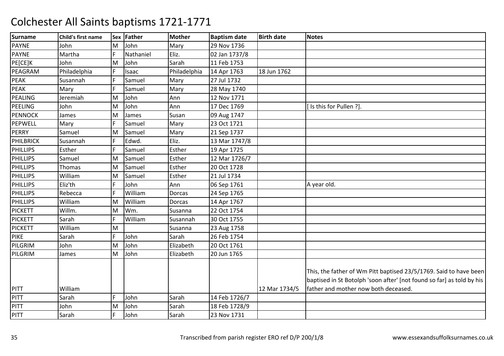| <b>Surname</b>   | Child's first name |    | Sex Father | Mother       | <b>Baptism date</b> | <b>Birth date</b> | <b>Notes</b>                                                                                                                                                                       |
|------------------|--------------------|----|------------|--------------|---------------------|-------------------|------------------------------------------------------------------------------------------------------------------------------------------------------------------------------------|
| <b>PAYNE</b>     | John               | M  | John       | Mary         | 29 Nov 1736         |                   |                                                                                                                                                                                    |
| <b>PAYNE</b>     | Martha             | F  | Nathaniel  | Eliz.        | 02 Jan 1737/8       |                   |                                                                                                                                                                                    |
| PE[CE]K          | John               | M  | John       | Sarah        | 11 Feb 1753         |                   |                                                                                                                                                                                    |
| PEAGRAM          | Philadelphia       | F  | Isaac      | Philadelphia | 14 Apr 1763         | 18 Jun 1762       |                                                                                                                                                                                    |
| <b>PEAK</b>      | Susannah           | E  | Samuel     | Mary         | 27 Jul 1732         |                   |                                                                                                                                                                                    |
| <b>PEAK</b>      | Mary               | F  | Samuel     | Mary         | 28 May 1740         |                   |                                                                                                                                                                                    |
| PEALING          | Jeremiah           | M  | John       | Ann          | 12 Nov 1771         |                   |                                                                                                                                                                                    |
| PEELING          | John               | M  | John       | Ann          | 17 Dec 1769         |                   | Is this for Pullen ?].                                                                                                                                                             |
| <b>PENNOCK</b>   | James              | M  | James      | Susan        | 09 Aug 1747         |                   |                                                                                                                                                                                    |
| PEPWELL          | Mary               |    | Samuel     | Mary         | 23 Oct 1721         |                   |                                                                                                                                                                                    |
| <b>PERRY</b>     | Samuel             | M  | Samuel     | Mary         | 21 Sep 1737         |                   |                                                                                                                                                                                    |
| <b>PHILBRICK</b> | Susannah           |    | Edwd.      | Eliz.        | 13 Mar 1747/8       |                   |                                                                                                                                                                                    |
| <b>PHILLIPS</b>  | Esther             | F  | Samuel     | Esther       | 19 Apr 1725         |                   |                                                                                                                                                                                    |
| PHILLIPS         | Samuel             | M  | Samuel     | Esther       | 12 Mar 1726/7       |                   |                                                                                                                                                                                    |
| <b>PHILLIPS</b>  | Thomas             | M  | Samuel     | Esther       | 20 Oct 1728         |                   |                                                                                                                                                                                    |
| <b>PHILLIPS</b>  | William            | M  | Samuel     | Esther       | 21 Jul 1734         |                   |                                                                                                                                                                                    |
| <b>PHILLIPS</b>  | Eliz'th            | F. | John       | Ann          | 06 Sep 1761         |                   | A year old.                                                                                                                                                                        |
| <b>PHILLIPS</b>  | Rebecca            | F  | William    | Dorcas       | 24 Sep 1765         |                   |                                                                                                                                                                                    |
| <b>PHILLIPS</b>  | William            | M  | William    | Dorcas       | 14 Apr 1767         |                   |                                                                                                                                                                                    |
| <b>PICKETT</b>   | Willm.             | M  | Wm.        | Susanna      | 22 Oct 1754         |                   |                                                                                                                                                                                    |
| <b>PICKETT</b>   | Sarah              | F  | William    | Susannah     | 30 Oct 1755         |                   |                                                                                                                                                                                    |
| <b>PICKETT</b>   | William            | M  |            | Susanna      | 23 Aug 1758         |                   |                                                                                                                                                                                    |
| <b>PIKE</b>      | Sarah              | F. | John       | Sarah        | 26 Feb 1754         |                   |                                                                                                                                                                                    |
| PILGRIM          | John               | M  | John       | Elizabeth    | 20 Oct 1761         |                   |                                                                                                                                                                                    |
| PILGRIM          | James              | M  | John       | Elizabeth    | 20 Jun 1765         |                   |                                                                                                                                                                                    |
| <b>PITT</b>      | William            |    |            |              |                     | 12 Mar 1734/5     | This, the father of Wm Pitt baptised 23/5/1769. Said to have been<br>baptised in St Botolph 'soon after' [not found so far] as told by his<br>father and mother now both deceased. |
| <b>PITT</b>      | Sarah              | F  | John       | Sarah        | 14 Feb 1726/7       |                   |                                                                                                                                                                                    |
| PITT             | John               | M  | John       | Sarah        | 18 Feb 1728/9       |                   |                                                                                                                                                                                    |
| <b>PITT</b>      | Sarah              | F  | John       | Sarah        | 23 Nov 1731         |                   |                                                                                                                                                                                    |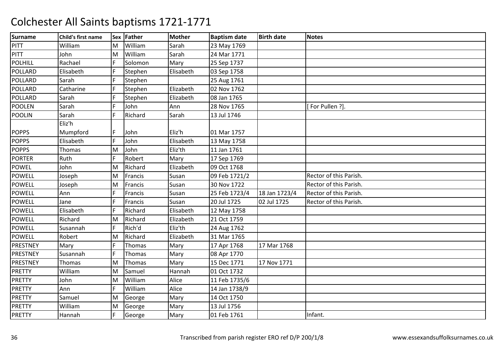| <b>Surname</b>  | Child's first name |    | Sex Father | <b>Mother</b> | <b>Baptism date</b> | <b>Birth date</b> | <b>Notes</b>           |
|-----------------|--------------------|----|------------|---------------|---------------------|-------------------|------------------------|
| PITT            | William            | M  | William    | Sarah         | 23 May 1769         |                   |                        |
| <b>PITT</b>     | John               | M  | William    | Sarah         | 24 Mar 1771         |                   |                        |
| <b>POLHILL</b>  | Rachael            | F  | Solomon    | Mary          | 25 Sep 1737         |                   |                        |
| <b>POLLARD</b>  | Elisabeth          | F. | Stephen    | Elisabeth     | 03 Sep 1758         |                   |                        |
| POLLARD         | Sarah              | E  | Stephen    |               | 25 Aug 1761         |                   |                        |
| <b>POLLARD</b>  | Catharine          | F  | Stephen    | Elizabeth     | 02 Nov 1762         |                   |                        |
| POLLARD         | Sarah              | F  | Stephen    | Elizabeth     | 08 Jan 1765         |                   |                        |
| <b>POOLEN</b>   | Sarah              | F  | John       | Ann           | 28 Nov 1765         |                   | For Pullen ?].         |
| <b>POOLIN</b>   | Sarah              | F  | Richard    | Sarah         | 13 Jul 1746         |                   |                        |
|                 | Eliz'h             |    |            |               |                     |                   |                        |
| <b>POPPS</b>    | Mumpford           | F  | John       | Eliz'h        | 01 Mar 1757         |                   |                        |
| <b>POPPS</b>    | Elisabeth          | F  | John       | Elisabeth     | 13 May 1758         |                   |                        |
| <b>POPPS</b>    | Thomas             | M  | John       | Eliz'th       | 11 Jan 1761         |                   |                        |
| <b>PORTER</b>   | Ruth               | F  | Robert     | Mary          | 17 Sep 1769         |                   |                        |
| <b>POWEL</b>    | John               | M  | Richard    | Elizabeth     | 09 Oct 1768         |                   |                        |
| <b>POWELL</b>   | Joseph             | M  | Francis    | Susan         | 09 Feb 1721/2       |                   | Rector of this Parish. |
| <b>POWELL</b>   | Joseph             | M  | Francis    | Susan         | 30 Nov 1722         |                   | Rector of this Parish. |
| <b>POWELL</b>   | Ann                | F  | Francis    | Susan         | 25 Feb 1723/4       | 18 Jan 1723/4     | Rector of this Parish. |
| <b>POWELL</b>   | Jane               |    | Francis    | Susan         | 20 Jul 1725         | 02 Jul 1725       | Rector of this Parish. |
| <b>POWELL</b>   | Elisabeth          |    | Richard    | Elisabeth     | 12 May 1758         |                   |                        |
| <b>POWELL</b>   | Richard            | M  | Richard    | Elizabeth     | 21 Oct 1759         |                   |                        |
| <b>POWELL</b>   | Susannah           | F  | Rich'd     | Eliz'th       | 24 Aug 1762         |                   |                        |
| <b>POWELL</b>   | Robert             | M  | Richard    | Elizabeth     | 31 Mar 1765         |                   |                        |
| <b>PRESTNEY</b> | Mary               | F  | Thomas     | Mary          | 17 Apr 1768         | 17 Mar 1768       |                        |
| <b>PRESTNEY</b> | Susannah           | F. | Thomas     | Mary          | 08 Apr 1770         |                   |                        |
| PRESTNEY        | Thomas             | ΙM | Thomas     | Mary          | 15 Dec 1771         | 17 Nov 1771       |                        |
| <b>PRETTY</b>   | William            | M  | Samuel     | Hannah        | 01 Oct 1732         |                   |                        |
| <b>PRETTY</b>   | John               | M  | William    | Alice         | 11 Feb 1735/6       |                   |                        |
| <b>PRETTY</b>   | Ann                | E  | William    | Alice         | 14 Jan 1738/9       |                   |                        |
| <b>PRETTY</b>   | Samuel             | M  | George     | Mary          | 14 Oct 1750         |                   |                        |
| <b>PRETTY</b>   | William            | M  | George     | Mary          | 13 Jul 1756         |                   |                        |
| <b>PRETTY</b>   | Hannah             | E  | George     | Mary          | 01 Feb 1761         |                   | Infant.                |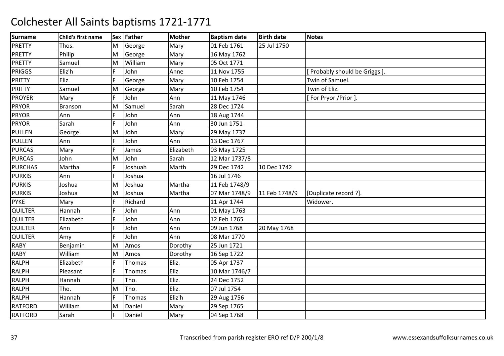| <b>Surname</b> | Child's first name |    | Sex Father | <b>Mother</b> | <b>Baptism date</b> | <b>Birth date</b> | <b>Notes</b>                 |
|----------------|--------------------|----|------------|---------------|---------------------|-------------------|------------------------------|
| <b>PRETTY</b>  | Thos.              | M  | George     | Mary          | 01 Feb 1761         | 25 Jul 1750       |                              |
| <b>PRETTY</b>  | Philip             | M  | George     | Mary          | 16 May 1762         |                   |                              |
| <b>PRETTY</b>  | Samuel             | M  | William    | Mary          | 05 Oct 1771         |                   |                              |
| <b>PRIGGS</b>  | Eliz'h             | F  | John       | Anne          | 11 Nov 1755         |                   | Probably should be Griggs ]. |
| <b>PRITTY</b>  | Eliz.              | F  | George     | Mary          | 10 Feb 1754         |                   | Twin of Samuel.              |
| <b>PRITTY</b>  | Samuel             | M  | George     | Mary          | 10 Feb 1754         |                   | Twin of Eliz.                |
| <b>PROYER</b>  | Mary               | F  | John       | Ann           | 11 May 1746         |                   | For Pryor /Prior ].          |
| <b>PRYOR</b>   | <b>Branson</b>     | M  | Samuel     | Sarah         | 28 Dec 1724         |                   |                              |
| <b>PRYOR</b>   | Ann                | F  | John       | Ann           | 18 Aug 1744         |                   |                              |
| <b>PRYOR</b>   | Sarah              |    | John       | Ann           | 30 Jun 1751         |                   |                              |
| <b>PULLEN</b>  | George             | M  | John       | Mary          | 29 May 1737         |                   |                              |
| <b>PULLEN</b>  | Ann                | F  | John       | Ann           | 13 Dec 1767         |                   |                              |
| <b>PURCAS</b>  | Mary               | F. | James      | Elizabeth     | 03 May 1725         |                   |                              |
| <b>PURCAS</b>  | John               | M  | John       | Sarah         | 12 Mar 1737/8       |                   |                              |
| <b>PURCHAS</b> | Martha             |    | Joshuah    | Marth         | 29 Dec 1742         | 10 Dec 1742       |                              |
| <b>PURKIS</b>  | Ann                |    | Joshua     |               | 16 Jul 1746         |                   |                              |
| <b>PURKIS</b>  | Joshua             | M  | Joshua     | Martha        | 11 Feb 1748/9       |                   |                              |
| <b>PURKIS</b>  | Joshua             | M  | Joshua     | Martha        | 07 Mar 1748/9       | 11 Feb 1748/9     | [Duplicate record ?].        |
| <b>PYKE</b>    | Mary               |    | Richard    |               | 11 Apr 1744         |                   | Widower.                     |
| QUILTER        | Hannah             |    | John       | Ann           | 01 May 1763         |                   |                              |
| <b>QUILTER</b> | Elizabeth          | F. | John       | Ann           | 12 Feb 1765         |                   |                              |
| <b>QUILTER</b> | Ann                |    | John       | Ann           | 09 Jun 1768         | 20 May 1768       |                              |
| <b>QUILTER</b> | Amy                |    | John       | Ann           | 08 Mar 1770         |                   |                              |
| <b>RABY</b>    | Benjamin           | M  | Amos       | Dorothy       | 25 Jun 1721         |                   |                              |
| <b>RABY</b>    | William            | M  | Amos       | Dorothy       | 16 Sep 1722         |                   |                              |
| <b>RALPH</b>   | Elizabeth          |    | Thomas     | Eliz.         | 05 Apr 1737         |                   |                              |
| <b>RALPH</b>   | Pleasant           |    | Thomas     | Eliz.         | 10 Mar 1746/7       |                   |                              |
| <b>RALPH</b>   | Hannah             |    | Tho.       | Eliz.         | 24 Dec 1752         |                   |                              |
| <b>RALPH</b>   | Tho.               | M  | Tho.       | Eliz.         | 07 Jul 1754         |                   |                              |
| <b>RALPH</b>   | Hannah             | F  | Thomas     | Eliz'h        | 29 Aug 1756         |                   |                              |
| <b>RATFORD</b> | William            | M  | Daniel     | Mary          | 29 Sep 1765         |                   |                              |
| <b>RATFORD</b> | Sarah              |    | Daniel     | Mary          | 04 Sep 1768         |                   |                              |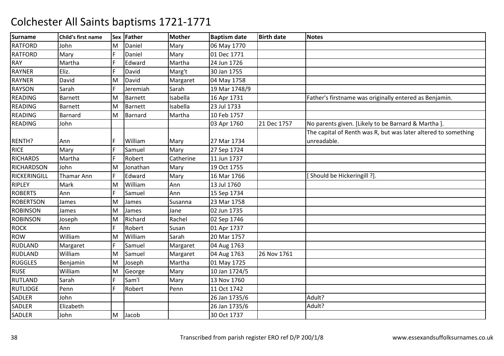| <b>Surname</b>    | Child's first name |   | Sex Father     | Mother    | <b>Baptism date</b> | <b>Birth date</b> | <b>Notes</b>                                                   |
|-------------------|--------------------|---|----------------|-----------|---------------------|-------------------|----------------------------------------------------------------|
| <b>RATFORD</b>    | John               | M | Daniel         | Mary      | 06 May 1770         |                   |                                                                |
| <b>RATFORD</b>    | Mary               | E | Daniel         | Mary      | 01 Dec 1771         |                   |                                                                |
| RAY               | Martha             |   | Edward         | Martha    | 24 Jun 1726         |                   |                                                                |
| <b>RAYNER</b>     | Eliz.              |   | David          | Marg't    | 30 Jan 1755         |                   |                                                                |
| <b>RAYNER</b>     | David              | M | David          | Margaret  | 04 May 1758         |                   |                                                                |
| <b>RAYSON</b>     | Sarah              | F | Jeremiah       | Sarah     | 19 Mar 1748/9       |                   |                                                                |
| <b>READING</b>    | Barnett            | M | <b>Barnett</b> | Isabella  | 16 Apr 1731         |                   | Father's firstname was originally entered as Benjamin.         |
| <b>READING</b>    | <b>Barnett</b>     | M | <b>Barnett</b> | Isabella  | 23 Jul 1733         |                   |                                                                |
| <b>READING</b>    | Barnard            | M | Barnard        | Martha    | 10 Feb 1757         |                   |                                                                |
| <b>READING</b>    | John               |   |                |           | 03 Apr 1760         | 21 Dec 1757       | No parents given. [Likely to be Barnard & Martha].             |
|                   |                    |   |                |           |                     |                   | The capital of Renth was R, but was later altered to something |
| RENTH?            | Ann                |   | William        | Mary      | 27 Mar 1734         |                   | unreadable.                                                    |
| <b>RICE</b>       | Mary               |   | Samuel         | Mary      | 27 Sep 1724         |                   |                                                                |
| <b>RICHARDS</b>   | Martha             | F | Robert         | Catherine | 11 Jun 1737         |                   |                                                                |
| <b>RICHARDSON</b> | John               | M | Jonathan       | Mary      | 19 Oct 1755         |                   |                                                                |
| RICKERINGILL      | Thamar Ann         | F | Edward         | Mary      | 16 Mar 1766         |                   | Should be Hickeringill ?].                                     |
| <b>RIPLEY</b>     | Mark               | M | William        | Ann       | 13 Jul 1760         |                   |                                                                |
| <b>ROBERTS</b>    | Ann                | F | Samuel         | Ann       | 15 Sep 1734         |                   |                                                                |
| <b>ROBERTSON</b>  | James              | M | James          | Susanna   | 23 Mar 1758         |                   |                                                                |
| <b>ROBINSON</b>   | James              | M | James          | Jane      | 02 Jun 1735         |                   |                                                                |
| <b>ROBINSON</b>   | Joseph             | M | Richard        | Rachel    | 02 Sep 1746         |                   |                                                                |
| <b>ROCK</b>       | Ann                | F | Robert         | Susan     | 01 Apr 1737         |                   |                                                                |
| ROW               | William            | M | William        | Sarah     | 20 Mar 1757         |                   |                                                                |
| <b>RUDLAND</b>    | Margaret           | F | Samuel         | Margaret  | 04 Aug 1763         |                   |                                                                |
| <b>RUDLAND</b>    | William            | M | Samuel         | Margaret  | 04 Aug 1763         | 26 Nov 1761       |                                                                |
| <b>RUGGLES</b>    | Benjamin           | M | Joseph         | Martha    | 01 May 1725         |                   |                                                                |
| <b>RUSE</b>       | William            | M | George         | Mary      | 10 Jan 1724/5       |                   |                                                                |
| <b>RUTLAND</b>    | Sarah              | F | Sam'l          | Mary      | 13 Nov 1760         |                   |                                                                |
| <b>RUTLIDGE</b>   | Penn               |   | Robert         | Penn      | 11 Oct 1742         |                   |                                                                |
| SADLER            | John               |   |                |           | 26 Jan 1735/6       |                   | Adult?                                                         |
| SADLER            | Elizabeth          |   |                |           | 26 Jan 1735/6       |                   | Adult?                                                         |
| SADLER            | John               | M | Jacob          |           | 30 Oct 1737         |                   |                                                                |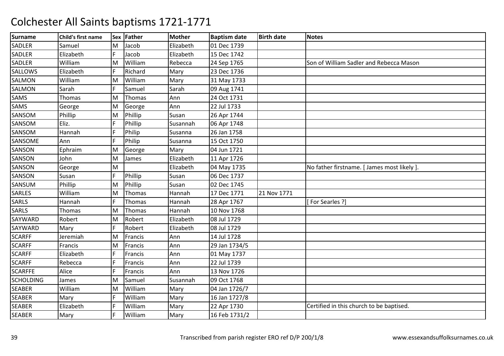| <b>Surname</b>   | Child's first name |    | Sex Father | <b>Mother</b> | <b>Baptism date</b> | <b>Birth date</b> | <b>Notes</b>                             |
|------------------|--------------------|----|------------|---------------|---------------------|-------------------|------------------------------------------|
| SADLER           | Samuel             | M  | Jacob      | Elizabeth     | 01 Dec 1739         |                   |                                          |
| SADLER           | Elizabeth          | F  | Jacob      | Elizabeth     | 15 Dec 1742         |                   |                                          |
| SADLER           | William            | M  | William    | Rebecca       | 24 Sep 1765         |                   | Son of William Sadler and Rebecca Mason  |
| SALLOWS          | Elizabeth          |    | Richard    | Mary          | 23 Dec 1736         |                   |                                          |
| <b>SALMON</b>    | William            | M  | William    | Mary          | 31 May 1733         |                   |                                          |
| SALMON           | Sarah              | F  | Samuel     | Sarah         | 09 Aug 1741         |                   |                                          |
| SAMS             | Thomas             | M  | Thomas     | Ann           | 24 Oct 1731         |                   |                                          |
| SAMS             | George             | M  | George     | Ann           | 22 Jul 1733         |                   |                                          |
| SANSOM           | Phillip            | M  | Phillip    | Susan         | 26 Apr 1744         |                   |                                          |
| SANSOM           | Eliz.              | F. | Phillip    | Susannah      | 06 Apr 1748         |                   |                                          |
| SANSOM           | Hannah             |    | Philip     | Susanna       | 26 Jan 1758         |                   |                                          |
| SANSOME          | Ann                | F  | Philip     | Susanna       | 15 Oct 1750         |                   |                                          |
| SANSON           | Ephraim            | M  | George     | Mary          | 04 Jun 1721         |                   |                                          |
| SANSON           | John               | M  | James      | Elizabeth     | 11 Apr 1726         |                   |                                          |
| SANSON           | George             | M  |            | Elizabeth     | 04 May 1735         |                   | No father firstname. [James most likely] |
| SANSON           | Susan              | F  | Phillip    | Susan         | 06 Dec 1737         |                   |                                          |
| SANSUM           | Phillip            | M  | Phillip    | Susan         | 02 Dec 1745         |                   |                                          |
| SARLES           | William            | M  | Thomas     | Hannah        | 17 Dec 1771         | 21 Nov 1771       |                                          |
| SARLS            | Hannah             | F  | Thomas     | Hannah        | 28 Apr 1767         |                   | [For Searles ?]                          |
| <b>SARLS</b>     | <b>Thomas</b>      | M  | Thomas     | Hannah        | 10 Nov 1768         |                   |                                          |
| SAYWARD          | Robert             | M  | Robert     | Elizabeth     | 08 Jul 1729         |                   |                                          |
| SAYWARD          | Mary               | F. | Robert     | Elizabeth     | 08 Jul 1729         |                   |                                          |
| <b>SCARFF</b>    | Jeremiah           | M  | Francis    | Ann           | 14 Jul 1728         |                   |                                          |
| <b>SCARFF</b>    | Francis            | M  | Francis    | Ann           | 29 Jan 1734/5       |                   |                                          |
| <b>SCARFF</b>    | Elizabeth          |    | Francis    | Ann           | 01 May 1737         |                   |                                          |
| <b>SCARFF</b>    | Rebecca            |    | Francis    | Ann           | 22 Jul 1739         |                   |                                          |
| <b>SCARFFE</b>   | Alice              |    | Francis    | Ann           | 13 Nov 1726         |                   |                                          |
| <b>SCHOLDING</b> | James              | M  | Samuel     | Susannah      | 09 Oct 1768         |                   |                                          |
| <b>SEABER</b>    | William            | M  | William    | Mary          | 04 Jan 1726/7       |                   |                                          |
| <b>SEABER</b>    | Mary               | F  | William    | Mary          | 16 Jan 1727/8       |                   |                                          |
| <b>SEABER</b>    | Elizabeth          |    | William    | Mary          | 22 Apr 1730         |                   | Certified in this church to be baptised. |
| <b>SEABER</b>    | Mary               |    | William    | Mary          | 16 Feb 1731/2       |                   |                                          |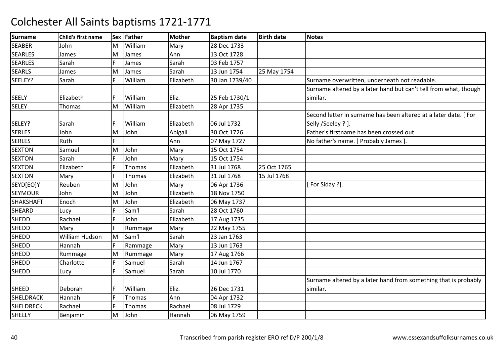| <b>Surname</b>   | Child's first name |     | Sex Father | <b>Mother</b> | <b>Baptism date</b> | <b>Birth date</b> | <b>Notes</b>                                                     |
|------------------|--------------------|-----|------------|---------------|---------------------|-------------------|------------------------------------------------------------------|
| <b>SEABER</b>    | John               | M   | William    | Mary          | 28 Dec 1733         |                   |                                                                  |
| <b>SEARLES</b>   | James              | M   | James      | Ann           | 13 Oct 1728         |                   |                                                                  |
| <b>SEARLES</b>   | Sarah              | IF. | James      | Sarah         | 03 Feb 1757         |                   |                                                                  |
| <b>SEARLS</b>    | James              | M   | James      | Sarah         | 13 Jun 1754         | 25 May 1754       |                                                                  |
| SEELEY?          | Sarah              | IF. | William    | Elizabeth     | 30 Jan 1739/40      |                   | Surname overwritten, underneath not readable.                    |
|                  |                    |     |            |               |                     |                   | Surname altered by a later hand but can't tell from what, though |
| <b>SEELY</b>     | Elizabeth          |     | William    | Eliz.         | 25 Feb 1730/1       |                   | similar.                                                         |
| <b>SELEY</b>     | <b>Thomas</b>      | M   | William    | Elizabeth     | 28 Apr 1735         |                   |                                                                  |
|                  |                    |     |            |               |                     |                   | Second letter in surname has been altered at a later date. [For  |
| SELEY?           | Sarah              | IF. | William    | Elizabeth     | 06 Jul 1732         |                   | Selly /Seeley ? ].                                               |
| <b>SERLES</b>    | John               | M   | John       | Abigail       | 30 Oct 1726         |                   | Father's firstname has been crossed out.                         |
| <b>SERLES</b>    | Ruth               |     |            | Ann           | 07 May 1727         |                   | No father's name. [ Probably James ].                            |
| <b>SEXTON</b>    | Samuel             | M   | John       | Mary          | 15 Oct 1754         |                   |                                                                  |
| <b>SEXTON</b>    | Sarah              | E   | John       | Mary          | 15 Oct 1754         |                   |                                                                  |
| <b>SEXTON</b>    | Elizabeth          | F   | Thomas     | Elizabeth     | 31 Jul 1768         | 25 Oct 1765       |                                                                  |
| <b>SEXTON</b>    | Mary               | F   | Thomas     | Elizabeth     | 31 Jul 1768         | 15 Jul 1768       |                                                                  |
| SEYD[EO]Y        | Reuben             | M   | John       | Mary          | 06 Apr 1736         |                   | [For Siday ?].                                                   |
| <b>SEYMOUR</b>   | John               | M   | John       | Elizabeth     | 18 Nov 1750         |                   |                                                                  |
| <b>SHAKSHAFT</b> | Enoch              | M   | John       | Elizabeth     | 06 May 1737         |                   |                                                                  |
| <b>SHEARD</b>    | Lucy               |     | Sam'l      | Sarah         | 28 Oct 1760         |                   |                                                                  |
| <b>SHEDD</b>     | Rachael            | F   | John       | Elizabeth     | 17 Aug 1735         |                   |                                                                  |
| <b>SHEDD</b>     | Mary               | F   | Rummage    | Mary          | 22 May 1755         |                   |                                                                  |
| <b>SHEDD</b>     | William Hudson     | M   | Sam'l      | Sarah         | 23 Jan 1763         |                   |                                                                  |
| <b>SHEDD</b>     | Hannah             | IF. | Rammage    | Mary          | 13 Jun 1763         |                   |                                                                  |
| <b>SHEDD</b>     | Rummage            | M   | Rummage    | Mary          | 17 Aug 1766         |                   |                                                                  |
| <b>SHEDD</b>     | Charlotte          | IF. | Samuel     | Sarah         | 14 Jun 1767         |                   |                                                                  |
| <b>SHEDD</b>     | Lucy               | F   | Samuel     | Sarah         | 10 Jul 1770         |                   |                                                                  |
|                  |                    |     |            |               |                     |                   | Surname altered by a later hand from something that is probably  |
| <b>SHEED</b>     | Deborah            |     | William    | Eliz.         | 26 Dec 1731         |                   | similar.                                                         |
| <b>SHELDRACK</b> | Hannah             | F   | Thomas     | Ann           | 04 Apr 1732         |                   |                                                                  |
| <b>SHELDRECK</b> | Rachael            | F   | Thomas     | Rachael       | 08 Jul 1729         |                   |                                                                  |
| <b>SHELLY</b>    | Benjamin           | M   | John       | Hannah        | 06 May 1759         |                   |                                                                  |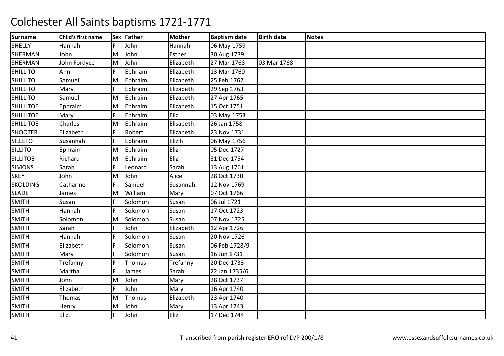| <b>Surname</b>   | Child's first name |     | Sex Father | <b>Mother</b> | <b>Baptism date</b> | <b>Birth date</b> | <b>Notes</b> |
|------------------|--------------------|-----|------------|---------------|---------------------|-------------------|--------------|
| <b>SHELLY</b>    | Hannah             | F   | John       | Hannah        | 06 May 1759         |                   |              |
| SHERMAN          | John               | lм  | John       | Esther        | 30 Aug 1739         |                   |              |
| SHERMAN          | John Fordyce       | M   | John       | Elizabeth     | 27 Mar 1768         | 03 Mar 1768       |              |
| <b>SHILLITO</b>  | Ann                |     | Ephriam    | Elizabeth     | 13 Mar 1760         |                   |              |
| <b>SHILLITO</b>  | Samuel             | M   | Ephraim    | Elizabeth     | 25 Feb 1762         |                   |              |
| <b>SHILLITO</b>  | Mary               | lF. | Ephraim    | Elizabeth     | 29 Sep 1763         |                   |              |
| <b>SHILLITO</b>  | Samuel             | M   | Ephraim    | Elizabeth     | 27 Apr 1765         |                   |              |
| <b>SHILLITOE</b> | Ephraim            | M   | Ephraim    | Elizabeth     | 15 Oct 1751         |                   |              |
| <b>SHILLITOE</b> | Mary               | F   | Ephraim    | Eliz.         | 03 May 1753         |                   |              |
| <b>SHILLITOE</b> | Charles            | M   | Ephraim    | Elisabeth     | 26 Jan 1758         |                   |              |
| <b>SHOOTER</b>   | Elizabeth          |     | Robert     | Elizabeth     | 23 Nov 1731         |                   |              |
| <b>SILLETO</b>   | Susannah           |     | Ephraim    | Eliz'h        | 06 May 1756         |                   |              |
| <b>SILLITO</b>   | Ephraim            | M   | Ephraim    | Eliz.         | 05 Dec 1727         |                   |              |
| <b>SILLITOE</b>  | Richard            | M   | Ephraim    | Eliz.         | 31 Dec 1754         |                   |              |
| <b>SIMONS</b>    | Sarah              | F   | Leonard    | Sarah         | 13 Aug 1761         |                   |              |
| <b>SKEY</b>      | John               | M   | John       | Alice         | 28 Oct 1730         |                   |              |
| <b>SKOLDING</b>  | Catharine          | F   | Samuel     | Susannah      | 12 Nov 1769         |                   |              |
| <b>SLADE</b>     | James              | M   | William    | Mary          | 07 Oct 1766         |                   |              |
| <b>SMITH</b>     | Susan              |     | Solomon    | Susan         | 06 Jul 1721         |                   |              |
| <b>SMITH</b>     | Hannah             |     | Solomon    | Susan         | 17 Oct 1723         |                   |              |
| <b>SMITH</b>     | Solomon            | İΜ  | Solomon    | Susan         | 07 Nov 1725         |                   |              |
| <b>SMITH</b>     | Sarah              | F   | John       | Elizabeth     | 12 Apr 1726         |                   |              |
| <b>SMITH</b>     | Hannah             |     | Solomon    | Susan         | 20 Nov 1726         |                   |              |
| <b>SMITH</b>     | Elizabeth          |     | Solomon    | Susan         | 06 Feb 1728/9       |                   |              |
| <b>SMITH</b>     | Mary               |     | Solomon    | Susan         | 16 Jun 1731         |                   |              |
| <b>SMITH</b>     | Trefanny           |     | Thomas     | Trefanny      | 20 Dec 1733         |                   |              |
| <b>SMITH</b>     | Martha             |     | James      | Sarah         | 22 Jan 1735/6       |                   |              |
| <b>SMITH</b>     | John               | M   | John       | Mary          | 28 Oct 1737         |                   |              |
| <b>SMITH</b>     | Elizabeth          | F   | John       | Mary          | 16 Apr 1740         |                   |              |
| <b>SMITH</b>     | Thomas             | M   | Thomas     | Elizabeth     | 23 Apr 1740         |                   |              |
| <b>SMITH</b>     | Henry              | M   | John       | Mary          | 13 Apr 1743         |                   |              |
| <b>SMITH</b>     | Eliz.              |     | John       | Eliz.         | 17 Dec 1744         |                   |              |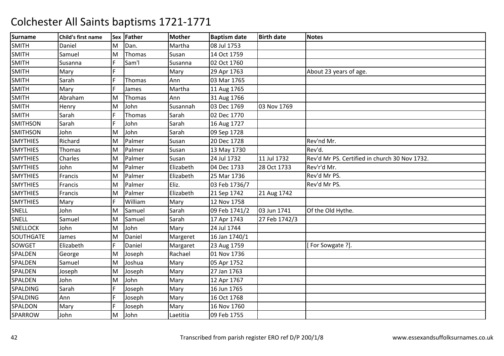| <b>Surname</b>   | Child's first name |    | Sex Father | <b>Mother</b> | <b>Baptism date</b> | <b>Birth date</b> | <b>Notes</b>                                  |
|------------------|--------------------|----|------------|---------------|---------------------|-------------------|-----------------------------------------------|
| <b>SMITH</b>     | Daniel             | M  | Dan.       | Martha        | 08 Jul 1753         |                   |                                               |
| <b>SMITH</b>     | Samuel             | M  | Thomas     | Susan         | 14 Oct 1759         |                   |                                               |
| SMITH            | Susanna            |    | Sam'l      | Susanna       | 02 Oct 1760         |                   |                                               |
| <b>SMITH</b>     | Mary               |    |            | Mary          | 29 Apr 1763         |                   | About 23 years of age.                        |
| <b>SMITH</b>     | Sarah              | F  | Thomas     | Ann           | 03 Mar 1765         |                   |                                               |
| <b>SMITH</b>     | Mary               | F  | James      | Martha        | 11 Aug 1765         |                   |                                               |
| <b>SMITH</b>     | Abraham            | M  | Thomas     | Ann           | 31 Aug 1766         |                   |                                               |
| <b>SMITH</b>     | Henry              | M  | John       | Susannah      | 03 Dec 1769         | 03 Nov 1769       |                                               |
| <b>SMITH</b>     | Sarah              | F  | Thomas     | Sarah         | 02 Dec 1770         |                   |                                               |
| <b>SMITHSON</b>  | Sarah              | F. | John       | Sarah         | 16 Aug 1727         |                   |                                               |
| <b>SMITHSON</b>  | John               | M  | John       | Sarah         | 09 Sep 1728         |                   |                                               |
| <b>SMYTHIES</b>  | Richard            | M  | Palmer     | Susan         | 20 Dec 1728         |                   | Rev'nd Mr.                                    |
| <b>SMYTHIES</b>  | Thomas             | M  | Palmer     | Susan         | 13 May 1730         |                   | Rev'd.                                        |
| <b>SMYTHIES</b>  | Charles            | M  | Palmer     | Susan         | 24 Jul 1732         | 11 Jul 1732       | Rev'd Mr PS. Certified in church 30 Nov 1732. |
| <b>SMYTHIES</b>  | John               | M  | Palmer     | Elizabeth     | 04 Dec 1733         | 28 Oct 1733       | Rev'r'd Mr.                                   |
| <b>SMYTHIES</b>  | Francis            | M  | Palmer     | Elizabeth     | 25 Mar 1736         |                   | Rev'd Mr PS.                                  |
| <b>SMYTHIES</b>  | Francis            | M  | Palmer     | Eliz.         | 03 Feb 1736/7       |                   | Rev'd Mr PS.                                  |
| <b>SMYTHIES</b>  | Francis            | M  | Palmer     | Elizabeth     | 21 Sep 1742         | 21 Aug 1742       |                                               |
| <b>SMYTHIES</b>  | Mary               | F. | William    | Mary          | 12 Nov 1758         |                   |                                               |
| SNELL            | John               | M  | Samuel     | Sarah         | 09 Feb 1741/2       | 03 Jun 1741       | Of the Old Hythe.                             |
| SNELL            | Samuel             | M  | Samuel     | Sarah         | 17 Apr 1743         | 27 Feb 1742/3     |                                               |
| <b>SNELLOCK</b>  | John               | M  | John       | Mary          | 24 Jul 1744         |                   |                                               |
| <b>SOUTHGATE</b> | James              | M  | Daniel     | Margeret      | 16 Jan 1740/1       |                   |                                               |
| <b>SOWGET</b>    | Elizabeth          | F  | Daniel     | Margaret      | 23 Aug 1759         |                   | For Sowgate ?].                               |
| SPALDEN          | George             | M  | Joseph     | Rachael       | 01 Nov 1736         |                   |                                               |
| <b>SPALDEN</b>   | Samuel             | M  | Joshua     | Mary          | 05 Apr 1752         |                   |                                               |
| SPALDEN          | Joseph             | M  | Joseph     | Mary          | 27 Jan 1763         |                   |                                               |
| SPALDEN          | John               | M  | John       | Mary          | 12 Apr 1767         |                   |                                               |
| SPALDING         | Sarah              |    | Joseph     | Mary          | 16 Jun 1765         |                   |                                               |
| SPALDING         | Ann                | F  | Joseph     | Mary          | 16 Oct 1768         |                   |                                               |
| SPALDON          | Mary               | F. | Joseph     | Mary          | 16 Nov 1760         |                   |                                               |
| SPARROW          | John               | M  | John       | Laetitia      | 09 Feb 1755         |                   |                                               |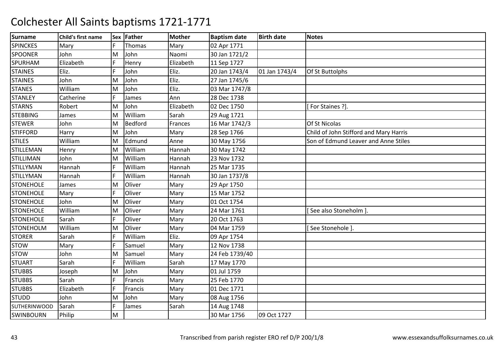| <b>Surname</b>      | Child's first name |   | Sex Father     | <b>Mother</b> | <b>Baptism date</b> | <b>Birth date</b> | <b>Notes</b>                           |
|---------------------|--------------------|---|----------------|---------------|---------------------|-------------------|----------------------------------------|
| <b>SPINCKES</b>     | Mary               | F | Thomas         | Mary          | 02 Apr 1771         |                   |                                        |
| <b>SPOONER</b>      | John               | M | John           | Naomi         | 30 Jan 1721/2       |                   |                                        |
| SPURHAM             | Elizabeth          |   | Henry          | Elizabeth     | 11 Sep 1727         |                   |                                        |
| <b>STAINES</b>      | Eliz.              |   | John           | Eliz.         | 20 Jan 1743/4       | 01 Jan 1743/4     | Of St Buttolphs                        |
| <b>STAINES</b>      | John               | M | John           | Eliz.         | 27 Jan 1745/6       |                   |                                        |
| <b>STANES</b>       | William            | M | John           | Eliz.         | 03 Mar 1747/8       |                   |                                        |
| <b>STANLEY</b>      | Catherine          | F | James          | Ann           | 28 Dec 1738         |                   |                                        |
| <b>STARNS</b>       | Robert             | M | John           | Elizabeth     | 02 Dec 1750         |                   | For Staines ?].                        |
| <b>STEBBING</b>     | James              | M | William        | Sarah         | 29 Aug 1721         |                   |                                        |
| <b>STEWER</b>       | John               | M | <b>Bedford</b> | Frances       | 16 Mar 1742/3       |                   | Of St Nicolas                          |
| <b>STIFFORD</b>     | Harry              | M | John           | Mary          | 28 Sep 1766         |                   | Child of John Stifford and Mary Harris |
| <b>STILES</b>       | William            | M | Edmund         | Anne          | 30 May 1756         |                   | Son of Edmund Leaver and Anne Stiles   |
| <b>STILLEMAN</b>    | Henry              | M | William        | Hannah        | 30 May 1742         |                   |                                        |
| <b>STILLIMAN</b>    | John               | M | William        | Hannah        | 23 Nov 1732         |                   |                                        |
| <b>STILLYMAN</b>    | Hannah             | F | William        | Hannah        | 25 Mar 1735         |                   |                                        |
| <b>STILLYMAN</b>    | Hannah             |   | William        | Hannah        | 30 Jan 1737/8       |                   |                                        |
| <b>STONEHOLE</b>    | James              | M | Oliver         | Mary          | 29 Apr 1750         |                   |                                        |
| <b>STONEHOLE</b>    | Mary               | F | Oliver         | Mary          | 15 Mar 1752         |                   |                                        |
| <b>STONEHOLE</b>    | John               | M | Oliver         | Mary          | 01 Oct 1754         |                   |                                        |
| <b>STONEHOLE</b>    | William            | M | Oliver         | Mary          | 24 Mar 1761         |                   | See also Stoneholm ]                   |
| <b>STONEHOLE</b>    | Sarah              | F | Oliver         | Mary          | 20 Oct 1763         |                   |                                        |
| <b>STONEHOLM</b>    | William            | M | Oliver         | Mary          | 04 Mar 1759         |                   | See Stonehole ].                       |
| <b>STORER</b>       | Sarah              | F | William        | Eliz.         | 09 Apr 1754         |                   |                                        |
| <b>STOW</b>         | Mary               | F | Samuel         | Mary          | 12 Nov 1738         |                   |                                        |
| <b>STOW</b>         | John               | M | Samuel         | Mary          | 24 Feb 1739/40      |                   |                                        |
| <b>STUART</b>       | Sarah              | F | William        | Sarah         | 17 May 1770         |                   |                                        |
| <b>STUBBS</b>       | Joseph             | M | John           | Mary          | 01 Jul 1759         |                   |                                        |
| <b>STUBBS</b>       | Sarah              | F | Francis        | Mary          | 25 Feb 1770         |                   |                                        |
| <b>STUBBS</b>       | Elizabeth          |   | Francis        | Mary          | 01 Dec 1771         |                   |                                        |
| <b>STUDD</b>        | John               | M | John           | Mary          | 08 Aug 1756         |                   |                                        |
| <b>SUTHERINWOOD</b> | Sarah              | Ë | James          | Sarah         | 14 Aug 1748         |                   |                                        |
| <b>SWINBOURN</b>    | Philip             | M |                |               | 30 Mar 1756         | 09 Oct 1727       |                                        |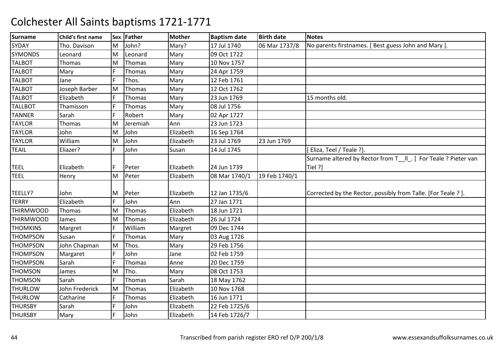| <b>Surname</b>   | Child's first name |    | Sex Father | <b>Mother</b> | <b>Baptism date</b> | <b>Birth date</b> | <b>Notes</b>                                                   |
|------------------|--------------------|----|------------|---------------|---------------------|-------------------|----------------------------------------------------------------|
| SYDAY            | Tho. Davison       | İМ | John?      | Mary?         | 17 Jul 1740         | 06 Mar 1737/8     | No parents firstnames. [Best guess John and Mary].             |
| <b>SYMONDS</b>   | Leonard            | M  | Leonard    | Mary          | 09 Oct 1722         |                   |                                                                |
| <b>TALBOT</b>    | <b>Thomas</b>      | M  | Thomas     | Mary          | 10 Nov 1757         |                   |                                                                |
| <b>TALBOT</b>    | Mary               |    | Thomas     | Mary          | 24 Apr 1759         |                   |                                                                |
| <b>TALBOT</b>    | Jane               | F  | Thos.      | Mary          | 12 Feb 1761         |                   |                                                                |
| <b>TALBOT</b>    | Joseph Barber      | M  | Thomas     | Mary          | 12 Oct 1762         |                   |                                                                |
| <b>TALBOT</b>    | Elizabeth          | F  | Thomas     | Mary          | 23 Jun 1769         |                   | 15 months old.                                                 |
| <b>TALLBOT</b>   | Thamisson          |    | Thomas     | Mary          | 08 Jul 1756         |                   |                                                                |
| <b>TANNER</b>    | Sarah              | F. | Robert     | Mary          | 02 Apr 1727         |                   |                                                                |
| <b>TAYLOR</b>    | Thomas             | M  | Jeremiah   | Ann           | 23 Jun 1723         |                   |                                                                |
| <b>TAYLOR</b>    | John               | M  | John       | Elizabeth     | 16 Sep 1764         |                   |                                                                |
| <b>TAYLOR</b>    | William            | M  | John       | Elizabeth     | 23 Jul 1769         | 23 Jun 1769       |                                                                |
| <b>TEAIL</b>     | Eliazer?           | F. | John       | Susan         | 14 Jul 1745         |                   | [Eliza, Teel / Teale ?].                                       |
|                  |                    |    |            |               |                     |                   | Surname altered by Rector from T_II_. [ For Teale ? Pieter van |
| <b>TEEL</b>      | Elizabeth          |    | Peter      | Elizabeth     | 24 Jun 1739         |                   | Tiel ?]                                                        |
| <b>TEEL</b>      | Henry              | M  | Peter      | Elizabeth     | 08 Mar 1740/1       | 19 Feb 1740/1     |                                                                |
|                  |                    |    |            |               |                     |                   |                                                                |
| TEELLY?          | John               | ΙM | Peter      | Elizabeth     | 12 Jan 1735/6       |                   | Corrected by the Rector, possibly from Talle. [For Teale ?].   |
| <b>TERRY</b>     | Elizabeth          |    | John       | Ann           | 27 Jan 1771         |                   |                                                                |
| <b>THIRMWOOD</b> | Thomas             | M  | Thomas     | Elizabeth     | 18 Jun 1721         |                   |                                                                |
| <b>THIRMWOOD</b> | James              | M  | Thomas     | Elizabeth     | 26 Jul 1724         |                   |                                                                |
| <b>THOMKINS</b>  | Margret            | F  | William    | Margret       | 09 Dec 1744         |                   |                                                                |
| <b>THOMPSON</b>  | Susan              |    | Thomas     | Mary          | 03 Aug 1726         |                   |                                                                |
| <b>THOMPSON</b>  | John Chapman       | M  | Thos.      | Mary          | 29 Feb 1756         |                   |                                                                |
| <b>THOMPSON</b>  | Margaret           | F  | John       | Jane          | 02 Feb 1759         |                   |                                                                |
| <b>THOMPSON</b>  | Sarah              | F  | Thomas     | Anne          | 20 Dec 1759         |                   |                                                                |
| <b>THOMSON</b>   | James              | M  | Tho.       | Mary          | 08 Oct 1753         |                   |                                                                |
| <b>THOMSON</b>   | Sarah              | F  | Thomas     | Sarah         | 18 May 1762         |                   |                                                                |
| <b>THURLOW</b>   | John Frederick     | M  | Thomas     | Elizabeth     | 10 Nov 1768         |                   |                                                                |
| <b>THURLOW</b>   | Catharine          | F  | Thomas     | Elizabeth     | 16 Jun 1771         |                   |                                                                |
| <b>THURSBY</b>   | Sarah              | F  | John       | Elizabeth     | 22 Feb 1725/6       |                   |                                                                |
| <b>THURSBY</b>   | Mary               | E  | John       | Elizabeth     | 14 Feb 1726/7       |                   |                                                                |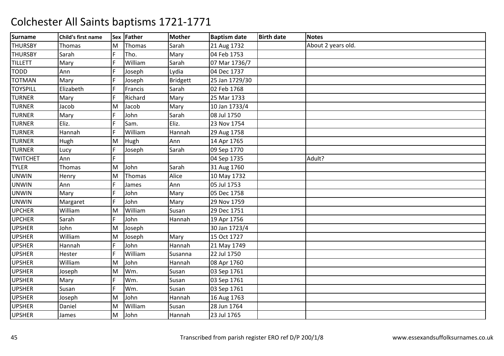| <b>Surname</b>  | Child's first name |    | Sex Father | <b>Mother</b>   | <b>Baptism date</b> | <b>Birth date</b> | <b>Notes</b>       |
|-----------------|--------------------|----|------------|-----------------|---------------------|-------------------|--------------------|
| <b>THURSBY</b>  | Thomas             | M  | Thomas     | Sarah           | 21 Aug 1732         |                   | About 2 years old. |
| <b>THURSBY</b>  | Sarah              | F. | Tho.       | Mary            | 04 Feb 1753         |                   |                    |
| <b>TILLETT</b>  | Mary               |    | William    | Sarah           | 07 Mar 1736/7       |                   |                    |
| <b>TODD</b>     | Ann                |    | Joseph     | Lydia           | 04 Dec 1737         |                   |                    |
| <b>TOTMAN</b>   | Mary               | F  | Joseph     | <b>Bridgett</b> | 25 Jan 1729/30      |                   |                    |
| <b>TOYSPILL</b> | Elizabeth          | F. | Francis    | Sarah           | 02 Feb 1768         |                   |                    |
| <b>TURNER</b>   | Mary               | F  | Richard    | Mary            | 25 Mar 1733         |                   |                    |
| <b>TURNER</b>   | Jacob              | M  | Jacob      | Mary            | 10 Jan 1733/4       |                   |                    |
| <b>TURNER</b>   | Mary               | F  | John       | Sarah           | 08 Jul 1750         |                   |                    |
| <b>TURNER</b>   | Eliz.              | F. | Sam.       | Eliz.           | 23 Nov 1754         |                   |                    |
| <b>TURNER</b>   | Hannah             |    | William    | Hannah          | 29 Aug 1758         |                   |                    |
| <b>TURNER</b>   | Hugh               | M  | Hugh       | Ann             | 14 Apr 1765         |                   |                    |
| <b>TURNER</b>   | Lucy               | F  | Joseph     | Sarah           | 09 Sep 1770         |                   |                    |
| <b>TWITCHET</b> | Ann                | F. |            |                 | 04 Sep 1735         |                   | Adult?             |
| <b>TYLER</b>    | Thomas             | M  | John       | Sarah           | 31 Aug 1760         |                   |                    |
| <b>UNWIN</b>    | Henry              | M  | Thomas     | Alice           | 10 May 1732         |                   |                    |
| <b>UNWIN</b>    | Ann                |    | James      | Ann             | 05 Jul 1753         |                   |                    |
| <b>UNWIN</b>    | Mary               |    | John       | Mary            | 05 Dec 1758         |                   |                    |
| <b>UNWIN</b>    | Margaret           |    | John       | Mary            | 29 Nov 1759         |                   |                    |
| <b>UPCHER</b>   | William            | M  | William    | Susan           | 29 Dec 1751         |                   |                    |
| <b>UPCHER</b>   | Sarah              | F  | John       | Hannah          | 19 Apr 1756         |                   |                    |
| <b>UPSHER</b>   | John               | M  | Joseph     |                 | 30 Jan 1723/4       |                   |                    |
| <b>UPSHER</b>   | William            | M  | Joseph     | Mary            | 15 Oct 1727         |                   |                    |
| <b>UPSHER</b>   | Hannah             | F  | John       | Hannah          | 21 May 1749         |                   |                    |
| <b>UPSHER</b>   | Hester             | F  | William    | Susanna         | 22 Jul 1750         |                   |                    |
| <b>UPSHER</b>   | William            | M  | John       | Hannah          | 08 Apr 1760         |                   |                    |
| <b>UPSHER</b>   | Joseph             | M  | Wm.        | Susan           | 03 Sep 1761         |                   |                    |
| <b>UPSHER</b>   | Mary               | F  | Wm.        | Susan           | 03 Sep 1761         |                   |                    |
| <b>UPSHER</b>   | Susan              |    | Wm.        | Susan           | 03 Sep 1761         |                   |                    |
| <b>UPSHER</b>   | Joseph             | M  | John       | Hannah          | 16 Aug 1763         |                   |                    |
| <b>UPSHER</b>   | Daniel             | M  | William    | Susan           | 28 Jun 1764         |                   |                    |
| <b>UPSHER</b>   | James              | M  | John       | Hannah          | 23 Jul 1765         |                   |                    |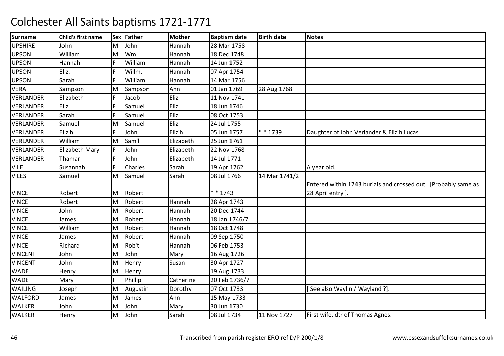| <b>Surname</b>   | Child's first name |    | Sex Father | <b>Mother</b> | <b>Baptism date</b> | <b>Birth date</b> | <b>Notes</b>                                                   |
|------------------|--------------------|----|------------|---------------|---------------------|-------------------|----------------------------------------------------------------|
| <b>UPSHIRE</b>   | John               | M  | John       | Hannah        | 28 Mar 1758         |                   |                                                                |
| <b>UPSON</b>     | William            | M  | Wm.        | Hannah        | 18 Dec 1748         |                   |                                                                |
| <b>UPSON</b>     | Hannah             |    | William    | Hannah        | 14 Jun 1752         |                   |                                                                |
| <b>UPSON</b>     | Eliz.              |    | Willm.     | Hannah        | 07 Apr 1754         |                   |                                                                |
| <b>UPSON</b>     | Sarah              | F  | William    | Hannah        | 14 Mar 1756         |                   |                                                                |
| <b>VERA</b>      | Sampson            | M  | Sampson    | Ann           | 01 Jan 1769         | 28 Aug 1768       |                                                                |
| <b>VERLANDER</b> | Elizabeth          | F  | Jacob      | Eliz.         | 11 Nov 1741         |                   |                                                                |
| <b>VERLANDER</b> | Eliz.              |    | Samuel     | Eliz.         | 18 Jun 1746         |                   |                                                                |
| <b>VERLANDER</b> | Sarah              |    | Samuel     | Eliz.         | 08 Oct 1753         |                   |                                                                |
| <b>VERLANDER</b> | Samuel             | M  | Samuel     | Eliz.         | 24 Jul 1755         |                   |                                                                |
| <b>VERLANDER</b> | Eliz'h             |    | John       | Eliz'h        | 05 Jun 1757         | * * 1739          | Daughter of John Verlander & Eliz'h Lucas                      |
| <b>VERLANDER</b> | William            | M  | Sam'l      | Elizabeth     | 25 Jun 1761         |                   |                                                                |
| <b>VERLANDER</b> | Elizabeth Mary     | F  | John       | Elizabeth     | 22 Nov 1768         |                   |                                                                |
| <b>VERLANDER</b> | Thamar             | F. | John       | Elizabeth     | 14 Jul 1771         |                   |                                                                |
| <b>VILE</b>      | Susannah           | F  | Charles    | Sarah         | 19 Apr 1762         |                   | A year old.                                                    |
| <b>VILES</b>     | Samuel             | M  | Samuel     | Sarah         | 08 Jul 1766         | 14 Mar 1741/2     |                                                                |
|                  |                    |    |            |               |                     |                   | Entered within 1743 burials and crossed out. [Probably same as |
| <b>VINCE</b>     | Robert             | M  | Robert     |               | * * 1743            |                   | 28 April entry ].                                              |
| <b>VINCE</b>     | Robert             | M  | Robert     | Hannah        | 28 Apr 1743         |                   |                                                                |
| <b>VINCE</b>     | John               | M  | Robert     | Hannah        | 20 Dec 1744         |                   |                                                                |
| <b>VINCE</b>     | James              | M  | Robert     | Hannah        | 18 Jan 1746/7       |                   |                                                                |
| <b>VINCE</b>     | William            | M  | Robert     | Hannah        | 18 Oct 1748         |                   |                                                                |
| <b>VINCE</b>     | James              | M  | Robert     | Hannah        | 09 Sep 1750         |                   |                                                                |
| <b>VINCE</b>     | Richard            | M  | Rob't      | Hannah        | 06 Feb 1753         |                   |                                                                |
| <b>VINCENT</b>   | John               | M  | John       | Mary          | 16 Aug 1726         |                   |                                                                |
| <b>VINCENT</b>   | John               | M  | Henry      | Susan         | 30 Apr 1727         |                   |                                                                |
| <b>WADE</b>      | Henry              | M  | Henry      |               | 19 Aug 1733         |                   |                                                                |
| <b>WADE</b>      | Mary               | F  | Phillip    | Catherine     | 20 Feb 1736/7       |                   |                                                                |
| <b>WAILING</b>   | Joseph             | M  | Augustin   | Dorothy       | 07 Oct 1733         |                   | See also Waylin / Wayland ?].                                  |
| <b>WALFORD</b>   | James              | M  | James      | Ann           | 15 May 1733         |                   |                                                                |
| <b>WALKER</b>    | John               | M  | John       | Mary          | 30 Jun 1730         |                   |                                                                |
| <b>WALKER</b>    | Henry              | M  | John       | Sarah         | 08 Jul 1734         | 11 Nov 1727       | First wife, dtr of Thomas Agnes.                               |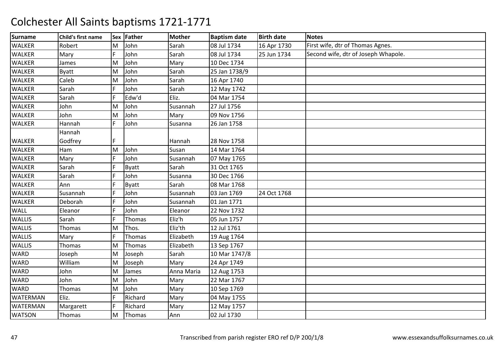| <b>Surname</b>  | Child's first name |    | Sex Father   | <b>Mother</b> | <b>Baptism date</b> | <b>Birth date</b> | <b>Notes</b>                        |
|-----------------|--------------------|----|--------------|---------------|---------------------|-------------------|-------------------------------------|
| <b>WALKER</b>   | Robert             | M  | John         | Sarah         | 08 Jul 1734         | 16 Apr 1730       | First wife, dtr of Thomas Agnes.    |
| <b>WALKER</b>   | Mary               | F  | John         | Sarah         | 08 Jul 1734         | 25 Jun 1734       | Second wife, dtr of Joseph Whapole. |
| <b>WALKER</b>   | James              | M  | John         | Mary          | 10 Dec 1734         |                   |                                     |
| WALKER          | <b>Byatt</b>       | M  | John         | Sarah         | 25 Jan 1738/9       |                   |                                     |
| <b>WALKER</b>   | Caleb              | M  | John         | Sarah         | 16 Apr 1740         |                   |                                     |
| <b>WALKER</b>   | Sarah              | F  | John         | Sarah         | 12 May 1742         |                   |                                     |
| <b>WALKER</b>   | Sarah              | F. | Edw'd        | Eliz.         | 04 Mar 1754         |                   |                                     |
| WALKER          | John               | M  | John         | Susannah      | 27 Jul 1756         |                   |                                     |
| <b>WALKER</b>   | John               | M  | John         | Mary          | 09 Nov 1756         |                   |                                     |
| <b>WALKER</b>   | Hannah             | F  | John         | Susanna       | 26 Jan 1758         |                   |                                     |
|                 | Hannah             |    |              |               |                     |                   |                                     |
| <b>WALKER</b>   | Godfrey            |    |              | Hannah        | 28 Nov 1758         |                   |                                     |
| <b>WALKER</b>   | Ham                | M  | John         | Susan         | 14 Mar 1764         |                   |                                     |
| <b>WALKER</b>   | Mary               | F  | John         | Susannah      | 07 May 1765         |                   |                                     |
| <b>WALKER</b>   | Sarah              |    | <b>Byatt</b> | Sarah         | 31 Oct 1765         |                   |                                     |
| <b>WALKER</b>   | Sarah              |    | John         | Susanna       | 30 Dec 1766         |                   |                                     |
| <b>WALKER</b>   | Ann                |    | <b>Byatt</b> | Sarah         | 08 Mar 1768         |                   |                                     |
| <b>WALKER</b>   | Susannah           |    | John         | Susannah      | 03 Jan 1769         | 24 Oct 1768       |                                     |
| <b>WALKER</b>   | Deborah            |    | John         | Susannah      | 01 Jan 1771         |                   |                                     |
| <b>WALL</b>     | Eleanor            |    | John         | Eleanor       | 22 Nov 1732         |                   |                                     |
| <b>WALLIS</b>   | Sarah              |    | Thomas       | Eliz'h        | 05 Jun 1757         |                   |                                     |
| <b>WALLIS</b>   | Thomas             | M  | Thos.        | Eliz'th       | 12 Jul 1761         |                   |                                     |
| <b>WALLIS</b>   | Mary               | F  | Thomas       | Elizabeth     | 19 Aug 1764         |                   |                                     |
| <b>WALLIS</b>   | Thomas             | M  | Thomas       | Elizabeth     | 13 Sep 1767         |                   |                                     |
| <b>WARD</b>     | Joseph             | M  | Joseph       | Sarah         | 10 Mar 1747/8       |                   |                                     |
| <b>WARD</b>     | William            | M  | Joseph       | Mary          | 24 Apr 1749         |                   |                                     |
| <b>WARD</b>     | John               | M  | James        | Anna Maria    | 12 Aug 1753         |                   |                                     |
| <b>WARD</b>     | John               | M  | John         | Mary          | 22 Mar 1767         |                   |                                     |
| <b>WARD</b>     | Thomas             | M  | John         | Mary          | 10 Sep 1769         |                   |                                     |
| <b>WATERMAN</b> | Eliz.              | F  | Richard      | Mary          | 04 May 1755         |                   |                                     |
| <b>WATERMAN</b> | Margarett          | F  | Richard      | Mary          | 12 May 1757         |                   |                                     |
| <b>WATSON</b>   | Thomas             | M  | Thomas       | Ann           | 02 Jul 1730         |                   |                                     |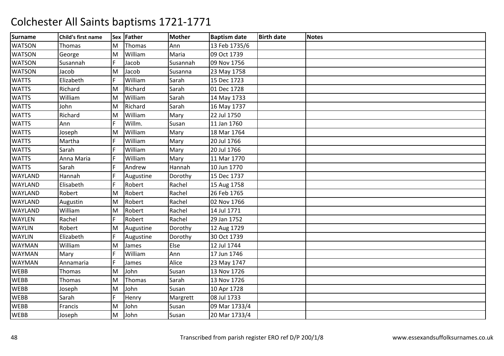| <b>Surname</b> | Child's first name |     | Sex Father | <b>Mother</b> | <b>Baptism date</b> | <b>Birth date</b> | <b>Notes</b> |
|----------------|--------------------|-----|------------|---------------|---------------------|-------------------|--------------|
| <b>WATSON</b>  | <b>Thomas</b>      | M   | Thomas     | Ann           | 13 Feb 1735/6       |                   |              |
| <b>WATSON</b>  | George             | M   | William    | Maria         | 09 Oct 1739         |                   |              |
| <b>WATSON</b>  | Susannah           |     | Jacob      | Susannah      | 09 Nov 1756         |                   |              |
| <b>WATSON</b>  | Jacob              | M   | Jacob      | Susanna       | 23 May 1758         |                   |              |
| <b>WATTS</b>   | Elizabeth          | IF. | William    | Sarah         | 15 Dec 1723         |                   |              |
| <b>WATTS</b>   | Richard            | M   | Richard    | Sarah         | 01 Dec 1728         |                   |              |
| <b>WATTS</b>   | William            | M   | William    | Sarah         | 14 May 1733         |                   |              |
| <b>WATTS</b>   | John               | M   | Richard    | Sarah         | 16 May 1737         |                   |              |
| <b>WATTS</b>   | Richard            | M   | William    | Mary          | 22 Jul 1750         |                   |              |
| <b>WATTS</b>   | Ann                | F   | Willm.     | Susan         | 11 Jan 1760         |                   |              |
| <b>WATTS</b>   | Joseph             | İΜ  | William    | Mary          | 18 Mar 1764         |                   |              |
| <b>WATTS</b>   | Martha             |     | William    | Mary          | 20 Jul 1766         |                   |              |
| <b>WATTS</b>   | Sarah              |     | William    | Mary          | 20 Jul 1766         |                   |              |
| <b>WATTS</b>   | Anna Maria         | IF. | William    | Mary          | 11 Mar 1770         |                   |              |
| <b>WATTS</b>   | Sarah              |     | Andrew     | Hannah        | 10 Jun 1770         |                   |              |
| WAYLAND        | Hannah             |     | Augustine  | Dorothy       | 15 Dec 1737         |                   |              |
| WAYLAND        | Elisabeth          |     | Robert     | Rachel        | 15 Aug 1758         |                   |              |
| <b>WAYLAND</b> | Robert             | M   | Robert     | Rachel        | 26 Feb 1765         |                   |              |
| WAYLAND        | Augustin           | M   | Robert     | Rachel        | 02 Nov 1766         |                   |              |
| WAYLAND        | William            | M   | Robert     | Rachel        | 14 Jul 1771         |                   |              |
| <b>WAYLEN</b>  | Rachel             |     | Robert     | Rachel        | 29 Jan 1752         |                   |              |
| <b>WAYLIN</b>  | Robert             | M   | Augustine  | Dorothy       | 12 Aug 1729         |                   |              |
| <b>WAYLIN</b>  | Elizabeth          | F   | Augustine  | Dorothy       | 30 Oct 1739         |                   |              |
| <b>WAYMAN</b>  | William            | M   | James      | Else          | 12 Jul 1744         |                   |              |
| WAYMAN         | Mary               |     | William    | Ann           | 17 Jun 1746         |                   |              |
| <b>WAYMAN</b>  | Annamaria          | IF. | James      | Alice         | 23 May 1747         |                   |              |
| <b>WEBB</b>    | Thomas             | M   | John       | Susan         | 13 Nov 1726         |                   |              |
| <b>WEBB</b>    | Thomas             | M   | Thomas     | Sarah         | 13 Nov 1726         |                   |              |
| <b>WEBB</b>    | Joseph             | M   | John       | Susan         | 10 Apr 1728         |                   |              |
| WEBB           | Sarah              | IF. | Henry      | Margrett      | 08 Jul 1733         |                   |              |
| <b>WEBB</b>    | Francis            | M   | John       | Susan         | 09 Mar 1733/4       |                   |              |
| <b>WEBB</b>    | Joseph             | M   | John       | Susan         | 20 Mar 1733/4       |                   |              |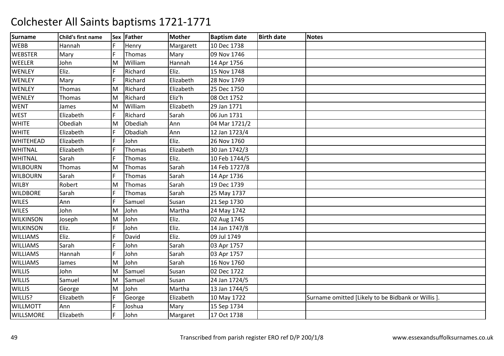| <b>Surname</b>   | Child's first name |     | Sex Father | <b>Mother</b> | <b>Baptism date</b> | <b>Birth date</b> | <b>Notes</b>                                     |
|------------------|--------------------|-----|------------|---------------|---------------------|-------------------|--------------------------------------------------|
| <b>WEBB</b>      | Hannah             | F   | Henry      | Margarett     | 10 Dec 1738         |                   |                                                  |
| <b>WEBSTER</b>   | Mary               | F   | Thomas     | Mary          | 09 Nov 1746         |                   |                                                  |
| WEELER           | John               | M   | William    | Hannah        | 14 Apr 1756         |                   |                                                  |
| <b>WENLEY</b>    | Eliz.              |     | Richard    | Eliz.         | 15 Nov 1748         |                   |                                                  |
| <b>WENLEY</b>    | Mary               | IF. | Richard    | Elizabeth     | 28 Nov 1749         |                   |                                                  |
| <b>WENLEY</b>    | Thomas             | M   | Richard    | Elizabeth     | 25 Dec 1750         |                   |                                                  |
| WENLEY           | Thomas             | M   | Richard    | Eliz'h        | 08 Oct 1752         |                   |                                                  |
| <b>WENT</b>      | James              | M   | William    | Elizabeth     | 29 Jan 1771         |                   |                                                  |
| <b>WEST</b>      | Elizabeth          | F   | Richard    | Sarah         | 06 Jun 1731         |                   |                                                  |
| <b>WHITE</b>     | Obediah            | M   | Obediah    | Ann           | 04 Mar 1721/2       |                   |                                                  |
| <b>WHITE</b>     | Elizabeth          |     | Obadiah    | Ann           | 12 Jan 1723/4       |                   |                                                  |
| WHITEHEAD        | Elizabeth          | F   | John       | Eliz.         | 26 Nov 1760         |                   |                                                  |
| WHITNAL          | Elizabeth          | F   | Thomas     | Elizabeth     | 30 Jan 1742/3       |                   |                                                  |
| <b>WHITNAL</b>   | Sarah              | F   | Thomas     | Eliz.         | 10 Feb 1744/5       |                   |                                                  |
| <b>WILBOURN</b>  | Thomas             | ΙM  | Thomas     | Sarah         | 14 Feb 1727/8       |                   |                                                  |
| <b>WILBOURN</b>  | Sarah              |     | Thomas     | Sarah         | 14 Apr 1736         |                   |                                                  |
| <b>WILBY</b>     | Robert             | M   | Thomas     | Sarah         | 19 Dec 1739         |                   |                                                  |
| <b>WILDBORE</b>  | Sarah              | F   | Thomas     | Sarah         | 25 May 1737         |                   |                                                  |
| <b>WILES</b>     | Ann                |     | Samuel     | Susan         | 21 Sep 1730         |                   |                                                  |
| <b>WILES</b>     | John               | lм  | John       | Martha        | 24 May 1742         |                   |                                                  |
| <b>WILKINSON</b> | Joseph             | M   | John       | Eliz.         | 02 Aug 1745         |                   |                                                  |
| <b>WILKINSON</b> | Eliz.              | IF. | John       | Eliz.         | 14 Jan 1747/8       |                   |                                                  |
| <b>WILLIAMS</b>  | Eliz.              |     | David      | Eliz.         | 09 Jul 1749         |                   |                                                  |
| <b>WILLIAMS</b>  | Sarah              | IF. | John       | Sarah         | 03 Apr 1757         |                   |                                                  |
| <b>WILLIAMS</b>  | Hannah             | F   | John       | Sarah         | 03 Apr 1757         |                   |                                                  |
| <b>WILLIAMS</b>  | James              | M   | John       | Sarah         | 16 Nov 1760         |                   |                                                  |
| <b>WILLIS</b>    | John               | M   | Samuel     | Susan         | 02 Dec 1722         |                   |                                                  |
| <b>WILLIS</b>    | Samuel             | M   | Samuel     | Susan         | 24 Jan 1724/5       |                   |                                                  |
| <b>WILLIS</b>    | George             | M   | John       | Martha        | 13 Jan 1744/5       |                   |                                                  |
| WILLIS?          | Elizabeth          | F   | George     | Elizabeth     | 10 May 1722         |                   | Surname omitted [Likely to be Bidbank or Willis] |
| <b>WILLMOTT</b>  | Ann                | F   | Joshua     | Mary          | 15 Sep 1734         |                   |                                                  |
| WILLSMORE        | Elizabeth          | IF. | John       | Margaret      | 17 Oct 1738         |                   |                                                  |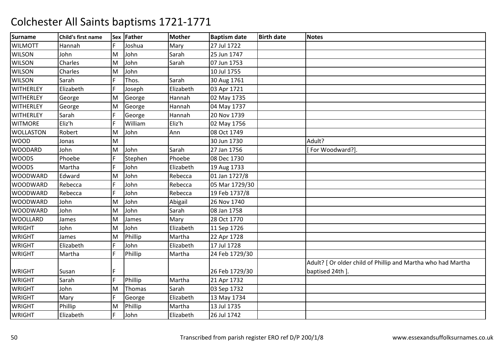| <b>Surname</b>   | Child's first name |    | Sex Father | <b>Mother</b> | <b>Baptism date</b> | <b>Birth date</b> | <b>Notes</b>                                                 |
|------------------|--------------------|----|------------|---------------|---------------------|-------------------|--------------------------------------------------------------|
| <b>WILMOTT</b>   | Hannah             | F  | Joshua     | Mary          | 27 Jul 1722         |                   |                                                              |
| <b>WILSON</b>    | John               | M  | John       | Sarah         | 25 Jun 1747         |                   |                                                              |
| <b>WILSON</b>    | Charles            | M  | John       | Sarah         | 07 Jun 1753         |                   |                                                              |
| <b>WILSON</b>    | Charles            | M  | John       |               | 10 Jul 1755         |                   |                                                              |
| <b>WILSON</b>    | Sarah              | F  | Thos.      | Sarah         | 30 Aug 1761         |                   |                                                              |
| <b>WITHERLEY</b> | Elizabeth          | F  | Joseph     | Elizabeth     | 03 Apr 1721         |                   |                                                              |
| <b>WITHERLEY</b> | George             | M  | George     | Hannah        | 02 May 1735         |                   |                                                              |
| <b>WITHERLEY</b> | George             | M  | George     | Hannah        | 04 May 1737         |                   |                                                              |
| <b>WITHERLEY</b> | Sarah              | F. | George     | Hannah        | 20 Nov 1739         |                   |                                                              |
| <b>WITMORE</b>   | Eliz'h             |    | William    | Eliz'h        | 02 May 1756         |                   |                                                              |
| <b>WOLLASTON</b> | Robert             | M  | John       | Ann           | 08 Oct 1749         |                   |                                                              |
| <b>WOOD</b>      | Jonas              | M  |            |               | 30 Jun 1730         |                   | Adult?                                                       |
| <b>WOODARD</b>   | John               | M  | John       | Sarah         | 27 Jan 1756         |                   | For Woodward?].                                              |
| <b>WOODS</b>     | Phoebe             | F  | Stephen    | Phoebe        | 08 Dec 1730         |                   |                                                              |
| <b>WOODS</b>     | Martha             | F. | John       | Elizabeth     | 19 Aug 1733         |                   |                                                              |
| <b>WOODWARD</b>  | Edward             | M  | John       | Rebecca       | 01 Jan 1727/8       |                   |                                                              |
| <b>WOODWARD</b>  | Rebecca            | F. | John       | Rebecca       | 05 Mar 1729/30      |                   |                                                              |
| <b>WOODWARD</b>  | Rebecca            | F. | John       | Rebecca       | 19 Feb 1737/8       |                   |                                                              |
| <b>WOODWARD</b>  | John               | M  | John       | Abigail       | 26 Nov 1740         |                   |                                                              |
| <b>WOODWARD</b>  | John               | M  | John       | Sarah         | 08 Jan 1758         |                   |                                                              |
| <b>WOOLLARD</b>  | James              | M  | James      | Mary          | 28 Oct 1770         |                   |                                                              |
| <b>WRIGHT</b>    | John               | M  | John       | Elizabeth     | 11 Sep 1726         |                   |                                                              |
| <b>WRIGHT</b>    | James              | M  | Phillip    | Martha        | 22 Apr 1728         |                   |                                                              |
| <b>WRIGHT</b>    | Elizabeth          | F  | John       | Elizabeth     | 17 Jul 1728         |                   |                                                              |
| <b>WRIGHT</b>    | Martha             | F. | Phillip    | Martha        | 24 Feb 1729/30      |                   |                                                              |
|                  |                    |    |            |               |                     |                   | Adult? [ Or older child of Phillip and Martha who had Martha |
| <b>WRIGHT</b>    | Susan              |    |            |               | 26 Feb 1729/30      |                   | baptised 24th ].                                             |
| <b>WRIGHT</b>    | Sarah              | F  | Phillip    | Martha        | 21 Apr 1732         |                   |                                                              |
| <b>WRIGHT</b>    | John               | M  | Thomas     | Sarah         | 03 Sep 1732         |                   |                                                              |
| <b>WRIGHT</b>    | Mary               | F  | George     | Elizabeth     | 13 May 1734         |                   |                                                              |
| <b>WRIGHT</b>    | Phillip            | M  | Phillip    | Martha        | 13 Jul 1735         |                   |                                                              |
| <b>WRIGHT</b>    | Elizabeth          | F  | John       | Elizabeth     | 26 Jul 1742         |                   |                                                              |